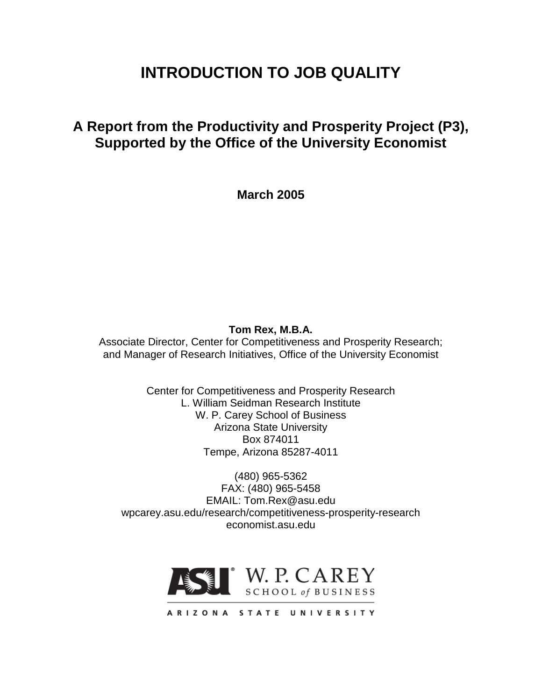# **INTRODUCTION TO JOB QUALITY**

# **A Report from the Productivity and Prosperity Project (P3), Supported by the Office of the University Economist**

**March 2005**

# **Tom Rex, M.B.A.**

Associate Director, Center for Competitiveness and Prosperity Research; and Manager of Research Initiatives, Office of the University Economist

> Center for Competitiveness and Prosperity Research L. William Seidman Research Institute W. P. Carey School of Business Arizona State University Box 874011 Tempe, Arizona 85287-4011

(480) 965-5362 FAX: (480) 965-5458 EMAIL: Tom.Rex@asu.edu wpcarey.asu.edu/research/competitiveness-prosperity-research economist.asu.edu

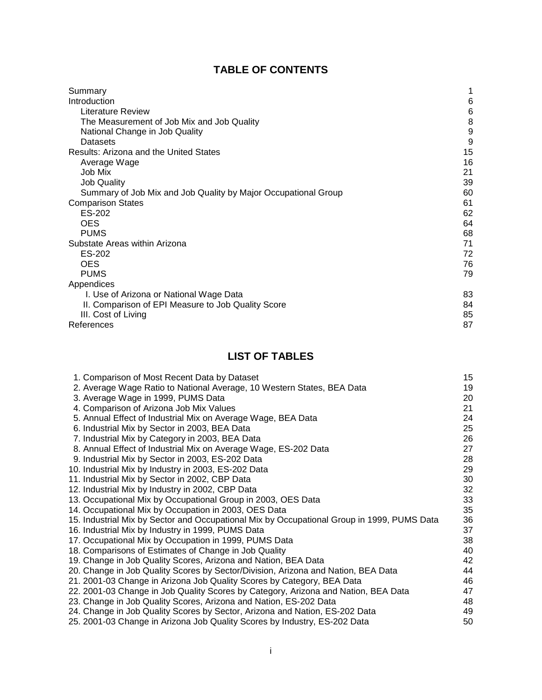# **TABLE OF CONTENTS**

| Summary                                                        | 1  |
|----------------------------------------------------------------|----|
| Introduction                                                   | 6  |
| Literature Review                                              | 6  |
| The Measurement of Job Mix and Job Quality                     | 8  |
| National Change in Job Quality                                 | 9  |
| Datasets                                                       | 9  |
| Results: Arizona and the United States                         | 15 |
| Average Wage                                                   | 16 |
| Job Mix                                                        | 21 |
| <b>Job Quality</b>                                             | 39 |
| Summary of Job Mix and Job Quality by Major Occupational Group | 60 |
| <b>Comparison States</b>                                       | 61 |
| ES-202                                                         | 62 |
| <b>OES</b>                                                     | 64 |
| <b>PUMS</b>                                                    | 68 |
| Substate Areas within Arizona                                  | 71 |
| ES-202                                                         | 72 |
| <b>OES</b>                                                     | 76 |
| <b>PUMS</b>                                                    | 79 |
| Appendices                                                     |    |
| I. Use of Arizona or National Wage Data                        | 83 |
| II. Comparison of EPI Measure to Job Quality Score             | 84 |
| III. Cost of Living                                            | 85 |
| References                                                     | 87 |

# **LIST OF TABLES**

| 1. Comparison of Most Recent Data by Dataset                                               | 15 |
|--------------------------------------------------------------------------------------------|----|
| 2. Average Wage Ratio to National Average, 10 Western States, BEA Data                     | 19 |
| 3. Average Wage in 1999, PUMS Data                                                         | 20 |
| 4. Comparison of Arizona Job Mix Values                                                    | 21 |
| 5. Annual Effect of Industrial Mix on Average Wage, BEA Data                               | 24 |
| 6. Industrial Mix by Sector in 2003, BEA Data                                              | 25 |
| 7. Industrial Mix by Category in 2003, BEA Data                                            | 26 |
| 8. Annual Effect of Industrial Mix on Average Wage, ES-202 Data                            | 27 |
| 9. Industrial Mix by Sector in 2003, ES-202 Data                                           | 28 |
| 10. Industrial Mix by Industry in 2003, ES-202 Data                                        | 29 |
| 11. Industrial Mix by Sector in 2002, CBP Data                                             | 30 |
| 12. Industrial Mix by Industry in 2002, CBP Data                                           | 32 |
| 13. Occupational Mix by Occupational Group in 2003, OES Data                               | 33 |
| 14. Occupational Mix by Occupation in 2003, OES Data                                       | 35 |
| 15. Industrial Mix by Sector and Occupational Mix by Occupational Group in 1999, PUMS Data | 36 |
| 16. Industrial Mix by Industry in 1999, PUMS Data                                          | 37 |
| 17. Occupational Mix by Occupation in 1999, PUMS Data                                      | 38 |
| 18. Comparisons of Estimates of Change in Job Quality                                      | 40 |
| 19. Change in Job Quality Scores, Arizona and Nation, BEA Data                             | 42 |
| 20. Change in Job Quality Scores by Sector/Division, Arizona and Nation, BEA Data          | 44 |
| 21. 2001-03 Change in Arizona Job Quality Scores by Category, BEA Data                     | 46 |
| 22. 2001-03 Change in Job Quality Scores by Category, Arizona and Nation, BEA Data         | 47 |
| 23. Change in Job Quality Scores, Arizona and Nation, ES-202 Data                          | 48 |
| 24. Change in Job Quality Scores by Sector, Arizona and Nation, ES-202 Data                | 49 |
| 25. 2001-03 Change in Arizona Job Quality Scores by Industry, ES-202 Data                  | 50 |
|                                                                                            |    |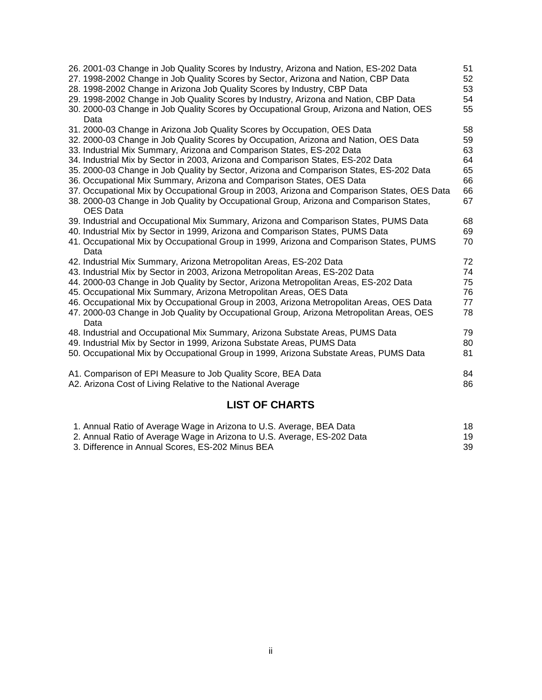| 26. 2001-03 Change in Job Quality Scores by Industry, Arizona and Nation, ES-202 Data       | 51 |
|---------------------------------------------------------------------------------------------|----|
| 27. 1998-2002 Change in Job Quality Scores by Sector, Arizona and Nation, CBP Data          | 52 |
| 28. 1998-2002 Change in Arizona Job Quality Scores by Industry, CBP Data                    | 53 |
| 29. 1998-2002 Change in Job Quality Scores by Industry, Arizona and Nation, CBP Data        | 54 |
| 30. 2000-03 Change in Job Quality Scores by Occupational Group, Arizona and Nation, OES     | 55 |
| Data                                                                                        |    |
| 31. 2000-03 Change in Arizona Job Quality Scores by Occupation, OES Data                    | 58 |
| 32. 2000-03 Change in Job Quality Scores by Occupation, Arizona and Nation, OES Data        | 59 |
| 33. Industrial Mix Summary, Arizona and Comparison States, ES-202 Data                      | 63 |
| 34. Industrial Mix by Sector in 2003, Arizona and Comparison States, ES-202 Data            | 64 |
| 35. 2000-03 Change in Job Quality by Sector, Arizona and Comparison States, ES-202 Data     | 65 |
| 36. Occupational Mix Summary, Arizona and Comparison States, OES Data                       | 66 |
| 37. Occupational Mix by Occupational Group in 2003, Arizona and Comparison States, OES Data | 66 |
| 38. 2000-03 Change in Job Quality by Occupational Group, Arizona and Comparison States,     | 67 |
| <b>OES</b> Data                                                                             |    |
| 39. Industrial and Occupational Mix Summary, Arizona and Comparison States, PUMS Data       | 68 |
| 40. Industrial Mix by Sector in 1999, Arizona and Comparison States, PUMS Data              | 69 |
| 41. Occupational Mix by Occupational Group in 1999, Arizona and Comparison States, PUMS     | 70 |
| Data                                                                                        |    |
| 42. Industrial Mix Summary, Arizona Metropolitan Areas, ES-202 Data                         | 72 |
| 43. Industrial Mix by Sector in 2003, Arizona Metropolitan Areas, ES-202 Data               | 74 |
| 44. 2000-03 Change in Job Quality by Sector, Arizona Metropolitan Areas, ES-202 Data        | 75 |
| 45. Occupational Mix Summary, Arizona Metropolitan Areas, OES Data                          | 76 |
| 46. Occupational Mix by Occupational Group in 2003, Arizona Metropolitan Areas, OES Data    | 77 |
| 47. 2000-03 Change in Job Quality by Occupational Group, Arizona Metropolitan Areas, OES    | 78 |
| Data                                                                                        |    |
| 48. Industrial and Occupational Mix Summary, Arizona Substate Areas, PUMS Data              | 79 |
| 49. Industrial Mix by Sector in 1999, Arizona Substate Areas, PUMS Data                     | 80 |
| 50. Occupational Mix by Occupational Group in 1999, Arizona Substate Areas, PUMS Data       | 81 |
| A1. Comparison of EPI Measure to Job Quality Score, BEA Data                                | 84 |
| A2. Arizona Cost of Living Relative to the National Average                                 | 86 |

# **LIST OF CHARTS**

| 1. Annual Ratio of Average Wage in Arizona to U.S. Average, BEA Data    | 18 |
|-------------------------------------------------------------------------|----|
| 2. Annual Ratio of Average Wage in Arizona to U.S. Average, ES-202 Data | 19 |
| 3. Difference in Annual Scores, ES-202 Minus BEA                        | 39 |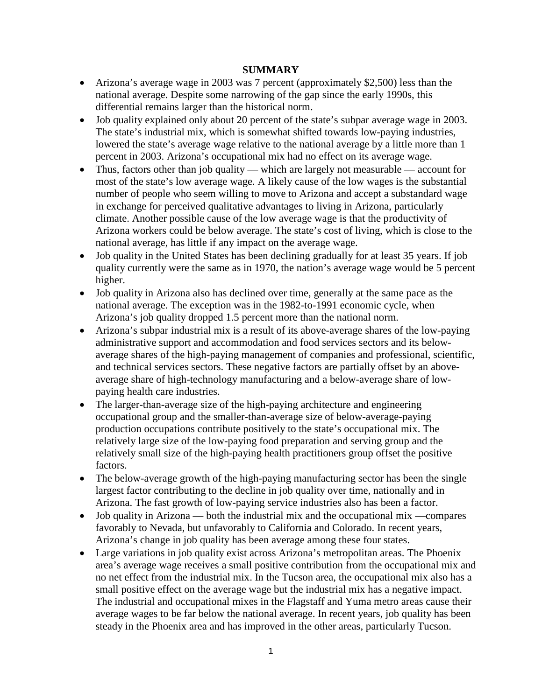## **SUMMARY**

- Arizona's average wage in 2003 was 7 percent (approximately \$2,500) less than the national average. Despite some narrowing of the gap since the early 1990s, this differential remains larger than the historical norm.
- Job quality explained only about 20 percent of the state's subpar average wage in 2003. The state's industrial mix, which is somewhat shifted towards low-paying industries, lowered the state's average wage relative to the national average by a little more than 1 percent in 2003. Arizona's occupational mix had no effect on its average wage.
- Thus, factors other than job quality which are largely not measurable account for most of the state's low average wage. A likely cause of the low wages is the substantial number of people who seem willing to move to Arizona and accept a substandard wage in exchange for perceived qualitative advantages to living in Arizona, particularly climate. Another possible cause of the low average wage is that the productivity of Arizona workers could be below average. The state's cost of living, which is close to the national average, has little if any impact on the average wage.
- Job quality in the United States has been declining gradually for at least 35 years. If job quality currently were the same as in 1970, the nation's average wage would be 5 percent higher.
- Job quality in Arizona also has declined over time, generally at the same pace as the national average. The exception was in the 1982-to-1991 economic cycle, when Arizona's job quality dropped 1.5 percent more than the national norm.
- Arizona's subpar industrial mix is a result of its above-average shares of the low-paying administrative support and accommodation and food services sectors and its belowaverage shares of the high-paying management of companies and professional, scientific, and technical services sectors. These negative factors are partially offset by an aboveaverage share of high-technology manufacturing and a below-average share of lowpaying health care industries.
- The larger-than-average size of the high-paying architecture and engineering occupational group and the smaller-than-average size of below-average-paying production occupations contribute positively to the state's occupational mix. The relatively large size of the low-paying food preparation and serving group and the relatively small size of the high-paying health practitioners group offset the positive factors.
- The below-average growth of the high-paying manufacturing sector has been the single largest factor contributing to the decline in job quality over time, nationally and in Arizona. The fast growth of low-paying service industries also has been a factor.
- Job quality in Arizona both the industrial mix and the occupational mix —compares favorably to Nevada, but unfavorably to California and Colorado. In recent years, Arizona's change in job quality has been average among these four states.
- Large variations in job quality exist across Arizona's metropolitan areas. The Phoenix area's average wage receives a small positive contribution from the occupational mix and no net effect from the industrial mix. In the Tucson area, the occupational mix also has a small positive effect on the average wage but the industrial mix has a negative impact. The industrial and occupational mixes in the Flagstaff and Yuma metro areas cause their average wages to be far below the national average. In recent years, job quality has been steady in the Phoenix area and has improved in the other areas, particularly Tucson.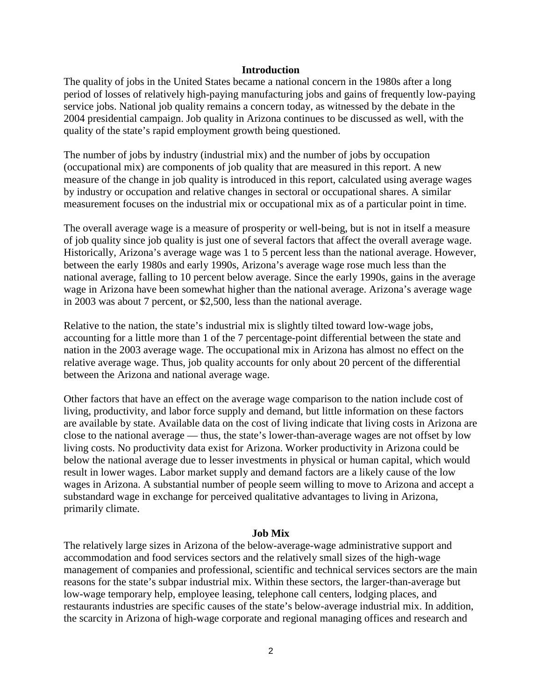#### **Introduction**

The quality of jobs in the United States became a national concern in the 1980s after a long period of losses of relatively high-paying manufacturing jobs and gains of frequently low-paying service jobs. National job quality remains a concern today, as witnessed by the debate in the 2004 presidential campaign. Job quality in Arizona continues to be discussed as well, with the quality of the state's rapid employment growth being questioned.

The number of jobs by industry (industrial mix) and the number of jobs by occupation (occupational mix) are components of job quality that are measured in this report. A new measure of the change in job quality is introduced in this report, calculated using average wages by industry or occupation and relative changes in sectoral or occupational shares. A similar measurement focuses on the industrial mix or occupational mix as of a particular point in time.

The overall average wage is a measure of prosperity or well-being, but is not in itself a measure of job quality since job quality is just one of several factors that affect the overall average wage. Historically, Arizona's average wage was 1 to 5 percent less than the national average. However, between the early 1980s and early 1990s, Arizona's average wage rose much less than the national average, falling to 10 percent below average. Since the early 1990s, gains in the average wage in Arizona have been somewhat higher than the national average. Arizona's average wage in 2003 was about 7 percent, or \$2,500, less than the national average.

Relative to the nation, the state's industrial mix is slightly tilted toward low-wage jobs, accounting for a little more than 1 of the 7 percentage-point differential between the state and nation in the 2003 average wage. The occupational mix in Arizona has almost no effect on the relative average wage. Thus, job quality accounts for only about 20 percent of the differential between the Arizona and national average wage.

Other factors that have an effect on the average wage comparison to the nation include cost of living, productivity, and labor force supply and demand, but little information on these factors are available by state. Available data on the cost of living indicate that living costs in Arizona are close to the national average — thus, the state's lower-than-average wages are not offset by low living costs. No productivity data exist for Arizona. Worker productivity in Arizona could be below the national average due to lesser investments in physical or human capital, which would result in lower wages. Labor market supply and demand factors are a likely cause of the low wages in Arizona. A substantial number of people seem willing to move to Arizona and accept a substandard wage in exchange for perceived qualitative advantages to living in Arizona, primarily climate.

#### **Job Mix**

The relatively large sizes in Arizona of the below-average-wage administrative support and accommodation and food services sectors and the relatively small sizes of the high-wage management of companies and professional, scientific and technical services sectors are the main reasons for the state's subpar industrial mix. Within these sectors, the larger-than-average but low-wage temporary help, employee leasing, telephone call centers, lodging places, and restaurants industries are specific causes of the state's below-average industrial mix. In addition, the scarcity in Arizona of high-wage corporate and regional managing offices and research and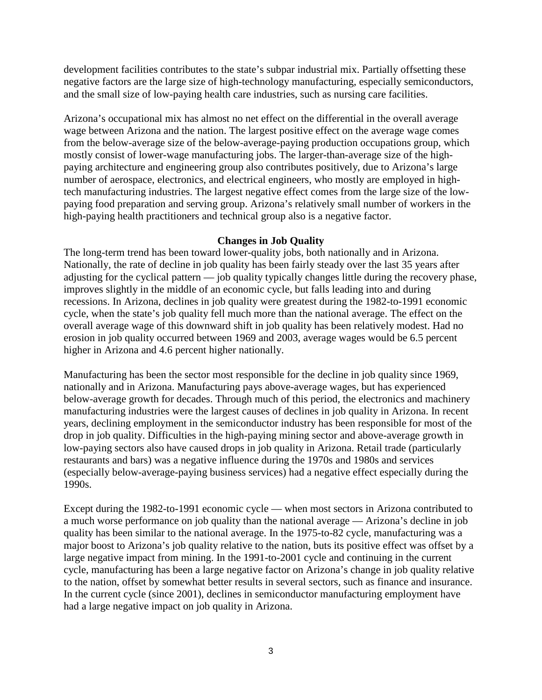development facilities contributes to the state's subpar industrial mix. Partially offsetting these negative factors are the large size of high-technology manufacturing, especially semiconductors, and the small size of low-paying health care industries, such as nursing care facilities.

Arizona's occupational mix has almost no net effect on the differential in the overall average wage between Arizona and the nation. The largest positive effect on the average wage comes from the below-average size of the below-average-paying production occupations group, which mostly consist of lower-wage manufacturing jobs. The larger-than-average size of the highpaying architecture and engineering group also contributes positively, due to Arizona's large number of aerospace, electronics, and electrical engineers, who mostly are employed in hightech manufacturing industries. The largest negative effect comes from the large size of the lowpaying food preparation and serving group. Arizona's relatively small number of workers in the high-paying health practitioners and technical group also is a negative factor.

#### **Changes in Job Quality**

The long-term trend has been toward lower-quality jobs, both nationally and in Arizona. Nationally, the rate of decline in job quality has been fairly steady over the last 35 years after adjusting for the cyclical pattern — job quality typically changes little during the recovery phase, improves slightly in the middle of an economic cycle, but falls leading into and during recessions. In Arizona, declines in job quality were greatest during the 1982-to-1991 economic cycle, when the state's job quality fell much more than the national average. The effect on the overall average wage of this downward shift in job quality has been relatively modest. Had no erosion in job quality occurred between 1969 and 2003, average wages would be 6.5 percent higher in Arizona and 4.6 percent higher nationally.

Manufacturing has been the sector most responsible for the decline in job quality since 1969, nationally and in Arizona. Manufacturing pays above-average wages, but has experienced below-average growth for decades. Through much of this period, the electronics and machinery manufacturing industries were the largest causes of declines in job quality in Arizona. In recent years, declining employment in the semiconductor industry has been responsible for most of the drop in job quality. Difficulties in the high-paying mining sector and above-average growth in low-paying sectors also have caused drops in job quality in Arizona. Retail trade (particularly restaurants and bars) was a negative influence during the 1970s and 1980s and services (especially below-average-paying business services) had a negative effect especially during the 1990s.

Except during the 1982-to-1991 economic cycle — when most sectors in Arizona contributed to a much worse performance on job quality than the national average — Arizona's decline in job quality has been similar to the national average. In the 1975-to-82 cycle, manufacturing was a major boost to Arizona's job quality relative to the nation, buts its positive effect was offset by a large negative impact from mining. In the 1991-to-2001 cycle and continuing in the current cycle, manufacturing has been a large negative factor on Arizona's change in job quality relative to the nation, offset by somewhat better results in several sectors, such as finance and insurance. In the current cycle (since 2001), declines in semiconductor manufacturing employment have had a large negative impact on job quality in Arizona.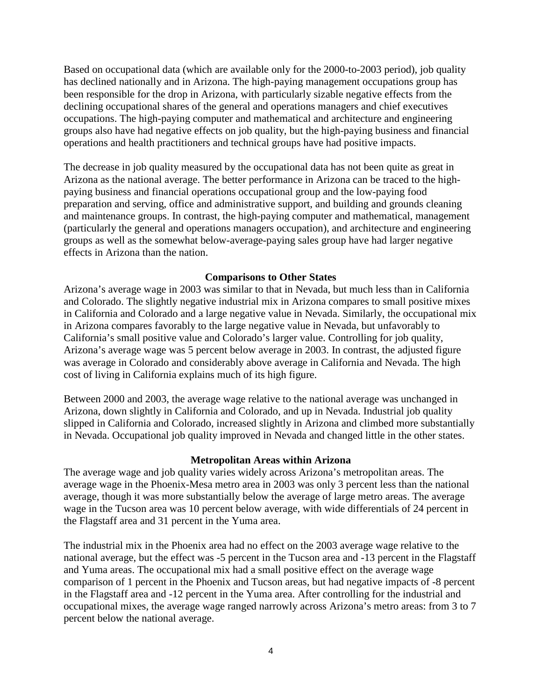Based on occupational data (which are available only for the 2000-to-2003 period), job quality has declined nationally and in Arizona. The high-paying management occupations group has been responsible for the drop in Arizona, with particularly sizable negative effects from the declining occupational shares of the general and operations managers and chief executives occupations. The high-paying computer and mathematical and architecture and engineering groups also have had negative effects on job quality, but the high-paying business and financial operations and health practitioners and technical groups have had positive impacts.

The decrease in job quality measured by the occupational data has not been quite as great in Arizona as the national average. The better performance in Arizona can be traced to the highpaying business and financial operations occupational group and the low-paying food preparation and serving, office and administrative support, and building and grounds cleaning and maintenance groups. In contrast, the high-paying computer and mathematical, management (particularly the general and operations managers occupation), and architecture and engineering groups as well as the somewhat below-average-paying sales group have had larger negative effects in Arizona than the nation.

#### **Comparisons to Other States**

Arizona's average wage in 2003 was similar to that in Nevada, but much less than in California and Colorado. The slightly negative industrial mix in Arizona compares to small positive mixes in California and Colorado and a large negative value in Nevada. Similarly, the occupational mix in Arizona compares favorably to the large negative value in Nevada, but unfavorably to California's small positive value and Colorado's larger value. Controlling for job quality, Arizona's average wage was 5 percent below average in 2003. In contrast, the adjusted figure was average in Colorado and considerably above average in California and Nevada. The high cost of living in California explains much of its high figure.

Between 2000 and 2003, the average wage relative to the national average was unchanged in Arizona, down slightly in California and Colorado, and up in Nevada. Industrial job quality slipped in California and Colorado, increased slightly in Arizona and climbed more substantially in Nevada. Occupational job quality improved in Nevada and changed little in the other states.

#### **Metropolitan Areas within Arizona**

The average wage and job quality varies widely across Arizona's metropolitan areas. The average wage in the Phoenix-Mesa metro area in 2003 was only 3 percent less than the national average, though it was more substantially below the average of large metro areas. The average wage in the Tucson area was 10 percent below average, with wide differentials of 24 percent in the Flagstaff area and 31 percent in the Yuma area.

The industrial mix in the Phoenix area had no effect on the 2003 average wage relative to the national average, but the effect was -5 percent in the Tucson area and -13 percent in the Flagstaff and Yuma areas. The occupational mix had a small positive effect on the average wage comparison of 1 percent in the Phoenix and Tucson areas, but had negative impacts of -8 percent in the Flagstaff area and -12 percent in the Yuma area. After controlling for the industrial and occupational mixes, the average wage ranged narrowly across Arizona's metro areas: from 3 to 7 percent below the national average.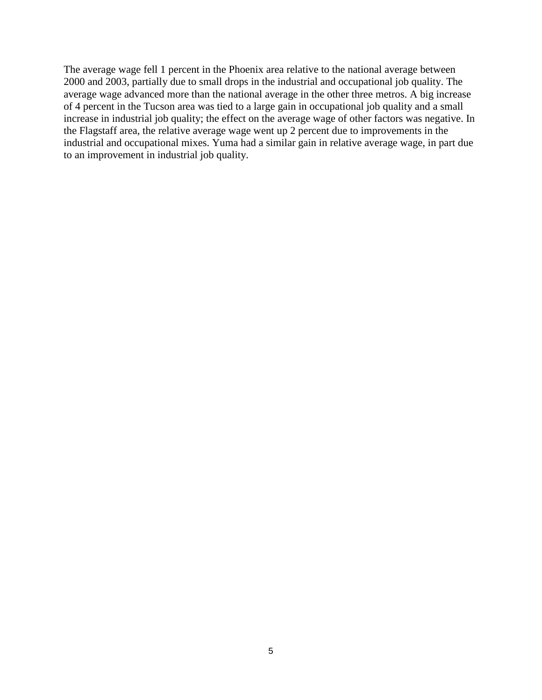The average wage fell 1 percent in the Phoenix area relative to the national average between 2000 and 2003, partially due to small drops in the industrial and occupational job quality. The average wage advanced more than the national average in the other three metros. A big increase of 4 percent in the Tucson area was tied to a large gain in occupational job quality and a small increase in industrial job quality; the effect on the average wage of other factors was negative. In the Flagstaff area, the relative average wage went up 2 percent due to improvements in the industrial and occupational mixes. Yuma had a similar gain in relative average wage, in part due to an improvement in industrial job quality.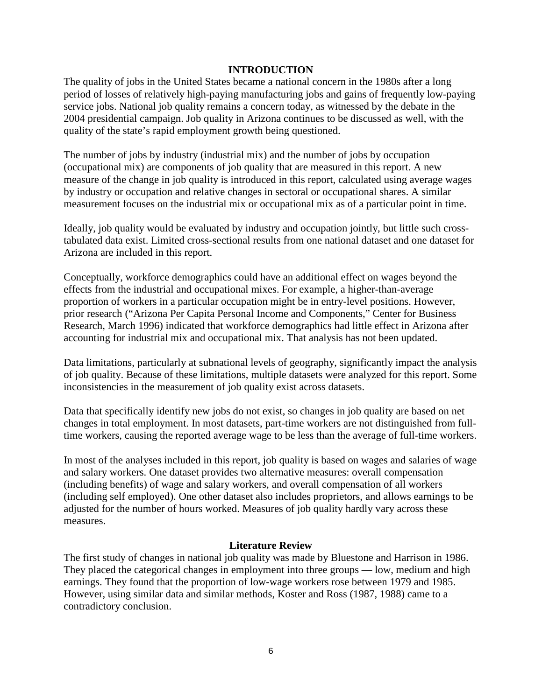#### **INTRODUCTION**

The quality of jobs in the United States became a national concern in the 1980s after a long period of losses of relatively high-paying manufacturing jobs and gains of frequently low-paying service jobs. National job quality remains a concern today, as witnessed by the debate in the 2004 presidential campaign. Job quality in Arizona continues to be discussed as well, with the quality of the state's rapid employment growth being questioned.

The number of jobs by industry (industrial mix) and the number of jobs by occupation (occupational mix) are components of job quality that are measured in this report. A new measure of the change in job quality is introduced in this report, calculated using average wages by industry or occupation and relative changes in sectoral or occupational shares. A similar measurement focuses on the industrial mix or occupational mix as of a particular point in time.

Ideally, job quality would be evaluated by industry and occupation jointly, but little such crosstabulated data exist. Limited cross-sectional results from one national dataset and one dataset for Arizona are included in this report.

Conceptually, workforce demographics could have an additional effect on wages beyond the effects from the industrial and occupational mixes. For example, a higher-than-average proportion of workers in a particular occupation might be in entry-level positions. However, prior research ("Arizona Per Capita Personal Income and Components," Center for Business Research, March 1996) indicated that workforce demographics had little effect in Arizona after accounting for industrial mix and occupational mix. That analysis has not been updated.

Data limitations, particularly at subnational levels of geography, significantly impact the analysis of job quality. Because of these limitations, multiple datasets were analyzed for this report. Some inconsistencies in the measurement of job quality exist across datasets.

Data that specifically identify new jobs do not exist, so changes in job quality are based on net changes in total employment. In most datasets, part-time workers are not distinguished from fulltime workers, causing the reported average wage to be less than the average of full-time workers.

In most of the analyses included in this report, job quality is based on wages and salaries of wage and salary workers. One dataset provides two alternative measures: overall compensation (including benefits) of wage and salary workers, and overall compensation of all workers (including self employed). One other dataset also includes proprietors, and allows earnings to be adjusted for the number of hours worked. Measures of job quality hardly vary across these measures.

#### **Literature Review**

The first study of changes in national job quality was made by Bluestone and Harrison in 1986. They placed the categorical changes in employment into three groups — low, medium and high earnings. They found that the proportion of low-wage workers rose between 1979 and 1985. However, using similar data and similar methods, Koster and Ross (1987, 1988) came to a contradictory conclusion.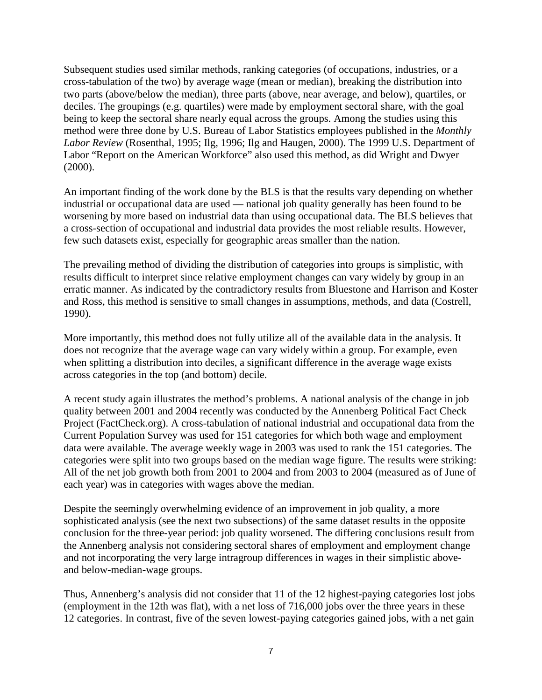Subsequent studies used similar methods, ranking categories (of occupations, industries, or a cross-tabulation of the two) by average wage (mean or median), breaking the distribution into two parts (above/below the median), three parts (above, near average, and below), quartiles, or deciles. The groupings (e.g. quartiles) were made by employment sectoral share, with the goal being to keep the sectoral share nearly equal across the groups. Among the studies using this method were three done by U.S. Bureau of Labor Statistics employees published in the *Monthly Labor Review* (Rosenthal, 1995; Ilg, 1996; Ilg and Haugen, 2000). The 1999 U.S. Department of Labor "Report on the American Workforce" also used this method, as did Wright and Dwyer (2000).

An important finding of the work done by the BLS is that the results vary depending on whether industrial or occupational data are used — national job quality generally has been found to be worsening by more based on industrial data than using occupational data. The BLS believes that a cross-section of occupational and industrial data provides the most reliable results. However, few such datasets exist, especially for geographic areas smaller than the nation.

The prevailing method of dividing the distribution of categories into groups is simplistic, with results difficult to interpret since relative employment changes can vary widely by group in an erratic manner. As indicated by the contradictory results from Bluestone and Harrison and Koster and Ross, this method is sensitive to small changes in assumptions, methods, and data (Costrell, 1990).

More importantly, this method does not fully utilize all of the available data in the analysis. It does not recognize that the average wage can vary widely within a group. For example, even when splitting a distribution into deciles, a significant difference in the average wage exists across categories in the top (and bottom) decile.

A recent study again illustrates the method's problems. A national analysis of the change in job quality between 2001 and 2004 recently was conducted by the Annenberg Political Fact Check Project (FactCheck.org). A cross-tabulation of national industrial and occupational data from the Current Population Survey was used for 151 categories for which both wage and employment data were available. The average weekly wage in 2003 was used to rank the 151 categories. The categories were split into two groups based on the median wage figure. The results were striking: All of the net job growth both from 2001 to 2004 and from 2003 to 2004 (measured as of June of each year) was in categories with wages above the median.

Despite the seemingly overwhelming evidence of an improvement in job quality, a more sophisticated analysis (see the next two subsections) of the same dataset results in the opposite conclusion for the three-year period: job quality worsened. The differing conclusions result from the Annenberg analysis not considering sectoral shares of employment and employment change and not incorporating the very large intragroup differences in wages in their simplistic aboveand below-median-wage groups.

Thus, Annenberg's analysis did not consider that 11 of the 12 highest-paying categories lost jobs (employment in the 12th was flat), with a net loss of 716,000 jobs over the three years in these 12 categories. In contrast, five of the seven lowest-paying categories gained jobs, with a net gain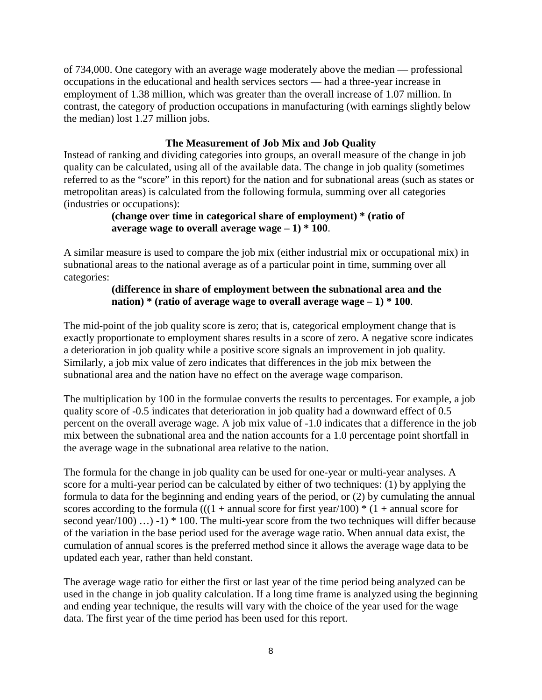of 734,000. One category with an average wage moderately above the median — professional occupations in the educational and health services sectors — had a three-year increase in employment of 1.38 million, which was greater than the overall increase of 1.07 million. In contrast, the category of production occupations in manufacturing (with earnings slightly below the median) lost 1.27 million jobs.

## **The Measurement of Job Mix and Job Quality**

Instead of ranking and dividing categories into groups, an overall measure of the change in job quality can be calculated, using all of the available data. The change in job quality (sometimes referred to as the "score" in this report) for the nation and for subnational areas (such as states or metropolitan areas) is calculated from the following formula, summing over all categories (industries or occupations):

## **(change over time in categorical share of employment) \* (ratio of average wage to overall average wage – 1) \* 100**.

A similar measure is used to compare the job mix (either industrial mix or occupational mix) in subnational areas to the national average as of a particular point in time, summing over all categories:

## **(difference in share of employment between the subnational area and the nation) \* (ratio of average wage to overall average wage – 1) \* 100**.

The mid-point of the job quality score is zero; that is, categorical employment change that is exactly proportionate to employment shares results in a score of zero. A negative score indicates a deterioration in job quality while a positive score signals an improvement in job quality. Similarly, a job mix value of zero indicates that differences in the job mix between the subnational area and the nation have no effect on the average wage comparison.

The multiplication by 100 in the formulae converts the results to percentages. For example, a job quality score of -0.5 indicates that deterioration in job quality had a downward effect of 0.5 percent on the overall average wage. A job mix value of -1.0 indicates that a difference in the job mix between the subnational area and the nation accounts for a 1.0 percentage point shortfall in the average wage in the subnational area relative to the nation.

The formula for the change in job quality can be used for one-year or multi-year analyses. A score for a multi-year period can be calculated by either of two techniques: (1) by applying the formula to data for the beginning and ending years of the period, or (2) by cumulating the annual scores according to the formula (((1 + annual score for first year/100)  $*(1 +$  annual score for second year/100) ...) -1)  $*$  100. The multi-year score from the two techniques will differ because of the variation in the base period used for the average wage ratio. When annual data exist, the cumulation of annual scores is the preferred method since it allows the average wage data to be updated each year, rather than held constant.

The average wage ratio for either the first or last year of the time period being analyzed can be used in the change in job quality calculation. If a long time frame is analyzed using the beginning and ending year technique, the results will vary with the choice of the year used for the wage data. The first year of the time period has been used for this report.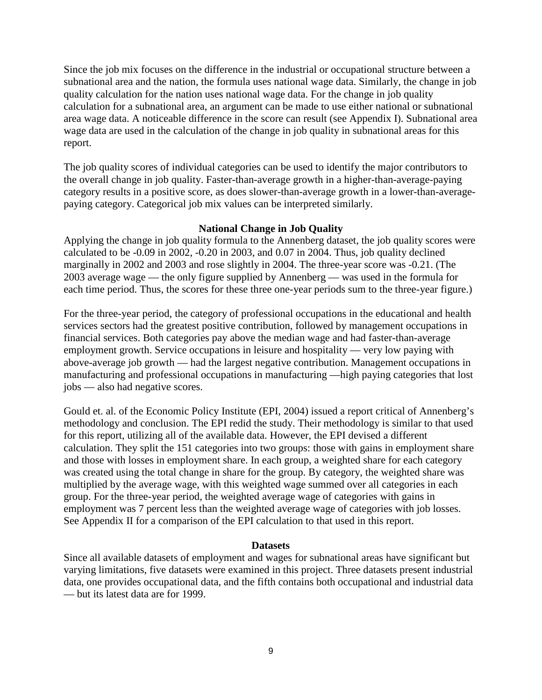Since the job mix focuses on the difference in the industrial or occupational structure between a subnational area and the nation, the formula uses national wage data. Similarly, the change in job quality calculation for the nation uses national wage data. For the change in job quality calculation for a subnational area, an argument can be made to use either national or subnational area wage data. A noticeable difference in the score can result (see Appendix I). Subnational area wage data are used in the calculation of the change in job quality in subnational areas for this report.

The job quality scores of individual categories can be used to identify the major contributors to the overall change in job quality. Faster-than-average growth in a higher-than-average-paying category results in a positive score, as does slower-than-average growth in a lower-than-averagepaying category. Categorical job mix values can be interpreted similarly.

#### **National Change in Job Quality**

Applying the change in job quality formula to the Annenberg dataset, the job quality scores were calculated to be -0.09 in 2002, -0.20 in 2003, and 0.07 in 2004. Thus, job quality declined marginally in 2002 and 2003 and rose slightly in 2004. The three-year score was -0.21. (The 2003 average wage — the only figure supplied by Annenberg — was used in the formula for each time period. Thus, the scores for these three one-year periods sum to the three-year figure.)

For the three-year period, the category of professional occupations in the educational and health services sectors had the greatest positive contribution, followed by management occupations in financial services. Both categories pay above the median wage and had faster-than-average employment growth. Service occupations in leisure and hospitality — very low paying with above-average job growth — had the largest negative contribution. Management occupations in manufacturing and professional occupations in manufacturing —high paying categories that lost jobs — also had negative scores.

Gould et. al. of the Economic Policy Institute (EPI, 2004) issued a report critical of Annenberg's methodology and conclusion. The EPI redid the study. Their methodology is similar to that used for this report, utilizing all of the available data. However, the EPI devised a different calculation. They split the 151 categories into two groups: those with gains in employment share and those with losses in employment share. In each group, a weighted share for each category was created using the total change in share for the group. By category, the weighted share was multiplied by the average wage, with this weighted wage summed over all categories in each group. For the three-year period, the weighted average wage of categories with gains in employment was 7 percent less than the weighted average wage of categories with job losses. See Appendix II for a comparison of the EPI calculation to that used in this report.

#### **Datasets**

Since all available datasets of employment and wages for subnational areas have significant but varying limitations, five datasets were examined in this project. Three datasets present industrial data, one provides occupational data, and the fifth contains both occupational and industrial data — but its latest data are for 1999.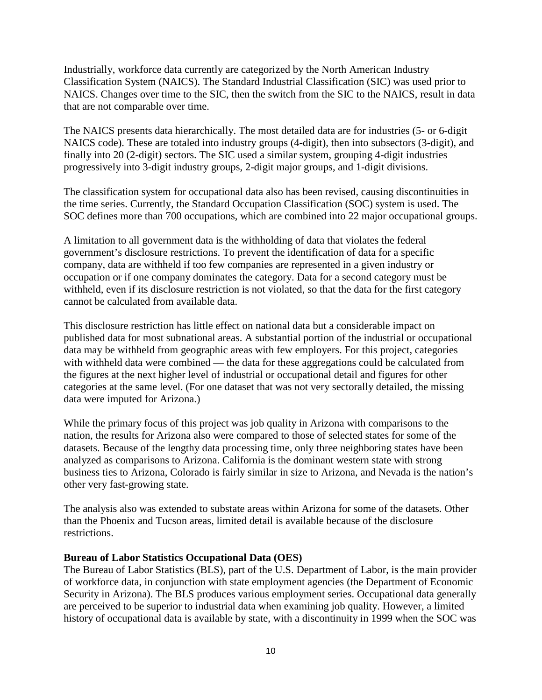Industrially, workforce data currently are categorized by the North American Industry Classification System (NAICS). The Standard Industrial Classification (SIC) was used prior to NAICS. Changes over time to the SIC, then the switch from the SIC to the NAICS, result in data that are not comparable over time.

The NAICS presents data hierarchically. The most detailed data are for industries (5- or 6-digit NAICS code). These are totaled into industry groups (4-digit), then into subsectors (3-digit), and finally into 20 (2-digit) sectors. The SIC used a similar system, grouping 4-digit industries progressively into 3-digit industry groups, 2-digit major groups, and 1-digit divisions.

The classification system for occupational data also has been revised, causing discontinuities in the time series. Currently, the Standard Occupation Classification (SOC) system is used. The SOC defines more than 700 occupations, which are combined into 22 major occupational groups.

A limitation to all government data is the withholding of data that violates the federal government's disclosure restrictions. To prevent the identification of data for a specific company, data are withheld if too few companies are represented in a given industry or occupation or if one company dominates the category. Data for a second category must be withheld, even if its disclosure restriction is not violated, so that the data for the first category cannot be calculated from available data.

This disclosure restriction has little effect on national data but a considerable impact on published data for most subnational areas. A substantial portion of the industrial or occupational data may be withheld from geographic areas with few employers. For this project, categories with withheld data were combined — the data for these aggregations could be calculated from the figures at the next higher level of industrial or occupational detail and figures for other categories at the same level. (For one dataset that was not very sectorally detailed, the missing data were imputed for Arizona.)

While the primary focus of this project was job quality in Arizona with comparisons to the nation, the results for Arizona also were compared to those of selected states for some of the datasets. Because of the lengthy data processing time, only three neighboring states have been analyzed as comparisons to Arizona. California is the dominant western state with strong business ties to Arizona, Colorado is fairly similar in size to Arizona, and Nevada is the nation's other very fast-growing state.

The analysis also was extended to substate areas within Arizona for some of the datasets. Other than the Phoenix and Tucson areas, limited detail is available because of the disclosure restrictions.

#### **Bureau of Labor Statistics Occupational Data (OES)**

The Bureau of Labor Statistics (BLS), part of the U.S. Department of Labor, is the main provider of workforce data, in conjunction with state employment agencies (the Department of Economic Security in Arizona). The BLS produces various employment series. Occupational data generally are perceived to be superior to industrial data when examining job quality. However, a limited history of occupational data is available by state, with a discontinuity in 1999 when the SOC was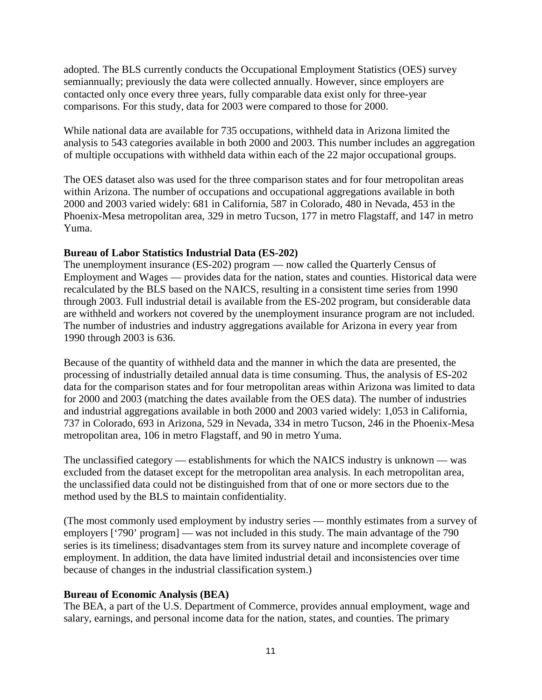adopted. The BLS currently conducts the Occupational Employment Statistics (OES) survey semiannually; previously the data were collected annually. However, since employers are contacted only once every three years, fully comparable data exist only for three-year comparisons. For this study, data for 2003 were compared to those for 2000.

While national data are available for 735 occupations, withheld data in Arizona limited the analysis to 543 categories available in both 2000 and 2003. This number includes an aggregation of multiple occupations with withheld data within each of the 22 major occupational groups.

The OES dataset also was used for the three comparison states and for four metropolitan areas within Arizona. The number of occupations and occupational aggregations available in both 2000 and 2003 varied widely: 681 in California, 587 in Colorado, 480 in Nevada, 453 in the Phoenix-Mesa metropolitan area, 329 in metro Tucson, 177 in metro Flagstaff, and 147 in metro Yuma.

## **Bureau of Labor Statistics Industrial Data (ES-202)**

The unemployment insurance (ES-202) program — now called the Quarterly Census of Employment and Wages — provides data for the nation, states and counties. Historical data were recalculated by the BLS based on the NAICS, resulting in a consistent time series from 1990 through 2003. Full industrial detail is available from the ES-202 program, but considerable data are withheld and workers not covered by the unemployment insurance program are not included. The number of industries and industry aggregations available for Arizona in every year from 1990 through 2003 is 636.

Because of the quantity of withheld data and the manner in which the data are presented, the processing of industrially detailed annual data is time consuming. Thus, the analysis of ES-202 data for the comparison states and for four metropolitan areas within Arizona was limited to data for 2000 and 2003 (matching the dates available from the OES data). The number of industries and industrial aggregations available in both 2000 and 2003 varied widely: 1,053 in California, 737 in Colorado, 693 in Arizona, 529 in Nevada, 334 in metro Tucson, 246 in the Phoenix-Mesa metropolitan area, 106 in metro Flagstaff, and 90 in metro Yuma.

The unclassified category — establishments for which the NAICS industry is unknown — was excluded from the dataset except for the metropolitan area analysis. In each metropolitan area, the unclassified data could not be distinguished from that of one or more sectors due to the method used by the BLS to maintain confidentiality.

(The most commonly used employment by industry series — monthly estimates from a survey of employers ['790' program] — was not included in this study. The main advantage of the 790 series is its timeliness; disadvantages stem from its survey nature and incomplete coverage of employment. In addition, the data have limited industrial detail and inconsistencies over time because of changes in the industrial classification system.)

## **Bureau of Economic Analysis (BEA)**

The BEA, a part of the U.S. Department of Commerce, provides annual employment, wage and salary, earnings, and personal income data for the nation, states, and counties. The primary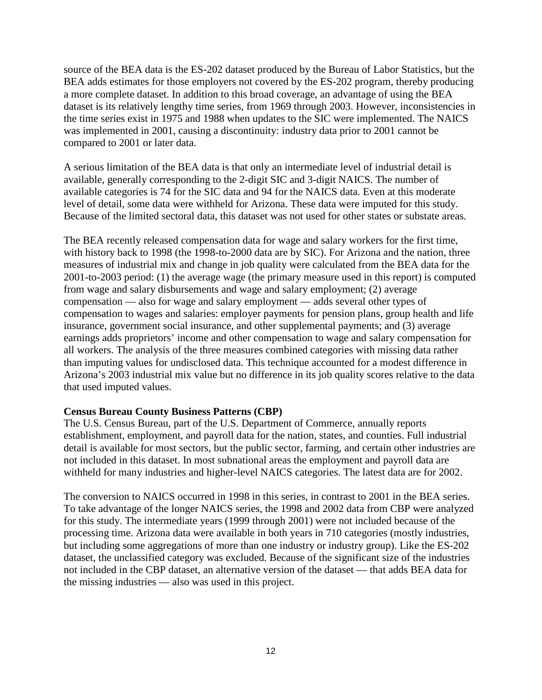source of the BEA data is the ES-202 dataset produced by the Bureau of Labor Statistics, but the BEA adds estimates for those employers not covered by the ES-202 program, thereby producing a more complete dataset. In addition to this broad coverage, an advantage of using the BEA dataset is its relatively lengthy time series, from 1969 through 2003. However, inconsistencies in the time series exist in 1975 and 1988 when updates to the SIC were implemented. The NAICS was implemented in 2001, causing a discontinuity: industry data prior to 2001 cannot be compared to 2001 or later data.

A serious limitation of the BEA data is that only an intermediate level of industrial detail is available, generally corresponding to the 2-digit SIC and 3-digit NAICS. The number of available categories is 74 for the SIC data and 94 for the NAICS data. Even at this moderate level of detail, some data were withheld for Arizona. These data were imputed for this study. Because of the limited sectoral data, this dataset was not used for other states or substate areas.

The BEA recently released compensation data for wage and salary workers for the first time, with history back to 1998 (the 1998-to-2000 data are by SIC). For Arizona and the nation, three measures of industrial mix and change in job quality were calculated from the BEA data for the 2001-to-2003 period: (1) the average wage (the primary measure used in this report) is computed from wage and salary disbursements and wage and salary employment; (2) average compensation — also for wage and salary employment — adds several other types of compensation to wages and salaries: employer payments for pension plans, group health and life insurance, government social insurance, and other supplemental payments; and (3) average earnings adds proprietors' income and other compensation to wage and salary compensation for all workers. The analysis of the three measures combined categories with missing data rather than imputing values for undisclosed data. This technique accounted for a modest difference in Arizona's 2003 industrial mix value but no difference in its job quality scores relative to the data that used imputed values.

#### **Census Bureau County Business Patterns (CBP)**

The U.S. Census Bureau, part of the U.S. Department of Commerce, annually reports establishment, employment, and payroll data for the nation, states, and counties. Full industrial detail is available for most sectors, but the public sector, farming, and certain other industries are not included in this dataset. In most subnational areas the employment and payroll data are withheld for many industries and higher-level NAICS categories. The latest data are for 2002.

The conversion to NAICS occurred in 1998 in this series, in contrast to 2001 in the BEA series. To take advantage of the longer NAICS series, the 1998 and 2002 data from CBP were analyzed for this study. The intermediate years (1999 through 2001) were not included because of the processing time. Arizona data were available in both years in 710 categories (mostly industries, but including some aggregations of more than one industry or industry group). Like the ES-202 dataset, the unclassified category was excluded. Because of the significant size of the industries not included in the CBP dataset, an alternative version of the dataset — that adds BEA data for the missing industries — also was used in this project.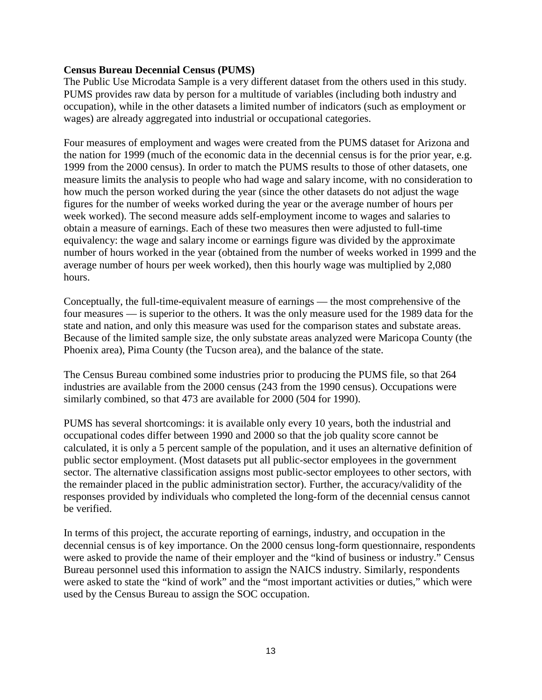#### **Census Bureau Decennial Census (PUMS)**

The Public Use Microdata Sample is a very different dataset from the others used in this study. PUMS provides raw data by person for a multitude of variables (including both industry and occupation), while in the other datasets a limited number of indicators (such as employment or wages) are already aggregated into industrial or occupational categories.

Four measures of employment and wages were created from the PUMS dataset for Arizona and the nation for 1999 (much of the economic data in the decennial census is for the prior year, e.g. 1999 from the 2000 census). In order to match the PUMS results to those of other datasets, one measure limits the analysis to people who had wage and salary income, with no consideration to how much the person worked during the year (since the other datasets do not adjust the wage figures for the number of weeks worked during the year or the average number of hours per week worked). The second measure adds self-employment income to wages and salaries to obtain a measure of earnings. Each of these two measures then were adjusted to full-time equivalency: the wage and salary income or earnings figure was divided by the approximate number of hours worked in the year (obtained from the number of weeks worked in 1999 and the average number of hours per week worked), then this hourly wage was multiplied by 2,080 hours.

Conceptually, the full-time-equivalent measure of earnings — the most comprehensive of the four measures — is superior to the others. It was the only measure used for the 1989 data for the state and nation, and only this measure was used for the comparison states and substate areas. Because of the limited sample size, the only substate areas analyzed were Maricopa County (the Phoenix area), Pima County (the Tucson area), and the balance of the state.

The Census Bureau combined some industries prior to producing the PUMS file, so that 264 industries are available from the 2000 census (243 from the 1990 census). Occupations were similarly combined, so that 473 are available for 2000 (504 for 1990).

PUMS has several shortcomings: it is available only every 10 years, both the industrial and occupational codes differ between 1990 and 2000 so that the job quality score cannot be calculated, it is only a 5 percent sample of the population, and it uses an alternative definition of public sector employment. (Most datasets put all public-sector employees in the government sector. The alternative classification assigns most public-sector employees to other sectors, with the remainder placed in the public administration sector). Further, the accuracy/validity of the responses provided by individuals who completed the long-form of the decennial census cannot be verified.

In terms of this project, the accurate reporting of earnings, industry, and occupation in the decennial census is of key importance. On the 2000 census long-form questionnaire, respondents were asked to provide the name of their employer and the "kind of business or industry." Census Bureau personnel used this information to assign the NAICS industry. Similarly, respondents were asked to state the "kind of work" and the "most important activities or duties," which were used by the Census Bureau to assign the SOC occupation.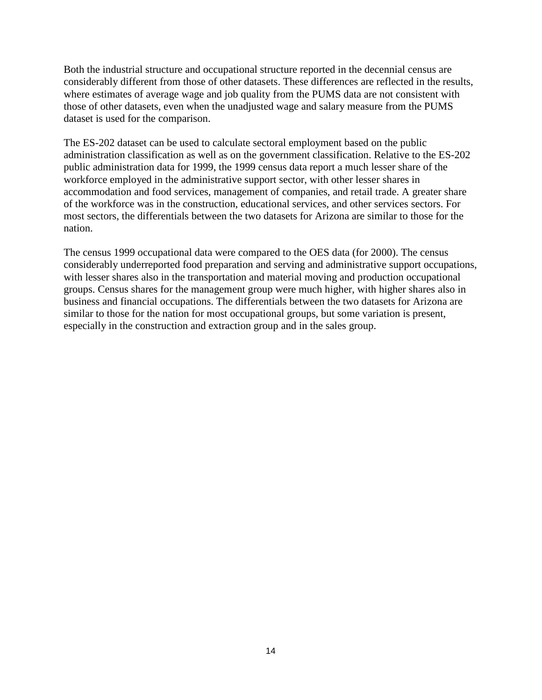Both the industrial structure and occupational structure reported in the decennial census are considerably different from those of other datasets. These differences are reflected in the results, where estimates of average wage and job quality from the PUMS data are not consistent with those of other datasets, even when the unadjusted wage and salary measure from the PUMS dataset is used for the comparison.

The ES-202 dataset can be used to calculate sectoral employment based on the public administration classification as well as on the government classification. Relative to the ES-202 public administration data for 1999, the 1999 census data report a much lesser share of the workforce employed in the administrative support sector, with other lesser shares in accommodation and food services, management of companies, and retail trade. A greater share of the workforce was in the construction, educational services, and other services sectors. For most sectors, the differentials between the two datasets for Arizona are similar to those for the nation.

The census 1999 occupational data were compared to the OES data (for 2000). The census considerably underreported food preparation and serving and administrative support occupations, with lesser shares also in the transportation and material moving and production occupational groups. Census shares for the management group were much higher, with higher shares also in business and financial occupations. The differentials between the two datasets for Arizona are similar to those for the nation for most occupational groups, but some variation is present, especially in the construction and extraction group and in the sales group.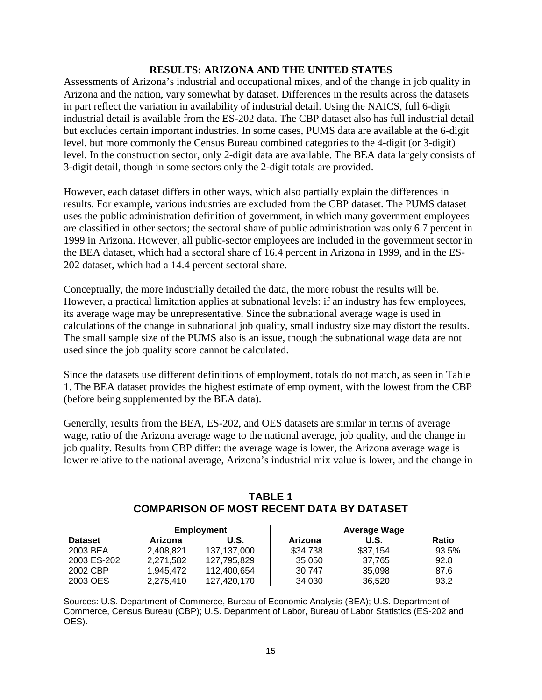## **RESULTS: ARIZONA AND THE UNITED STATES**

Assessments of Arizona's industrial and occupational mixes, and of the change in job quality in Arizona and the nation, vary somewhat by dataset. Differences in the results across the datasets in part reflect the variation in availability of industrial detail. Using the NAICS, full 6-digit industrial detail is available from the ES-202 data. The CBP dataset also has full industrial detail but excludes certain important industries. In some cases, PUMS data are available at the 6-digit level, but more commonly the Census Bureau combined categories to the 4-digit (or 3-digit) level. In the construction sector, only 2-digit data are available. The BEA data largely consists of 3-digit detail, though in some sectors only the 2-digit totals are provided.

However, each dataset differs in other ways, which also partially explain the differences in results. For example, various industries are excluded from the CBP dataset. The PUMS dataset uses the public administration definition of government, in which many government employees are classified in other sectors; the sectoral share of public administration was only 6.7 percent in 1999 in Arizona. However, all public-sector employees are included in the government sector in the BEA dataset, which had a sectoral share of 16.4 percent in Arizona in 1999, and in the ES-202 dataset, which had a 14.4 percent sectoral share.

Conceptually, the more industrially detailed the data, the more robust the results will be. However, a practical limitation applies at subnational levels: if an industry has few employees, its average wage may be unrepresentative. Since the subnational average wage is used in calculations of the change in subnational job quality, small industry size may distort the results. The small sample size of the PUMS also is an issue, though the subnational wage data are not used since the job quality score cannot be calculated.

Since the datasets use different definitions of employment, totals do not match, as seen in Table 1. The BEA dataset provides the highest estimate of employment, with the lowest from the CBP (before being supplemented by the BEA data).

Generally, results from the BEA, ES-202, and OES datasets are similar in terms of average wage, ratio of the Arizona average wage to the national average, job quality, and the change in job quality. Results from CBP differ: the average wage is lower, the Arizona average wage is lower relative to the national average, Arizona's industrial mix value is lower, and the change in

## **TABLE 1 COMPARISON OF MOST RECENT DATA BY DATASET**

| <b>Employment</b> |           |             | <b>Average Wage</b> |          |              |
|-------------------|-----------|-------------|---------------------|----------|--------------|
| <b>Dataset</b>    | Arizona   | U.S.        | Arizona             | U.S.     | <b>Ratio</b> |
| 2003 BEA          | 2.408.821 | 137.137.000 | \$34,738            | \$37.154 | 93.5%        |
| 2003 ES-202       | 2,271,582 | 127.795.829 | 35,050              | 37.765   | 92.8         |
| 2002 CBP          | 1.945.472 | 112.400.654 | 30.747              | 35,098   | 87.6         |
| 2003 OES          | 2,275,410 | 127,420,170 | 34,030              | 36.520   | 93.2         |

Sources: U.S. Department of Commerce, Bureau of Economic Analysis (BEA); U.S. Department of Commerce, Census Bureau (CBP); U.S. Department of Labor, Bureau of Labor Statistics (ES-202 and OES).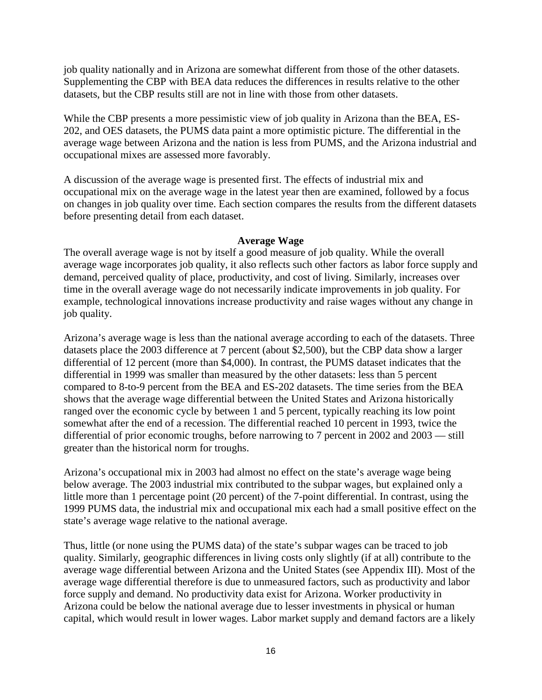job quality nationally and in Arizona are somewhat different from those of the other datasets. Supplementing the CBP with BEA data reduces the differences in results relative to the other datasets, but the CBP results still are not in line with those from other datasets.

While the CBP presents a more pessimistic view of job quality in Arizona than the BEA, ES-202, and OES datasets, the PUMS data paint a more optimistic picture. The differential in the average wage between Arizona and the nation is less from PUMS, and the Arizona industrial and occupational mixes are assessed more favorably.

A discussion of the average wage is presented first. The effects of industrial mix and occupational mix on the average wage in the latest year then are examined, followed by a focus on changes in job quality over time. Each section compares the results from the different datasets before presenting detail from each dataset.

#### **Average Wage**

The overall average wage is not by itself a good measure of job quality. While the overall average wage incorporates job quality, it also reflects such other factors as labor force supply and demand, perceived quality of place, productivity, and cost of living. Similarly, increases over time in the overall average wage do not necessarily indicate improvements in job quality. For example, technological innovations increase productivity and raise wages without any change in job quality.

Arizona's average wage is less than the national average according to each of the datasets. Three datasets place the 2003 difference at 7 percent (about \$2,500), but the CBP data show a larger differential of 12 percent (more than \$4,000). In contrast, the PUMS dataset indicates that the differential in 1999 was smaller than measured by the other datasets: less than 5 percent compared to 8-to-9 percent from the BEA and ES-202 datasets. The time series from the BEA shows that the average wage differential between the United States and Arizona historically ranged over the economic cycle by between 1 and 5 percent, typically reaching its low point somewhat after the end of a recession. The differential reached 10 percent in 1993, twice the differential of prior economic troughs, before narrowing to 7 percent in 2002 and 2003 — still greater than the historical norm for troughs.

Arizona's occupational mix in 2003 had almost no effect on the state's average wage being below average. The 2003 industrial mix contributed to the subpar wages, but explained only a little more than 1 percentage point (20 percent) of the 7-point differential. In contrast, using the 1999 PUMS data, the industrial mix and occupational mix each had a small positive effect on the state's average wage relative to the national average.

Thus, little (or none using the PUMS data) of the state's subpar wages can be traced to job quality. Similarly, geographic differences in living costs only slightly (if at all) contribute to the average wage differential between Arizona and the United States (see Appendix III). Most of the average wage differential therefore is due to unmeasured factors, such as productivity and labor force supply and demand. No productivity data exist for Arizona. Worker productivity in Arizona could be below the national average due to lesser investments in physical or human capital, which would result in lower wages. Labor market supply and demand factors are a likely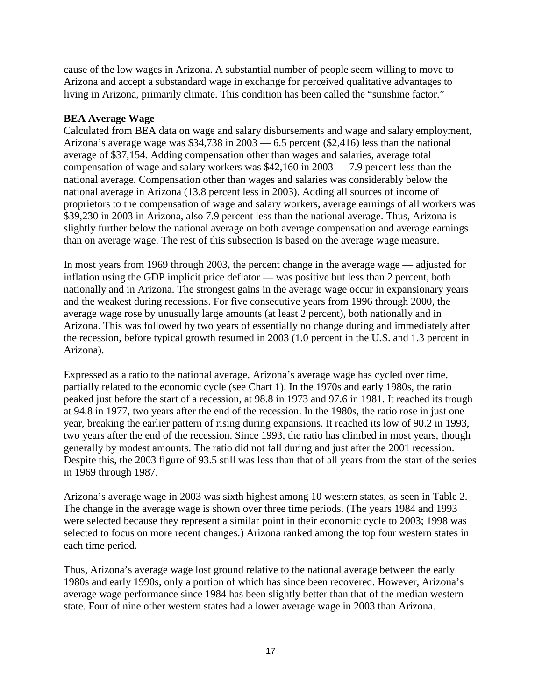cause of the low wages in Arizona. A substantial number of people seem willing to move to Arizona and accept a substandard wage in exchange for perceived qualitative advantages to living in Arizona, primarily climate. This condition has been called the "sunshine factor."

## **BEA Average Wage**

Calculated from BEA data on wage and salary disbursements and wage and salary employment, Arizona's average wage was \$34,738 in 2003 — 6.5 percent (\$2,416) less than the national average of \$37,154. Adding compensation other than wages and salaries, average total compensation of wage and salary workers was \$42,160 in 2003 — 7.9 percent less than the national average. Compensation other than wages and salaries was considerably below the national average in Arizona (13.8 percent less in 2003). Adding all sources of income of proprietors to the compensation of wage and salary workers, average earnings of all workers was \$39,230 in 2003 in Arizona, also 7.9 percent less than the national average. Thus, Arizona is slightly further below the national average on both average compensation and average earnings than on average wage. The rest of this subsection is based on the average wage measure.

In most years from 1969 through 2003, the percent change in the average wage — adjusted for inflation using the GDP implicit price deflator — was positive but less than 2 percent, both nationally and in Arizona. The strongest gains in the average wage occur in expansionary years and the weakest during recessions. For five consecutive years from 1996 through 2000, the average wage rose by unusually large amounts (at least 2 percent), both nationally and in Arizona. This was followed by two years of essentially no change during and immediately after the recession, before typical growth resumed in 2003 (1.0 percent in the U.S. and 1.3 percent in Arizona).

Expressed as a ratio to the national average, Arizona's average wage has cycled over time, partially related to the economic cycle (see Chart 1). In the 1970s and early 1980s, the ratio peaked just before the start of a recession, at 98.8 in 1973 and 97.6 in 1981. It reached its trough at 94.8 in 1977, two years after the end of the recession. In the 1980s, the ratio rose in just one year, breaking the earlier pattern of rising during expansions. It reached its low of 90.2 in 1993, two years after the end of the recession. Since 1993, the ratio has climbed in most years, though generally by modest amounts. The ratio did not fall during and just after the 2001 recession. Despite this, the 2003 figure of 93.5 still was less than that of all years from the start of the series in 1969 through 1987.

Arizona's average wage in 2003 was sixth highest among 10 western states, as seen in Table 2. The change in the average wage is shown over three time periods. (The years 1984 and 1993 were selected because they represent a similar point in their economic cycle to 2003; 1998 was selected to focus on more recent changes.) Arizona ranked among the top four western states in each time period.

Thus, Arizona's average wage lost ground relative to the national average between the early 1980s and early 1990s, only a portion of which has since been recovered. However, Arizona's average wage performance since 1984 has been slightly better than that of the median western state. Four of nine other western states had a lower average wage in 2003 than Arizona.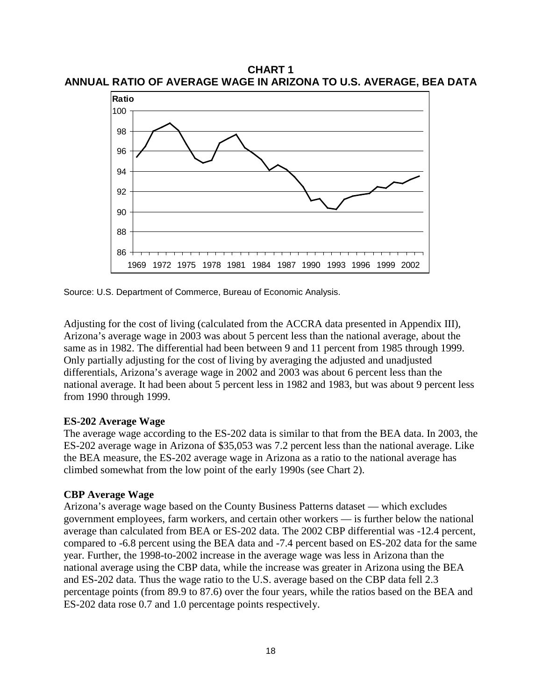**CHART 1 ANNUAL RATIO OF AVERAGE WAGE IN ARIZONA TO U.S. AVERAGE, BEA DATA**



Source: U.S. Department of Commerce, Bureau of Economic Analysis.

Adjusting for the cost of living (calculated from the ACCRA data presented in Appendix III), Arizona's average wage in 2003 was about 5 percent less than the national average, about the same as in 1982. The differential had been between 9 and 11 percent from 1985 through 1999. Only partially adjusting for the cost of living by averaging the adjusted and unadjusted differentials, Arizona's average wage in 2002 and 2003 was about 6 percent less than the national average. It had been about 5 percent less in 1982 and 1983, but was about 9 percent less from 1990 through 1999.

#### **ES-202 Average Wage**

The average wage according to the ES-202 data is similar to that from the BEA data. In 2003, the ES-202 average wage in Arizona of \$35,053 was 7.2 percent less than the national average. Like the BEA measure, the ES-202 average wage in Arizona as a ratio to the national average has climbed somewhat from the low point of the early 1990s (see Chart 2).

#### **CBP Average Wage**

Arizona's average wage based on the County Business Patterns dataset — which excludes government employees, farm workers, and certain other workers — is further below the national average than calculated from BEA or ES-202 data. The 2002 CBP differential was -12.4 percent, compared to -6.8 percent using the BEA data and -7.4 percent based on ES-202 data for the same year. Further, the 1998-to-2002 increase in the average wage was less in Arizona than the national average using the CBP data, while the increase was greater in Arizona using the BEA and ES-202 data. Thus the wage ratio to the U.S. average based on the CBP data fell 2.3 percentage points (from 89.9 to 87.6) over the four years, while the ratios based on the BEA and ES-202 data rose 0.7 and 1.0 percentage points respectively.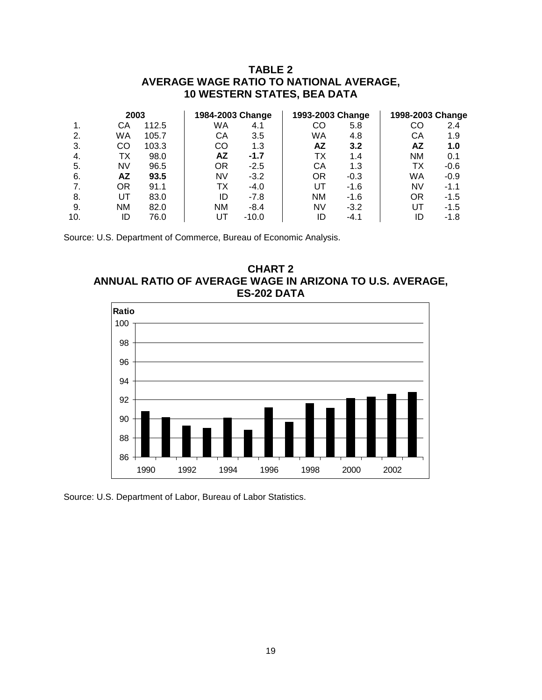## **TABLE 2 AVERAGE WAGE RATIO TO NATIONAL AVERAGE, 10 WESTERN STATES, BEA DATA**

|     | 2003      |       | 1984-2003 Change |         | 1993-2003 Change |        | 1998-2003 Change |        |
|-----|-----------|-------|------------------|---------|------------------|--------|------------------|--------|
|     | CА        | 112.5 | WA               | 4.1     | CO               | 5.8    | CO               | 2.4    |
| 2.  | WA        | 105.7 | СA               | 3.5     | WA               | 4.8    | CА               | 1.9    |
| 3.  | CO        | 103.3 | CO               | 1.3     | ΑZ               | 3.2    | ΑZ               | 1.0    |
| -4. | ТX        | 98.0  | AZ               | $-1.7$  | ТX               | 1.4    | <b>NM</b>        | 0.1    |
| 5.  | NV        | 96.5  | OR               | $-2.5$  | CА               | 1.3    | ТX               | $-0.6$ |
| -6. | <b>AZ</b> | 93.5  | NV               | $-3.2$  | ΟR               | $-0.3$ | WA               | $-0.9$ |
|     | ΟR        | 91.1  | ТX               | $-4.0$  | UT               | $-1.6$ | NV               | $-1.1$ |
| 8.  | UT        | 83.0  | ID               | $-7.8$  | <b>NM</b>        | $-1.6$ | OR               | $-1.5$ |
| 9.  | <b>NM</b> | 82.0  | <b>NM</b>        | $-8.4$  | <b>NV</b>        | $-3.2$ | UT               | $-1.5$ |
| 10. | ID        | 76.0  | UТ               | $-10.0$ | ID               | $-4.1$ | ID               | -1.8   |

Source: U.S. Department of Commerce, Bureau of Economic Analysis.





Source: U.S. Department of Labor, Bureau of Labor Statistics.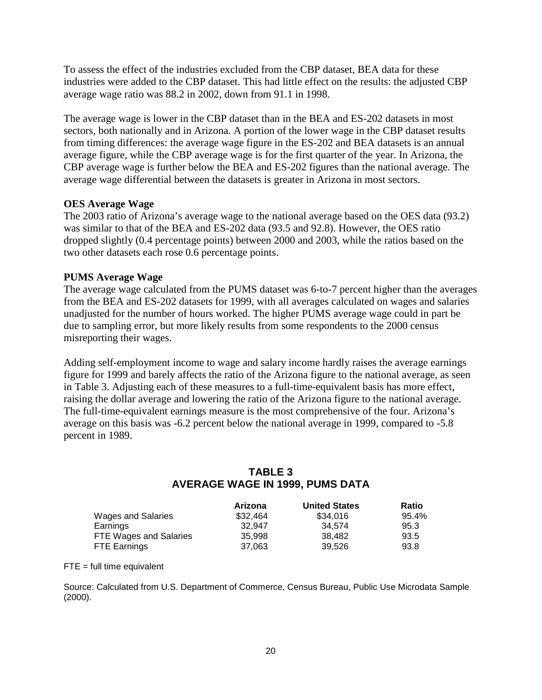To assess the effect of the industries excluded from the CBP dataset, BEA data for these industries were added to the CBP dataset. This had little effect on the results: the adjusted CBP average wage ratio was 88.2 in 2002, down from 91.1 in 1998.

The average wage is lower in the CBP dataset than in the BEA and ES-202 datasets in most sectors, both nationally and in Arizona. A portion of the lower wage in the CBP dataset results from timing differences: the average wage figure in the ES-202 and BEA datasets is an annual average figure, while the CBP average wage is for the first quarter of the year. In Arizona, the CBP average wage is further below the BEA and ES-202 figures than the national average. The average wage differential between the datasets is greater in Arizona in most sectors.

## **OES Average Wage**

The 2003 ratio of Arizona's average wage to the national average based on the OES data (93.2) was similar to that of the BEA and ES-202 data (93.5 and 92.8). However, the OES ratio dropped slightly (0.4 percentage points) between 2000 and 2003, while the ratios based on the two other datasets each rose 0.6 percentage points.

## **PUMS Average Wage**

The average wage calculated from the PUMS dataset was 6-to-7 percent higher than the averages from the BEA and ES-202 datasets for 1999, with all averages calculated on wages and salaries unadjusted for the number of hours worked. The higher PUMS average wage could in part be due to sampling error, but more likely results from some respondents to the 2000 census misreporting their wages.

Adding self-employment income to wage and salary income hardly raises the average earnings figure for 1999 and barely affects the ratio of the Arizona figure to the national average, as seen in Table 3. Adjusting each of these measures to a full-time-equivalent basis has more effect, raising the dollar average and lowering the ratio of the Arizona figure to the national average. The full-time-equivalent earnings measure is the most comprehensive of the four. Arizona's average on this basis was -6.2 percent below the national average in 1999, compared to -5.8 percent in 1989.

## **TABLE 3 AVERAGE WAGE IN 1999, PUMS DATA**

|                        | Arizona  | <b>United States</b> | Ratio |
|------------------------|----------|----------------------|-------|
| Wages and Salaries     | \$32,464 | \$34,016             | 95.4% |
| Earnings               | 32.947   | 34.574               | 95.3  |
| FTE Wages and Salaries | 35.998   | 38.482               | 93.5  |
| <b>FTE Earnings</b>    | 37.063   | 39.526               | 93.8  |

 $FTE = full time equivalent$ 

Source: Calculated from U.S. Department of Commerce, Census Bureau, Public Use Microdata Sample (2000).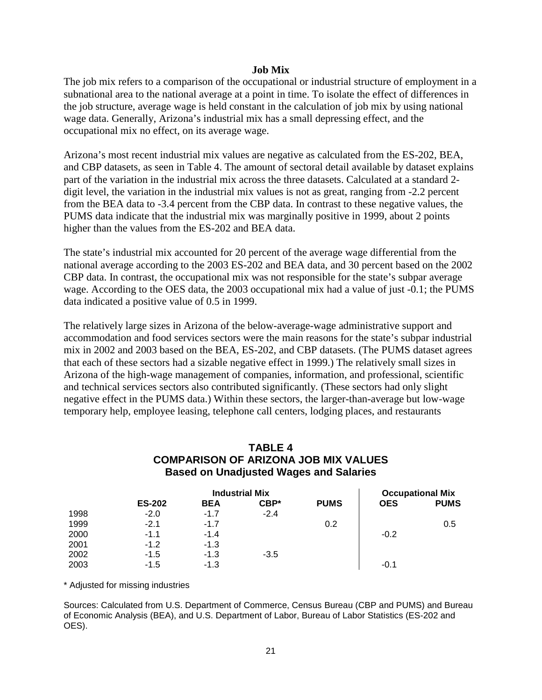#### **Job Mix**

The job mix refers to a comparison of the occupational or industrial structure of employment in a subnational area to the national average at a point in time. To isolate the effect of differences in the job structure, average wage is held constant in the calculation of job mix by using national wage data. Generally, Arizona's industrial mix has a small depressing effect, and the occupational mix no effect, on its average wage.

Arizona's most recent industrial mix values are negative as calculated from the ES-202, BEA, and CBP datasets, as seen in Table 4. The amount of sectoral detail available by dataset explains part of the variation in the industrial mix across the three datasets. Calculated at a standard 2 digit level, the variation in the industrial mix values is not as great, ranging from -2.2 percent from the BEA data to -3.4 percent from the CBP data. In contrast to these negative values, the PUMS data indicate that the industrial mix was marginally positive in 1999, about 2 points higher than the values from the ES-202 and BEA data.

The state's industrial mix accounted for 20 percent of the average wage differential from the national average according to the 2003 ES-202 and BEA data, and 30 percent based on the 2002 CBP data. In contrast, the occupational mix was not responsible for the state's subpar average wage. According to the OES data, the 2003 occupational mix had a value of just -0.1; the PUMS data indicated a positive value of 0.5 in 1999.

The relatively large sizes in Arizona of the below-average-wage administrative support and accommodation and food services sectors were the main reasons for the state's subpar industrial mix in 2002 and 2003 based on the BEA, ES-202, and CBP datasets. (The PUMS dataset agrees that each of these sectors had a sizable negative effect in 1999.) The relatively small sizes in Arizona of the high-wage management of companies, information, and professional, scientific and technical services sectors also contributed significantly. (These sectors had only slight negative effect in the PUMS data.) Within these sectors, the larger-than-average but low-wage temporary help, employee leasing, telephone call centers, lodging places, and restaurants

## **TABLE 4 COMPARISON OF ARIZONA JOB MIX VALUES Based on Unadjusted Wages and Salaries**

|      | <b>Industrial Mix</b> |            |        |             |            | <b>Occupational Mix</b> |
|------|-----------------------|------------|--------|-------------|------------|-------------------------|
|      | <b>ES-202</b>         | <b>BEA</b> | CBP*   | <b>PUMS</b> | <b>OES</b> | <b>PUMS</b>             |
| 1998 | $-2.0$                | $-1.7$     | $-2.4$ |             |            |                         |
| 1999 | $-2.1$                | $-1.7$     |        | 0.2         |            | 0.5                     |
| 2000 | $-1.1$                | $-1.4$     |        |             | $-0.2$     |                         |
| 2001 | $-1.2$                | $-1.3$     |        |             |            |                         |
| 2002 | $-1.5$                | $-1.3$     | $-3.5$ |             |            |                         |
| 2003 | -1.5                  | $-1.3$     |        |             | $-0.1$     |                         |

\* Adjusted for missing industries

Sources: Calculated from U.S. Department of Commerce, Census Bureau (CBP and PUMS) and Bureau of Economic Analysis (BEA), and U.S. Department of Labor, Bureau of Labor Statistics (ES-202 and OES).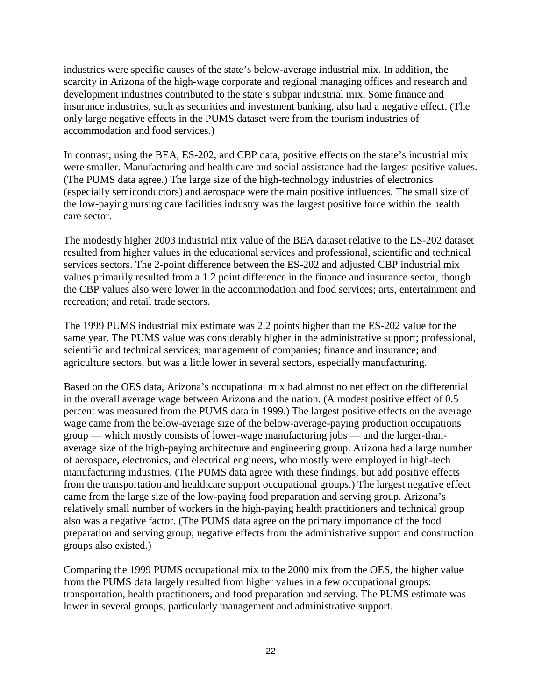industries were specific causes of the state's below-average industrial mix. In addition, the scarcity in Arizona of the high-wage corporate and regional managing offices and research and development industries contributed to the state's subpar industrial mix. Some finance and insurance industries, such as securities and investment banking, also had a negative effect. (The only large negative effects in the PUMS dataset were from the tourism industries of accommodation and food services.)

In contrast, using the BEA, ES-202, and CBP data, positive effects on the state's industrial mix were smaller. Manufacturing and health care and social assistance had the largest positive values. (The PUMS data agree.) The large size of the high-technology industries of electronics (especially semiconductors) and aerospace were the main positive influences. The small size of the low-paying nursing care facilities industry was the largest positive force within the health care sector.

The modestly higher 2003 industrial mix value of the BEA dataset relative to the ES-202 dataset resulted from higher values in the educational services and professional, scientific and technical services sectors. The 2-point difference between the ES-202 and adjusted CBP industrial mix values primarily resulted from a 1.2 point difference in the finance and insurance sector, though the CBP values also were lower in the accommodation and food services; arts, entertainment and recreation; and retail trade sectors.

The 1999 PUMS industrial mix estimate was 2.2 points higher than the ES-202 value for the same year. The PUMS value was considerably higher in the administrative support; professional, scientific and technical services; management of companies; finance and insurance; and agriculture sectors, but was a little lower in several sectors, especially manufacturing.

Based on the OES data, Arizona's occupational mix had almost no net effect on the differential in the overall average wage between Arizona and the nation. (A modest positive effect of 0.5 percent was measured from the PUMS data in 1999.) The largest positive effects on the average wage came from the below-average size of the below-average-paying production occupations group — which mostly consists of lower-wage manufacturing jobs — and the larger-thanaverage size of the high-paying architecture and engineering group. Arizona had a large number of aerospace, electronics, and electrical engineers, who mostly were employed in high-tech manufacturing industries. (The PUMS data agree with these findings, but add positive effects from the transportation and healthcare support occupational groups.) The largest negative effect came from the large size of the low-paying food preparation and serving group. Arizona's relatively small number of workers in the high-paying health practitioners and technical group also was a negative factor. (The PUMS data agree on the primary importance of the food preparation and serving group; negative effects from the administrative support and construction groups also existed.)

Comparing the 1999 PUMS occupational mix to the 2000 mix from the OES, the higher value from the PUMS data largely resulted from higher values in a few occupational groups: transportation, health practitioners, and food preparation and serving. The PUMS estimate was lower in several groups, particularly management and administrative support.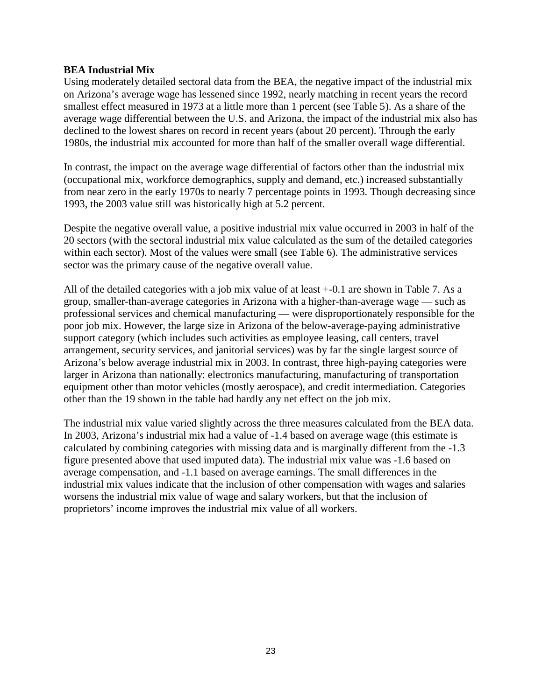#### **BEA Industrial Mix**

Using moderately detailed sectoral data from the BEA, the negative impact of the industrial mix on Arizona's average wage has lessened since 1992, nearly matching in recent years the record smallest effect measured in 1973 at a little more than 1 percent (see Table 5). As a share of the average wage differential between the U.S. and Arizona, the impact of the industrial mix also has declined to the lowest shares on record in recent years (about 20 percent). Through the early 1980s, the industrial mix accounted for more than half of the smaller overall wage differential.

In contrast, the impact on the average wage differential of factors other than the industrial mix (occupational mix, workforce demographics, supply and demand, etc.) increased substantially from near zero in the early 1970s to nearly 7 percentage points in 1993. Though decreasing since 1993, the 2003 value still was historically high at 5.2 percent.

Despite the negative overall value, a positive industrial mix value occurred in 2003 in half of the 20 sectors (with the sectoral industrial mix value calculated as the sum of the detailed categories within each sector). Most of the values were small (see Table 6). The administrative services sector was the primary cause of the negative overall value.

All of the detailed categories with a job mix value of at least +-0.1 are shown in Table 7. As a group, smaller-than-average categories in Arizona with a higher-than-average wage — such as professional services and chemical manufacturing — were disproportionately responsible for the poor job mix. However, the large size in Arizona of the below-average-paying administrative support category (which includes such activities as employee leasing, call centers, travel arrangement, security services, and janitorial services) was by far the single largest source of Arizona's below average industrial mix in 2003. In contrast, three high-paying categories were larger in Arizona than nationally: electronics manufacturing, manufacturing of transportation equipment other than motor vehicles (mostly aerospace), and credit intermediation. Categories other than the 19 shown in the table had hardly any net effect on the job mix.

The industrial mix value varied slightly across the three measures calculated from the BEA data. In 2003, Arizona's industrial mix had a value of -1.4 based on average wage (this estimate is calculated by combining categories with missing data and is marginally different from the -1.3 figure presented above that used imputed data). The industrial mix value was -1.6 based on average compensation, and -1.1 based on average earnings. The small differences in the industrial mix values indicate that the inclusion of other compensation with wages and salaries worsens the industrial mix value of wage and salary workers, but that the inclusion of proprietors' income improves the industrial mix value of all workers.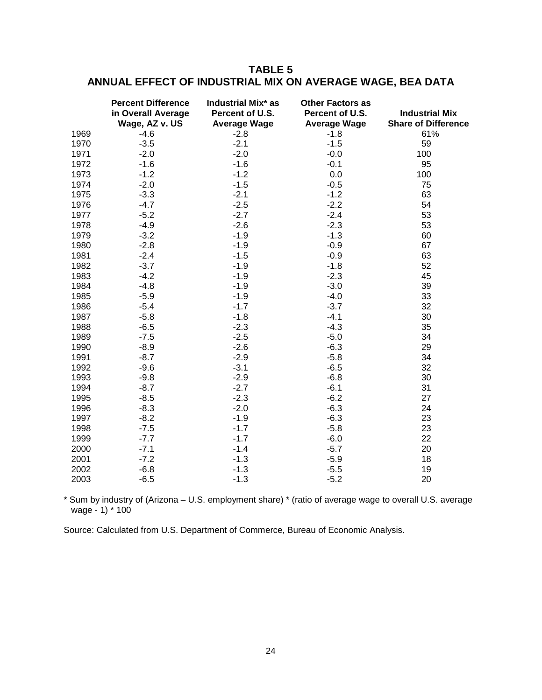# **TABLE 5 ANNUAL EFFECT OF INDUSTRIAL MIX ON AVERAGE WAGE, BEA DATA**

|      | <b>Percent Difference</b><br>in Overall Average<br>Wage, AZ v. US | <b>Industrial Mix* as</b><br>Percent of U.S.<br><b>Average Wage</b> | <b>Other Factors as</b><br>Percent of U.S.<br><b>Average Wage</b> | <b>Industrial Mix</b><br><b>Share of Difference</b> |
|------|-------------------------------------------------------------------|---------------------------------------------------------------------|-------------------------------------------------------------------|-----------------------------------------------------|
| 1969 | $-4.6$                                                            | $-2.8$                                                              | $-1.8$                                                            | 61%                                                 |
| 1970 | $-3.5$                                                            | $-2.1$                                                              | $-1.5$                                                            | 59                                                  |
| 1971 | $-2.0$                                                            | $-2.0$                                                              | $-0.0$                                                            | 100                                                 |
| 1972 | $-1.6$                                                            | $-1.6$                                                              | $-0.1$                                                            | 95                                                  |
| 1973 | $-1.2$                                                            | $-1.2$                                                              | 0.0                                                               | 100                                                 |
| 1974 | $-2.0$                                                            | $-1.5$                                                              | $-0.5$                                                            | 75                                                  |
| 1975 | $-3.3$                                                            | $-2.1$                                                              | $-1.2$                                                            | 63                                                  |
| 1976 | $-4.7$                                                            | $-2.5$                                                              | $-2.2$                                                            | 54                                                  |
| 1977 | $-5.2$                                                            | $-2.7$                                                              | $-2.4$                                                            | 53                                                  |
| 1978 | $-4.9$                                                            | $-2.6$                                                              | $-2.3$                                                            | 53                                                  |
| 1979 | $-3.2$                                                            | $-1.9$                                                              | $-1.3$                                                            | 60                                                  |
| 1980 | $-2.8$                                                            | $-1.9$                                                              | $-0.9$                                                            | 67                                                  |
| 1981 | $-2.4$                                                            | $-1.5$                                                              | $-0.9$                                                            | 63                                                  |
| 1982 | $-3.7$                                                            | $-1.9$                                                              | $-1.8$                                                            | 52                                                  |
| 1983 | $-4.2$                                                            | $-1.9$                                                              | $-2.3$                                                            | 45                                                  |
| 1984 | $-4.8$                                                            | $-1.9$                                                              | $-3.0$                                                            | 39                                                  |
| 1985 | $-5.9$                                                            | $-1.9$                                                              | $-4.0$                                                            | 33                                                  |
| 1986 | $-5.4$                                                            | $-1.7$                                                              | $-3.7$                                                            | 32                                                  |
| 1987 | $-5.8$                                                            | $-1.8$                                                              | $-4.1$                                                            | 30                                                  |
| 1988 | $-6.5$                                                            | $-2.3$                                                              | $-4.3$                                                            | 35                                                  |
| 1989 | $-7.5$                                                            | $-2.5$                                                              | $-5.0$                                                            | 34                                                  |
| 1990 | $-8.9$                                                            | $-2.6$                                                              | $-6.3$                                                            | 29                                                  |
| 1991 | $-8.7$                                                            | $-2.9$                                                              | $-5.8$                                                            | 34                                                  |
| 1992 | $-9.6$                                                            | $-3.1$                                                              | $-6.5$                                                            | 32                                                  |
| 1993 | $-9.8$                                                            | $-2.9$                                                              | $-6.8$                                                            | 30                                                  |
| 1994 | $-8.7$                                                            | $-2.7$                                                              | $-6.1$                                                            | 31                                                  |
| 1995 | $-8.5$                                                            | $-2.3$                                                              | $-6.2$                                                            | 27                                                  |
| 1996 | $-8.3$                                                            | $-2.0$                                                              | $-6.3$                                                            | 24                                                  |
| 1997 | $-8.2$                                                            | $-1.9$                                                              | $-6.3$                                                            | 23                                                  |
| 1998 | $-7.5$                                                            | $-1.7$                                                              | $-5.8$                                                            | 23                                                  |
| 1999 | $-7.7$                                                            | $-1.7$                                                              | $-6.0$                                                            | 22                                                  |
| 2000 | $-7.1$                                                            | $-1.4$                                                              | $-5.7$                                                            | 20                                                  |
| 2001 | $-7.2$                                                            | $-1.3$                                                              | $-5.9$                                                            | 18                                                  |
| 2002 | $-6.8$                                                            | $-1.3$                                                              | $-5.5$                                                            | 19                                                  |
| 2003 | $-6.5$                                                            | $-1.3$                                                              | $-5.2$                                                            | 20                                                  |

\* Sum by industry of (Arizona – U.S. employment share) \* (ratio of average wage to overall U.S. average wage - 1) \* 100

Source: Calculated from U.S. Department of Commerce, Bureau of Economic Analysis.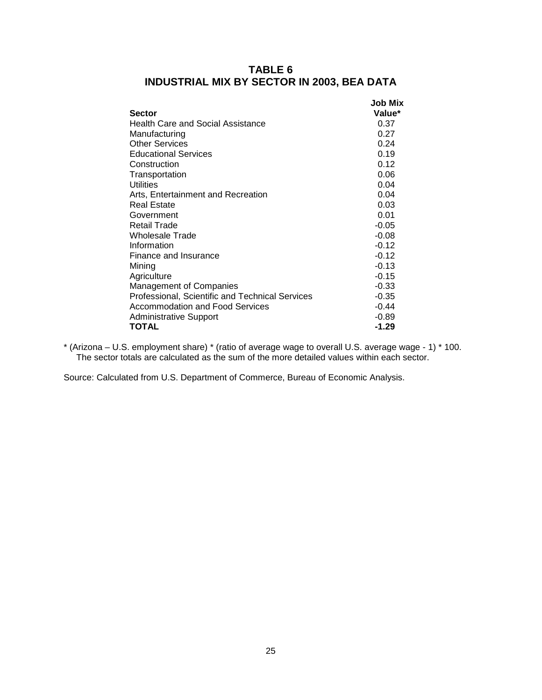| Sector                                          | Job Mix<br>Value* |
|-------------------------------------------------|-------------------|
| Health Care and Social Assistance               | 0.37              |
| Manufacturing                                   | 0.27              |
| <b>Other Services</b>                           | 0.24              |
| <b>Educational Services</b>                     | 0.19              |
| Construction                                    | 0.12              |
| Transportation                                  | 0.06              |
| Utilities                                       | 0.04              |
| Arts, Entertainment and Recreation              | 0.04              |
| Real Estate                                     | 0.03              |
| Government                                      | 0.01              |
| Retail Trade                                    | $-0.05$           |
| Wholesale Trade                                 | $-0.08$           |
| Information                                     | $-0.12$           |
| Finance and Insurance                           | $-0.12$           |
| Mining                                          | $-0.13$           |
| Agriculture                                     | $-0.15$           |
| <b>Management of Companies</b>                  | $-0.33$           |
| Professional, Scientific and Technical Services | $-0.35$           |
| Accommodation and Food Services                 | $-0.44$           |
| <b>Administrative Support</b>                   | $-0.89$           |
| TOTAL                                           | $-1.29$           |

## **TABLE 6 INDUSTRIAL MIX BY SECTOR IN 2003, BEA DATA**

\* (Arizona – U.S. employment share) \* (ratio of average wage to overall U.S. average wage - 1) \* 100. The sector totals are calculated as the sum of the more detailed values within each sector.

Source: Calculated from U.S. Department of Commerce, Bureau of Economic Analysis.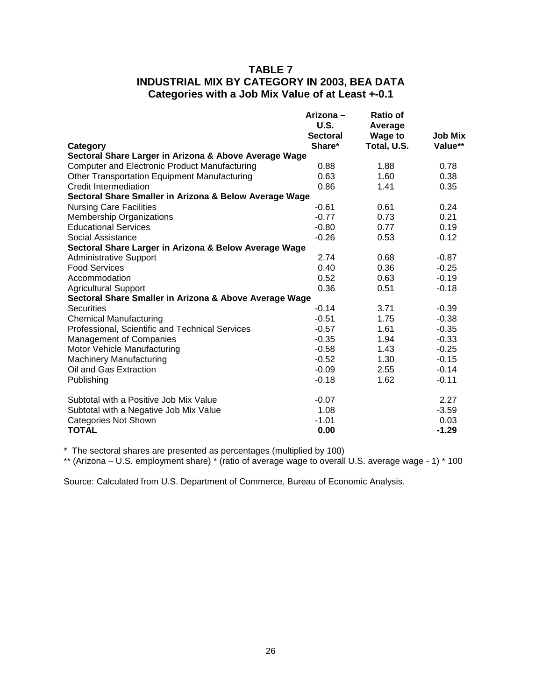## **TABLE 7 INDUSTRIAL MIX BY CATEGORY IN 2003, BEA DATA Categories with a Job Mix Value of at Least +-0.1**

|                                                        | Arizona-<br>U.S.<br><b>Sectoral</b> | Ratio of<br>Average<br><b>Wage to</b> | <b>Job Mix</b> |
|--------------------------------------------------------|-------------------------------------|---------------------------------------|----------------|
| Category                                               | Share*                              | Total, U.S.                           | Value**        |
| Sectoral Share Larger in Arizona & Above Average Wage  |                                     |                                       |                |
| <b>Computer and Electronic Product Manufacturing</b>   | 0.88                                | 1.88                                  | 0.78           |
| <b>Other Transportation Equipment Manufacturing</b>    | 0.63                                | 1.60                                  | 0.38           |
| Credit Intermediation                                  | 0.86                                | 1.41                                  | 0.35           |
| Sectoral Share Smaller in Arizona & Below Average Wage |                                     |                                       |                |
| <b>Nursing Care Facilities</b>                         | $-0.61$                             | 0.61                                  | 0.24           |
| <b>Membership Organizations</b>                        | $-0.77$                             | 0.73                                  | 0.21           |
| <b>Educational Services</b>                            | $-0.80$                             | 0.77                                  | 0.19           |
| Social Assistance                                      | $-0.26$                             | 0.53                                  | 0.12           |
| Sectoral Share Larger in Arizona & Below Average Wage  |                                     |                                       |                |
| <b>Administrative Support</b>                          | 2.74                                | 0.68                                  | $-0.87$        |
| <b>Food Services</b>                                   | 0.40                                | 0.36                                  | $-0.25$        |
| Accommodation                                          | 0.52                                | 0.63                                  | $-0.19$        |
| <b>Agricultural Support</b>                            | 0.36                                | 0.51                                  | $-0.18$        |
| Sectoral Share Smaller in Arizona & Above Average Wage |                                     |                                       |                |
| <b>Securities</b>                                      | $-0.14$                             | 3.71                                  | $-0.39$        |
| <b>Chemical Manufacturing</b>                          | $-0.51$                             | 1.75                                  | $-0.38$        |
| Professional, Scientific and Technical Services        | $-0.57$                             | 1.61                                  | $-0.35$        |
| <b>Management of Companies</b>                         | $-0.35$                             | 1.94                                  | $-0.33$        |
| Motor Vehicle Manufacturing                            | $-0.58$                             | 1.43                                  | $-0.25$        |
| <b>Machinery Manufacturing</b>                         | $-0.52$                             | 1.30                                  | $-0.15$        |
| Oil and Gas Extraction                                 | $-0.09$                             | 2.55                                  | $-0.14$        |
| Publishing                                             | $-0.18$                             | 1.62                                  | $-0.11$        |
| Subtotal with a Positive Job Mix Value                 | $-0.07$                             |                                       | 2.27           |
| Subtotal with a Negative Job Mix Value                 | 1.08                                |                                       | $-3.59$        |
| <b>Categories Not Shown</b>                            | $-1.01$                             |                                       | 0.03           |
| <b>TOTAL</b>                                           | 0.00                                |                                       | $-1.29$        |

\* The sectoral shares are presented as percentages (multiplied by 100)

\*\* (Arizona – U.S. employment share) \* (ratio of average wage to overall U.S. average wage - 1) \* 100

Source: Calculated from U.S. Department of Commerce, Bureau of Economic Analysis.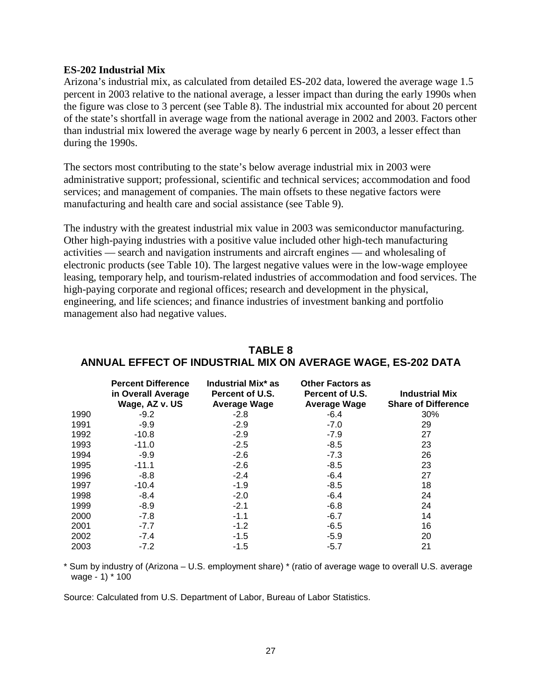#### **ES-202 Industrial Mix**

Arizona's industrial mix, as calculated from detailed ES-202 data, lowered the average wage 1.5 percent in 2003 relative to the national average, a lesser impact than during the early 1990s when the figure was close to 3 percent (see Table 8). The industrial mix accounted for about 20 percent of the state's shortfall in average wage from the national average in 2002 and 2003. Factors other than industrial mix lowered the average wage by nearly 6 percent in 2003, a lesser effect than during the 1990s.

The sectors most contributing to the state's below average industrial mix in 2003 were administrative support; professional, scientific and technical services; accommodation and food services; and management of companies. The main offsets to these negative factors were manufacturing and health care and social assistance (see Table 9).

The industry with the greatest industrial mix value in 2003 was semiconductor manufacturing. Other high-paying industries with a positive value included other high-tech manufacturing activities — search and navigation instruments and aircraft engines — and wholesaling of electronic products (see Table 10). The largest negative values were in the low-wage employee leasing, temporary help, and tourism-related industries of accommodation and food services. The high-paying corporate and regional offices; research and development in the physical, engineering, and life sciences; and finance industries of investment banking and portfolio management also had negative values.

|      | <b>Percent Difference</b><br>in Overall Average<br>Wage, AZ v. US | Industrial Mix <sup>*</sup> as<br>Percent of U.S.<br><b>Average Wage</b> | <b>Other Factors as</b><br>Percent of U.S.<br><b>Average Wage</b> | <b>Industrial Mix</b><br><b>Share of Difference</b> |
|------|-------------------------------------------------------------------|--------------------------------------------------------------------------|-------------------------------------------------------------------|-----------------------------------------------------|
| 1990 | $-9.2$                                                            | $-2.8$                                                                   | $-6.4$                                                            | 30%                                                 |
| 1991 | $-9.9$                                                            | $-2.9$                                                                   | $-7.0$                                                            | 29                                                  |
| 1992 | $-10.8$                                                           | $-2.9$                                                                   | $-7.9$                                                            | 27                                                  |
| 1993 | $-11.0$                                                           | $-2.5$                                                                   | $-8.5$                                                            | 23                                                  |
| 1994 | $-9.9$                                                            | $-2.6$                                                                   | $-7.3$                                                            | 26                                                  |
| 1995 | $-11.1$                                                           | $-2.6$                                                                   | $-8.5$                                                            | 23                                                  |
| 1996 | $-8.8$                                                            | $-2.4$                                                                   | $-6.4$                                                            | 27                                                  |
| 1997 | $-10.4$                                                           | $-1.9$                                                                   | $-8.5$                                                            | 18                                                  |
| 1998 | $-8.4$                                                            | $-2.0$                                                                   | $-6.4$                                                            | 24                                                  |
| 1999 | $-8.9$                                                            | $-2.1$                                                                   | $-6.8$                                                            | 24                                                  |
| 2000 | $-7.8$                                                            | $-1.1$                                                                   | $-6.7$                                                            | 14                                                  |
| 2001 | $-7.7$                                                            | $-1.2$                                                                   | $-6.5$                                                            | 16                                                  |
| 2002 | $-7.4$                                                            | $-1.5$                                                                   | $-5.9$                                                            | 20                                                  |
| 2003 | $-7.2$                                                            | $-1.5$                                                                   | $-5.7$                                                            | 21                                                  |

## **TABLE 8 ANNUAL EFFECT OF INDUSTRIAL MIX ON AVERAGE WAGE, ES-202 DATA**

\* Sum by industry of (Arizona – U.S. employment share) \* (ratio of average wage to overall U.S. average wage - 1) \* 100

Source: Calculated from U.S. Department of Labor, Bureau of Labor Statistics.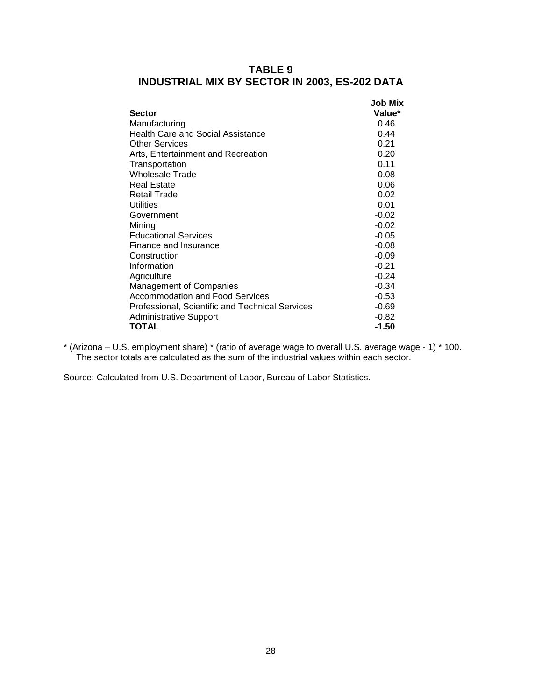| <b>Sector</b>                                   | Job Mix<br>Value* |
|-------------------------------------------------|-------------------|
| Manufacturing                                   | 0.46              |
| <b>Health Care and Social Assistance</b>        | 0.44              |
| <b>Other Services</b>                           | 0.21              |
| Arts, Entertainment and Recreation              | 0.20              |
| Transportation                                  | 0.11              |
| <b>Wholesale Trade</b>                          | 0.08              |
| <b>Real Estate</b>                              | 0.06              |
| <b>Retail Trade</b>                             | 0.02              |
| Utilities                                       | 0.01              |
| Government                                      | $-0.02$           |
| Minina                                          | $-0.02$           |
| <b>Educational Services</b>                     | $-0.05$           |
| Finance and Insurance                           | $-0.08$           |
| Construction                                    | $-0.09$           |
| Information                                     | $-0.21$           |
| Agriculture                                     | $-0.24$           |
| Management of Companies                         | $-0.34$           |
| Accommodation and Food Services                 | $-0.53$           |
| Professional, Scientific and Technical Services | $-0.69$           |
| <b>Administrative Support</b>                   | $-0.82$           |
| <b>TOTAL</b>                                    | $-1.50$           |

## **TABLE 9 INDUSTRIAL MIX BY SECTOR IN 2003, ES-202 DATA**

\* (Arizona – U.S. employment share) \* (ratio of average wage to overall U.S. average wage - 1) \* 100. The sector totals are calculated as the sum of the industrial values within each sector.

Source: Calculated from U.S. Department of Labor, Bureau of Labor Statistics.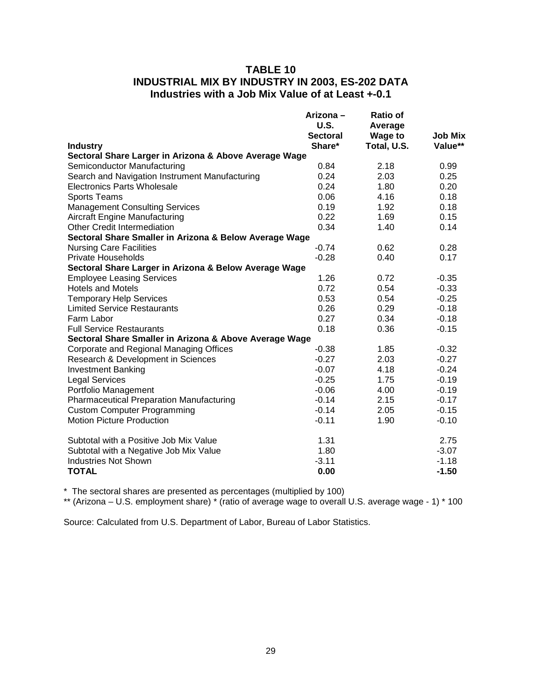## **TABLE 10 INDUSTRIAL MIX BY INDUSTRY IN 2003, ES-202 DATA Industries with a Job Mix Value of at Least +-0.1**

|                                                        | Arizona-<br>U.S.<br>Sectoral | <b>Ratio of</b><br>Average<br><b>Wage to</b> | <b>Job Mix</b> |
|--------------------------------------------------------|------------------------------|----------------------------------------------|----------------|
| <b>Industry</b>                                        | Share*                       | Total, U.S.                                  | Value**        |
| Sectoral Share Larger in Arizona & Above Average Wage  |                              |                                              |                |
| Semiconductor Manufacturing                            | 0.84                         | 2.18                                         | 0.99           |
| Search and Navigation Instrument Manufacturing         | 0.24                         | 2.03                                         | 0.25           |
| Electronics Parts Wholesale                            | 0.24                         | 1.80                                         | 0.20           |
| <b>Sports Teams</b>                                    | 0.06                         | 4.16                                         | 0.18           |
| <b>Management Consulting Services</b>                  | 0.19                         | 1.92                                         | 0.18           |
| <b>Aircraft Engine Manufacturing</b>                   | 0.22                         | 1.69                                         | 0.15           |
| Other Credit Intermediation                            | 0.34                         | 1.40                                         | 0.14           |
| Sectoral Share Smaller in Arizona & Below Average Wage |                              |                                              |                |
| <b>Nursing Care Facilities</b>                         | $-0.74$                      | 0.62                                         | 0.28           |
| <b>Private Households</b>                              | $-0.28$                      | 0.40                                         | 0.17           |
| Sectoral Share Larger in Arizona & Below Average Wage  |                              |                                              |                |
| <b>Employee Leasing Services</b>                       | 1.26                         | 0.72                                         | $-0.35$        |
| <b>Hotels and Motels</b>                               | 0.72                         | 0.54                                         | $-0.33$        |
| <b>Temporary Help Services</b>                         | 0.53                         | 0.54                                         | $-0.25$        |
| <b>Limited Service Restaurants</b>                     | 0.26                         | 0.29                                         | $-0.18$        |
| Farm Labor                                             | 0.27                         | 0.34                                         | $-0.18$        |
| <b>Full Service Restaurants</b>                        | 0.18                         | 0.36                                         | $-0.15$        |
| Sectoral Share Smaller in Arizona & Above Average Wage |                              |                                              |                |
| Corporate and Regional Managing Offices                | $-0.38$                      | 1.85                                         | $-0.32$        |
| Research & Development in Sciences                     | $-0.27$                      | 2.03                                         | $-0.27$        |
| <b>Investment Banking</b>                              | $-0.07$                      | 4.18                                         | $-0.24$        |
| <b>Legal Services</b>                                  | $-0.25$                      | 1.75                                         | $-0.19$        |
| Portfolio Management                                   | $-0.06$                      | 4.00                                         | $-0.19$        |
| <b>Pharmaceutical Preparation Manufacturing</b>        | $-0.14$                      | 2.15                                         | $-0.17$        |
| <b>Custom Computer Programming</b>                     | $-0.14$                      | 2.05                                         | $-0.15$        |
| <b>Motion Picture Production</b>                       | $-0.11$                      | 1.90                                         | $-0.10$        |
| Subtotal with a Positive Job Mix Value                 | 1.31                         |                                              | 2.75           |
| Subtotal with a Negative Job Mix Value                 | 1.80                         |                                              | $-3.07$        |
| <b>Industries Not Shown</b>                            | $-3.11$                      |                                              | $-1.18$        |
| <b>TOTAL</b>                                           | 0.00                         |                                              | $-1.50$        |

\* The sectoral shares are presented as percentages (multiplied by 100)

\*\* (Arizona – U.S. employment share) \* (ratio of average wage to overall U.S. average wage - 1) \* 100

Source: Calculated from U.S. Department of Labor, Bureau of Labor Statistics.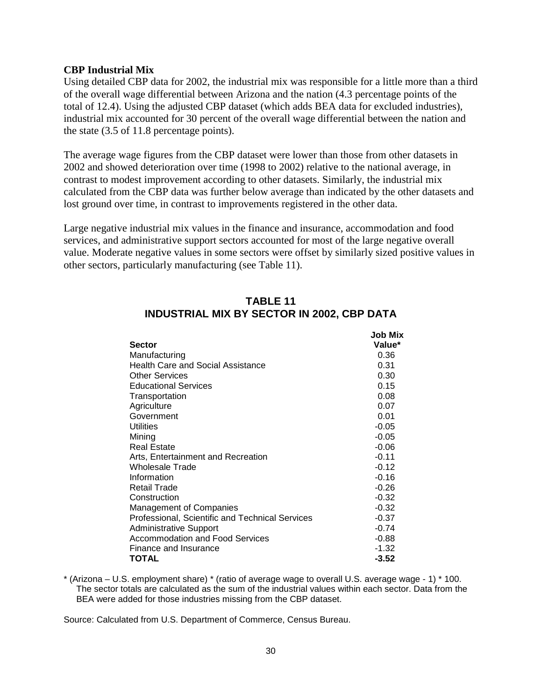#### **CBP Industrial Mix**

Using detailed CBP data for 2002, the industrial mix was responsible for a little more than a third of the overall wage differential between Arizona and the nation (4.3 percentage points of the total of 12.4). Using the adjusted CBP dataset (which adds BEA data for excluded industries), industrial mix accounted for 30 percent of the overall wage differential between the nation and the state (3.5 of 11.8 percentage points).

The average wage figures from the CBP dataset were lower than those from other datasets in 2002 and showed deterioration over time (1998 to 2002) relative to the national average, in contrast to modest improvement according to other datasets. Similarly, the industrial mix calculated from the CBP data was further below average than indicated by the other datasets and lost ground over time, in contrast to improvements registered in the other data.

Large negative industrial mix values in the finance and insurance, accommodation and food services, and administrative support sectors accounted for most of the large negative overall value. Moderate negative values in some sectors were offset by similarly sized positive values in other sectors, particularly manufacturing (see Table 11).

| Job Mix |
|---------|
| Value*  |
| 0.36    |
| 0.31    |
| 0.30    |
| 0.15    |
| 0.08    |
| 0.07    |
| 0.01    |
| $-0.05$ |
| $-0.05$ |
| $-0.06$ |
| $-0.11$ |
| $-0.12$ |
| $-0.16$ |
| $-0.26$ |
| $-0.32$ |
| $-0.32$ |
| $-0.37$ |
| $-0.74$ |
| $-0.88$ |
| $-1.32$ |
| -3.52   |
|         |

# **TABLE 11 INDUSTRIAL MIX BY SECTOR IN 2002, CBP DATA**

\* (Arizona – U.S. employment share) \* (ratio of average wage to overall U.S. average wage - 1) \* 100. The sector totals are calculated as the sum of the industrial values within each sector. Data from the BEA were added for those industries missing from the CBP dataset.

Source: Calculated from U.S. Department of Commerce, Census Bureau.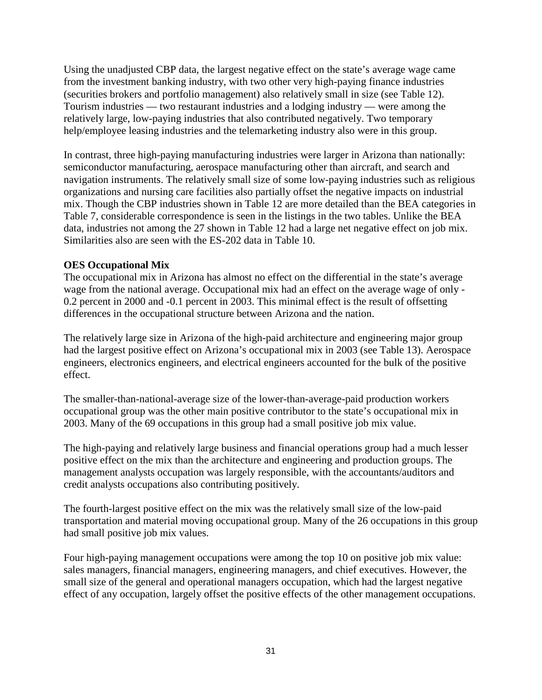Using the unadjusted CBP data, the largest negative effect on the state's average wage came from the investment banking industry, with two other very high-paying finance industries (securities brokers and portfolio management) also relatively small in size (see Table 12). Tourism industries — two restaurant industries and a lodging industry — were among the relatively large, low-paying industries that also contributed negatively. Two temporary help/employee leasing industries and the telemarketing industry also were in this group.

In contrast, three high-paying manufacturing industries were larger in Arizona than nationally: semiconductor manufacturing, aerospace manufacturing other than aircraft, and search and navigation instruments. The relatively small size of some low-paying industries such as religious organizations and nursing care facilities also partially offset the negative impacts on industrial mix. Though the CBP industries shown in Table 12 are more detailed than the BEA categories in Table 7, considerable correspondence is seen in the listings in the two tables. Unlike the BEA data, industries not among the 27 shown in Table 12 had a large net negative effect on job mix. Similarities also are seen with the ES-202 data in Table 10.

## **OES Occupational Mix**

The occupational mix in Arizona has almost no effect on the differential in the state's average wage from the national average. Occupational mix had an effect on the average wage of only - 0.2 percent in 2000 and -0.1 percent in 2003. This minimal effect is the result of offsetting differences in the occupational structure between Arizona and the nation.

The relatively large size in Arizona of the high-paid architecture and engineering major group had the largest positive effect on Arizona's occupational mix in 2003 (see Table 13). Aerospace engineers, electronics engineers, and electrical engineers accounted for the bulk of the positive effect.

The smaller-than-national-average size of the lower-than-average-paid production workers occupational group was the other main positive contributor to the state's occupational mix in 2003. Many of the 69 occupations in this group had a small positive job mix value.

The high-paying and relatively large business and financial operations group had a much lesser positive effect on the mix than the architecture and engineering and production groups. The management analysts occupation was largely responsible, with the accountants/auditors and credit analysts occupations also contributing positively.

The fourth-largest positive effect on the mix was the relatively small size of the low-paid transportation and material moving occupational group. Many of the 26 occupations in this group had small positive job mix values.

Four high-paying management occupations were among the top 10 on positive job mix value: sales managers, financial managers, engineering managers, and chief executives. However, the small size of the general and operational managers occupation, which had the largest negative effect of any occupation, largely offset the positive effects of the other management occupations.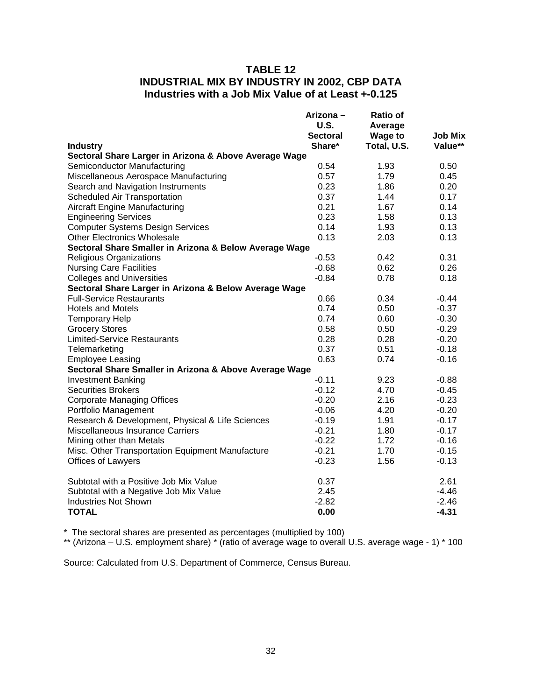# **TABLE 12 INDUSTRIAL MIX BY INDUSTRY IN 2002, CBP DATA Industries with a Job Mix Value of at Least +-0.125**

|                                                        | Arizona –<br><b>U.S.</b> | <b>Ratio of</b><br>Average |                |
|--------------------------------------------------------|--------------------------|----------------------------|----------------|
|                                                        | <b>Sectoral</b>          | <b>Wage to</b>             | <b>Job Mix</b> |
| <b>Industry</b>                                        | Share*                   | Total, U.S.                | Value**        |
| Sectoral Share Larger in Arizona & Above Average Wage  |                          |                            |                |
| Semiconductor Manufacturing                            | 0.54                     | 1.93                       | 0.50           |
| Miscellaneous Aerospace Manufacturing                  | 0.57                     | 1.79                       | 0.45           |
| Search and Navigation Instruments                      | 0.23                     | 1.86                       | 0.20           |
| <b>Scheduled Air Transportation</b>                    | 0.37                     | 1.44                       | 0.17           |
| <b>Aircraft Engine Manufacturing</b>                   | 0.21                     | 1.67                       | 0.14           |
| <b>Engineering Services</b>                            | 0.23                     | 1.58                       | 0.13           |
| <b>Computer Systems Design Services</b>                | 0.14                     | 1.93                       | 0.13           |
| <b>Other Electronics Wholesale</b>                     | 0.13                     | 2.03                       | 0.13           |
| Sectoral Share Smaller in Arizona & Below Average Wage |                          |                            |                |
| <b>Religious Organizations</b>                         | $-0.53$                  | 0.42                       | 0.31           |
| <b>Nursing Care Facilities</b>                         | $-0.68$                  | 0.62                       | 0.26           |
| <b>Colleges and Universities</b>                       | $-0.84$                  | 0.78                       | 0.18           |
| Sectoral Share Larger in Arizona & Below Average Wage  |                          |                            |                |
| <b>Full-Service Restaurants</b>                        | 0.66                     | 0.34                       | $-0.44$        |
| <b>Hotels and Motels</b>                               | 0.74                     | 0.50                       | $-0.37$        |
| <b>Temporary Help</b>                                  | 0.74                     | 0.60                       | $-0.30$        |
| <b>Grocery Stores</b>                                  | 0.58                     | 0.50                       | $-0.29$        |
| <b>Limited-Service Restaurants</b>                     | 0.28                     | 0.28                       | $-0.20$        |
| Telemarketing                                          | 0.37                     | 0.51                       | $-0.18$        |
| <b>Employee Leasing</b>                                | 0.63                     | 0.74                       | $-0.16$        |
| Sectoral Share Smaller in Arizona & Above Average Wage |                          |                            |                |
| <b>Investment Banking</b>                              | $-0.11$                  | 9.23                       | $-0.88$        |
| <b>Securities Brokers</b>                              | $-0.12$                  | 4.70                       | $-0.45$        |
| <b>Corporate Managing Offices</b>                      | $-0.20$                  | 2.16                       | $-0.23$        |
| Portfolio Management                                   | $-0.06$                  | 4.20                       | $-0.20$        |
| Research & Development, Physical & Life Sciences       | $-0.19$                  | 1.91                       | $-0.17$        |
| Miscellaneous Insurance Carriers                       | $-0.21$                  | 1.80                       | $-0.17$        |
| Mining other than Metals                               | $-0.22$                  | 1.72                       | $-0.16$        |
| Misc. Other Transportation Equipment Manufacture       | $-0.21$                  | 1.70                       | $-0.15$        |
| <b>Offices of Lawyers</b>                              | $-0.23$                  | 1.56                       | $-0.13$        |
| Subtotal with a Positive Job Mix Value                 | 0.37                     |                            | 2.61           |
| Subtotal with a Negative Job Mix Value                 | 2.45                     |                            | $-4.46$        |
| <b>Industries Not Shown</b>                            | $-2.82$                  |                            | $-2.46$        |
| <b>TOTAL</b>                                           | 0.00                     |                            | $-4.31$        |

\* The sectoral shares are presented as percentages (multiplied by 100)

\*\* (Arizona – U.S. employment share) \* (ratio of average wage to overall U.S. average wage - 1) \* 100

Source: Calculated from U.S. Department of Commerce, Census Bureau.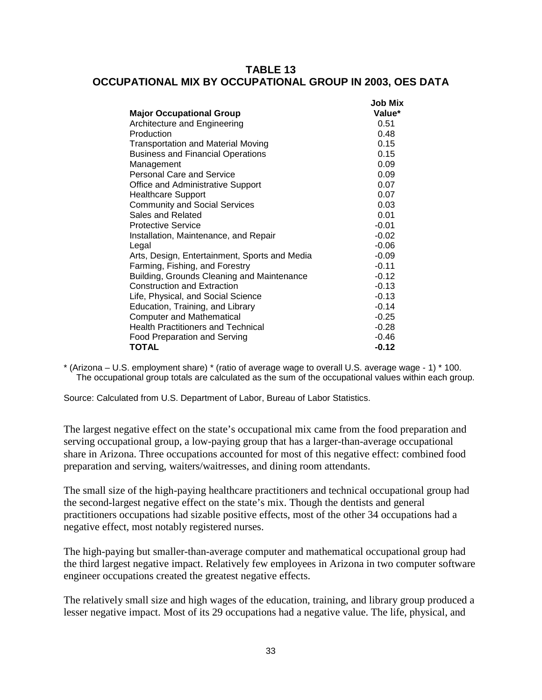## **TABLE 13 OCCUPATIONAL MIX BY OCCUPATIONAL GROUP IN 2003, OES DATA**

**Job Mix** 

|                                               | JOD MIX |
|-----------------------------------------------|---------|
| <b>Major Occupational Group</b>               | Value*  |
| Architecture and Engineering                  | 0.51    |
| Production                                    | 0.48    |
| <b>Transportation and Material Moving</b>     | 0.15    |
| <b>Business and Financial Operations</b>      | 0.15    |
| Management                                    | 0.09    |
| <b>Personal Care and Service</b>              | 0.09    |
| Office and Administrative Support             | 0.07    |
| <b>Healthcare Support</b>                     | 0.07    |
| <b>Community and Social Services</b>          | 0.03    |
| Sales and Related                             | 0.01    |
| <b>Protective Service</b>                     | $-0.01$ |
| Installation, Maintenance, and Repair         | $-0.02$ |
| Legal                                         | $-0.06$ |
| Arts, Design, Entertainment, Sports and Media | $-0.09$ |
| Farming, Fishing, and Forestry                | $-0.11$ |
| Building, Grounds Cleaning and Maintenance    | $-0.12$ |
| <b>Construction and Extraction</b>            | $-0.13$ |
| Life, Physical, and Social Science            | $-0.13$ |
| Education, Training, and Library              | $-0.14$ |
| <b>Computer and Mathematical</b>              | $-0.25$ |
| <b>Health Practitioners and Technical</b>     | $-0.28$ |
| <b>Food Preparation and Serving</b>           | $-0.46$ |
| <b>TOTAL</b>                                  | $-0.12$ |

\* (Arizona – U.S. employment share) \* (ratio of average wage to overall U.S. average wage - 1) \* 100. The occupational group totals are calculated as the sum of the occupational values within each group.

Source: Calculated from U.S. Department of Labor, Bureau of Labor Statistics.

The largest negative effect on the state's occupational mix came from the food preparation and serving occupational group, a low-paying group that has a larger-than-average occupational share in Arizona. Three occupations accounted for most of this negative effect: combined food preparation and serving, waiters/waitresses, and dining room attendants.

The small size of the high-paying healthcare practitioners and technical occupational group had the second-largest negative effect on the state's mix. Though the dentists and general practitioners occupations had sizable positive effects, most of the other 34 occupations had a negative effect, most notably registered nurses.

The high-paying but smaller-than-average computer and mathematical occupational group had the third largest negative impact. Relatively few employees in Arizona in two computer software engineer occupations created the greatest negative effects.

The relatively small size and high wages of the education, training, and library group produced a lesser negative impact. Most of its 29 occupations had a negative value. The life, physical, and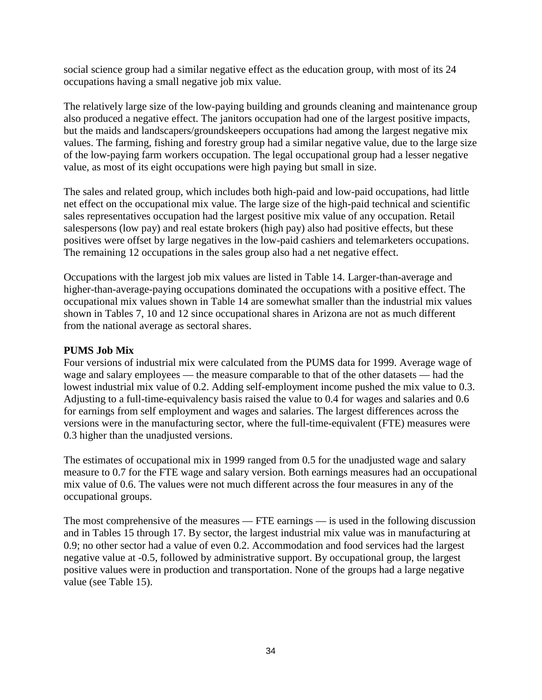social science group had a similar negative effect as the education group, with most of its 24 occupations having a small negative job mix value.

The relatively large size of the low-paying building and grounds cleaning and maintenance group also produced a negative effect. The janitors occupation had one of the largest positive impacts, but the maids and landscapers/groundskeepers occupations had among the largest negative mix values. The farming, fishing and forestry group had a similar negative value, due to the large size of the low-paying farm workers occupation. The legal occupational group had a lesser negative value, as most of its eight occupations were high paying but small in size.

The sales and related group, which includes both high-paid and low-paid occupations, had little net effect on the occupational mix value. The large size of the high-paid technical and scientific sales representatives occupation had the largest positive mix value of any occupation. Retail salespersons (low pay) and real estate brokers (high pay) also had positive effects, but these positives were offset by large negatives in the low-paid cashiers and telemarketers occupations. The remaining 12 occupations in the sales group also had a net negative effect.

Occupations with the largest job mix values are listed in Table 14. Larger-than-average and higher-than-average-paying occupations dominated the occupations with a positive effect. The occupational mix values shown in Table 14 are somewhat smaller than the industrial mix values shown in Tables 7, 10 and 12 since occupational shares in Arizona are not as much different from the national average as sectoral shares.

### **PUMS Job Mix**

Four versions of industrial mix were calculated from the PUMS data for 1999. Average wage of wage and salary employees — the measure comparable to that of the other datasets — had the lowest industrial mix value of 0.2. Adding self-employment income pushed the mix value to 0.3. Adjusting to a full-time-equivalency basis raised the value to 0.4 for wages and salaries and 0.6 for earnings from self employment and wages and salaries. The largest differences across the versions were in the manufacturing sector, where the full-time-equivalent (FTE) measures were 0.3 higher than the unadjusted versions.

The estimates of occupational mix in 1999 ranged from 0.5 for the unadjusted wage and salary measure to 0.7 for the FTE wage and salary version. Both earnings measures had an occupational mix value of 0.6. The values were not much different across the four measures in any of the occupational groups.

The most comprehensive of the measures — FTE earnings — is used in the following discussion and in Tables 15 through 17. By sector, the largest industrial mix value was in manufacturing at 0.9; no other sector had a value of even 0.2. Accommodation and food services had the largest negative value at -0.5, followed by administrative support. By occupational group, the largest positive values were in production and transportation. None of the groups had a large negative value (see Table 15).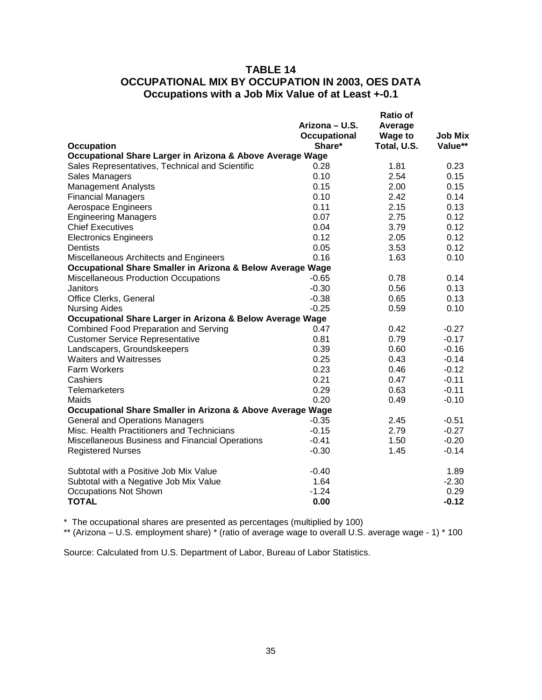### **TABLE 14 OCCUPATIONAL MIX BY OCCUPATION IN 2003, OES DATA Occupations with a Job Mix Value of at Least +-0.1**

|                                                            | Arizona – U.S.<br><b>Occupational</b> | <b>Ratio of</b><br>Average<br><b>Wage to</b> | <b>Job Mix</b> |
|------------------------------------------------------------|---------------------------------------|----------------------------------------------|----------------|
| <b>Occupation</b>                                          | Share*                                | Total, U.S.                                  | Value**        |
| Occupational Share Larger in Arizona & Above Average Wage  |                                       |                                              |                |
| Sales Representatives, Technical and Scientific            | 0.28                                  | 1.81                                         | 0.23           |
| Sales Managers                                             | 0.10                                  | 2.54                                         | 0.15           |
| <b>Management Analysts</b>                                 | 0.15                                  | 2.00                                         | 0.15           |
| <b>Financial Managers</b>                                  | 0.10                                  | 2.42                                         | 0.14           |
| Aerospace Engineers                                        | 0.11                                  | 2.15                                         | 0.13           |
| <b>Engineering Managers</b>                                | 0.07                                  | 2.75                                         | 0.12           |
| <b>Chief Executives</b>                                    | 0.04                                  | 3.79                                         | 0.12           |
| <b>Electronics Engineers</b>                               | 0.12                                  | 2.05                                         | 0.12           |
| Dentists                                                   | 0.05                                  | 3.53                                         | 0.12           |
| Miscellaneous Architects and Engineers                     | 0.16                                  | 1.63                                         | 0.10           |
| Occupational Share Smaller in Arizona & Below Average Wage |                                       |                                              |                |
| <b>Miscellaneous Production Occupations</b>                | $-0.65$                               | 0.78                                         | 0.14           |
| Janitors                                                   | $-0.30$                               | 0.56                                         | 0.13           |
| Office Clerks, General                                     | $-0.38$                               | 0.65                                         | 0.13           |
| <b>Nursing Aides</b>                                       | $-0.25$                               | 0.59                                         | 0.10           |
| Occupational Share Larger in Arizona & Below Average Wage  |                                       |                                              |                |
| <b>Combined Food Preparation and Serving</b>               | 0.47                                  | 0.42                                         | $-0.27$        |
| <b>Customer Service Representative</b>                     | 0.81                                  | 0.79                                         | $-0.17$        |
| Landscapers, Groundskeepers                                | 0.39                                  | 0.60                                         | $-0.16$        |
| <b>Waiters and Waitresses</b>                              | 0.25                                  | 0.43                                         | $-0.14$        |
| <b>Farm Workers</b>                                        | 0.23                                  | 0.46                                         | $-0.12$        |
| Cashiers                                                   | 0.21                                  | 0.47                                         | $-0.11$        |
| <b>Telemarketers</b>                                       | 0.29                                  | 0.63                                         | $-0.11$        |
| Maids                                                      | 0.20                                  | 0.49                                         | $-0.10$        |
| Occupational Share Smaller in Arizona & Above Average Wage |                                       |                                              |                |
| <b>General and Operations Managers</b>                     | $-0.35$                               | 2.45                                         | $-0.51$        |
| Misc. Health Practitioners and Technicians                 | $-0.15$                               | 2.79                                         | $-0.27$        |
| Miscellaneous Business and Financial Operations            | $-0.41$                               | 1.50                                         | $-0.20$        |
| <b>Registered Nurses</b>                                   | $-0.30$                               | 1.45                                         | $-0.14$        |
|                                                            |                                       |                                              |                |
| Subtotal with a Positive Job Mix Value                     | $-0.40$                               |                                              | 1.89           |
| Subtotal with a Negative Job Mix Value                     | 1.64                                  |                                              | $-2.30$        |
| <b>Occupations Not Shown</b>                               | $-1.24$                               |                                              | 0.29           |
| <b>TOTAL</b>                                               | 0.00                                  |                                              | $-0.12$        |

\* The occupational shares are presented as percentages (multiplied by 100)

\*\* (Arizona – U.S. employment share) \* (ratio of average wage to overall U.S. average wage - 1) \* 100

Source: Calculated from U.S. Department of Labor, Bureau of Labor Statistics.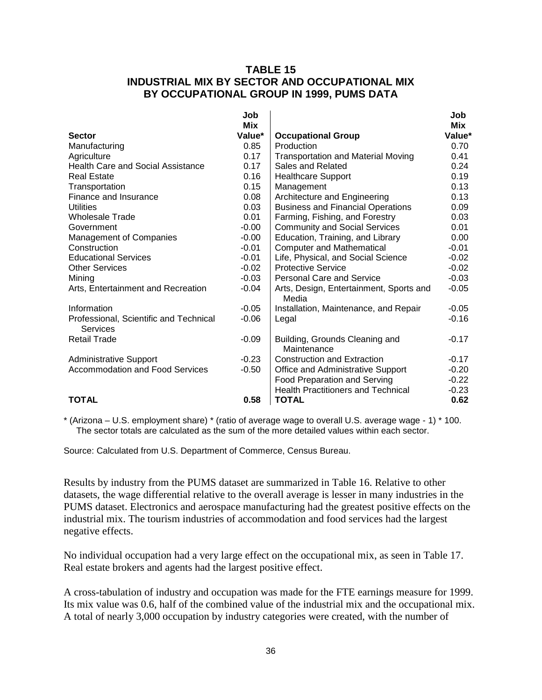### **TABLE 15 INDUSTRIAL MIX BY SECTOR AND OCCUPATIONAL MIX BY OCCUPATIONAL GROUP IN 1999, PUMS DATA**

|                                                    | Job     |                                                  | Job     |
|----------------------------------------------------|---------|--------------------------------------------------|---------|
|                                                    | Mix     |                                                  | Mix     |
| <b>Sector</b>                                      | Value*  | <b>Occupational Group</b>                        | Value*  |
| Manufacturing                                      | 0.85    | Production                                       | 0.70    |
| Agriculture                                        | 0.17    | <b>Transportation and Material Moving</b>        | 0.41    |
| <b>Health Care and Social Assistance</b>           | 0.17    | Sales and Related                                | 0.24    |
| <b>Real Estate</b>                                 | 0.16    | <b>Healthcare Support</b>                        | 0.19    |
| Transportation                                     | 0.15    | Management                                       | 0.13    |
| Finance and Insurance                              | 0.08    | Architecture and Engineering                     | 0.13    |
| <b>Utilities</b>                                   | 0.03    | <b>Business and Financial Operations</b>         | 0.09    |
| <b>Wholesale Trade</b>                             | 0.01    | Farming, Fishing, and Forestry                   | 0.03    |
| Government                                         | $-0.00$ | <b>Community and Social Services</b>             | 0.01    |
| <b>Management of Companies</b>                     | $-0.00$ | Education, Training, and Library                 | 0.00    |
| Construction                                       | $-0.01$ | <b>Computer and Mathematical</b>                 | $-0.01$ |
| <b>Educational Services</b>                        | $-0.01$ | Life, Physical, and Social Science               | $-0.02$ |
| <b>Other Services</b>                              | $-0.02$ | <b>Protective Service</b>                        | $-0.02$ |
| Mining                                             | $-0.03$ | <b>Personal Care and Service</b>                 | $-0.03$ |
| Arts, Entertainment and Recreation                 | $-0.04$ | Arts, Design, Entertainment, Sports and<br>Media | $-0.05$ |
| Information                                        | $-0.05$ | Installation, Maintenance, and Repair            | $-0.05$ |
| Professional, Scientific and Technical<br>Services | $-0.06$ | Legal                                            | $-0.16$ |
| <b>Retail Trade</b>                                | $-0.09$ | Building, Grounds Cleaning and<br>Maintenance    | $-0.17$ |
| <b>Administrative Support</b>                      | $-0.23$ | <b>Construction and Extraction</b>               | $-0.17$ |
| <b>Accommodation and Food Services</b>             | $-0.50$ | Office and Administrative Support                | $-0.20$ |
|                                                    |         | <b>Food Preparation and Serving</b>              | $-0.22$ |
|                                                    |         | <b>Health Practitioners and Technical</b>        | $-0.23$ |
| <b>TOTAL</b>                                       | 0.58    | TOTAL                                            | 0.62    |

\* (Arizona – U.S. employment share) \* (ratio of average wage to overall U.S. average wage - 1) \* 100. The sector totals are calculated as the sum of the more detailed values within each sector.

Source: Calculated from U.S. Department of Commerce, Census Bureau.

Results by industry from the PUMS dataset are summarized in Table 16. Relative to other datasets, the wage differential relative to the overall average is lesser in many industries in the PUMS dataset. Electronics and aerospace manufacturing had the greatest positive effects on the industrial mix. The tourism industries of accommodation and food services had the largest negative effects.

No individual occupation had a very large effect on the occupational mix, as seen in Table 17. Real estate brokers and agents had the largest positive effect.

A cross-tabulation of industry and occupation was made for the FTE earnings measure for 1999. Its mix value was 0.6, half of the combined value of the industrial mix and the occupational mix. A total of nearly 3,000 occupation by industry categories were created, with the number of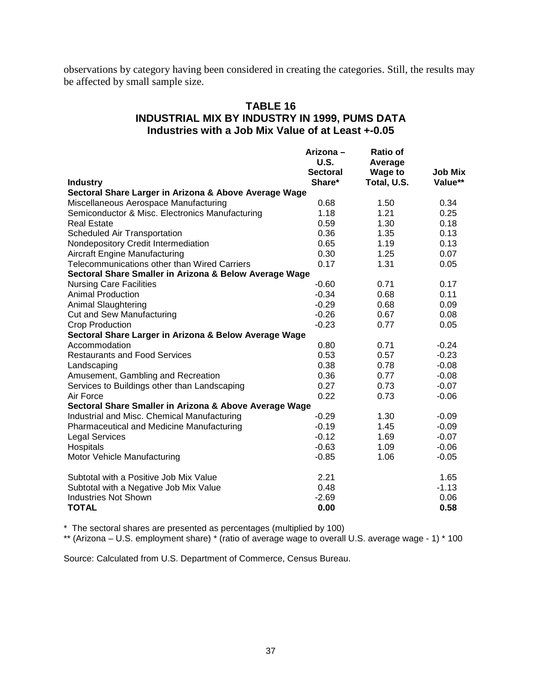observations by category having been considered in creating the categories. Still, the results may be affected by small sample size.

### **TABLE 16 INDUSTRIAL MIX BY INDUSTRY IN 1999, PUMS DATA Industries with a Job Mix Value of at Least +-0.05**

|                                                        | Arizona –       | <b>Ratio of</b> |                |
|--------------------------------------------------------|-----------------|-----------------|----------------|
|                                                        | U.S.            | Average         |                |
|                                                        | <b>Sectoral</b> | <b>Wage to</b>  | <b>Job Mix</b> |
| <b>Industry</b>                                        | Share*          | Total, U.S.     | Value**        |
| Sectoral Share Larger in Arizona & Above Average Wage  |                 |                 |                |
| Miscellaneous Aerospace Manufacturing                  | 0.68            | 1.50            | 0.34           |
| Semiconductor & Misc. Electronics Manufacturing        | 1.18            | 1.21            | 0.25           |
| <b>Real Estate</b>                                     | 0.59            | 1.30            | 0.18           |
| Scheduled Air Transportation                           | 0.36            | 1.35            | 0.13           |
| Nondepository Credit Intermediation                    | 0.65            | 1.19            | 0.13           |
| <b>Aircraft Engine Manufacturing</b>                   | 0.30            | 1.25            | 0.07           |
| Telecommunications other than Wired Carriers           | 0.17            | 1.31            | 0.05           |
| Sectoral Share Smaller in Arizona & Below Average Wage |                 |                 |                |
| <b>Nursing Care Facilities</b>                         | $-0.60$         | 0.71            | 0.17           |
| <b>Animal Production</b>                               | $-0.34$         | 0.68            | 0.11           |
| <b>Animal Slaughtering</b>                             | $-0.29$         | 0.68            | 0.09           |
| <b>Cut and Sew Manufacturing</b>                       | $-0.26$         | 0.67            | 0.08           |
| Crop Production                                        | $-0.23$         | 0.77            | 0.05           |
| Sectoral Share Larger in Arizona & Below Average Wage  |                 |                 |                |
| Accommodation                                          | 0.80            | 0.71            | $-0.24$        |
| <b>Restaurants and Food Services</b>                   | 0.53            | 0.57            | $-0.23$        |
| Landscaping                                            | 0.38            | 0.78            | $-0.08$        |
| Amusement, Gambling and Recreation                     | 0.36            | 0.77            | $-0.08$        |
| Services to Buildings other than Landscaping           | 0.27            | 0.73            | $-0.07$        |
| Air Force                                              | 0.22            | 0.73            | $-0.06$        |
| Sectoral Share Smaller in Arizona & Above Average Wage |                 |                 |                |
| Industrial and Misc. Chemical Manufacturing            | $-0.29$         | 1.30            | $-0.09$        |
| Pharmaceutical and Medicine Manufacturing              | $-0.19$         | 1.45            | $-0.09$        |
| <b>Legal Services</b>                                  | $-0.12$         | 1.69            | $-0.07$        |
| Hospitals                                              | $-0.63$         | 1.09            | $-0.06$        |
| Motor Vehicle Manufacturing                            | $-0.85$         | 1.06            | $-0.05$        |
| Subtotal with a Positive Job Mix Value                 | 2.21            |                 | 1.65           |
| Subtotal with a Negative Job Mix Value                 | 0.48            |                 | $-1.13$        |
| <b>Industries Not Shown</b>                            | $-2.69$         |                 | 0.06           |
| <b>TOTAL</b>                                           | 0.00            |                 | 0.58           |

\* The sectoral shares are presented as percentages (multiplied by 100)

\*\* (Arizona – U.S. employment share) \* (ratio of average wage to overall U.S. average wage - 1) \* 100

Source: Calculated from U.S. Department of Commerce, Census Bureau.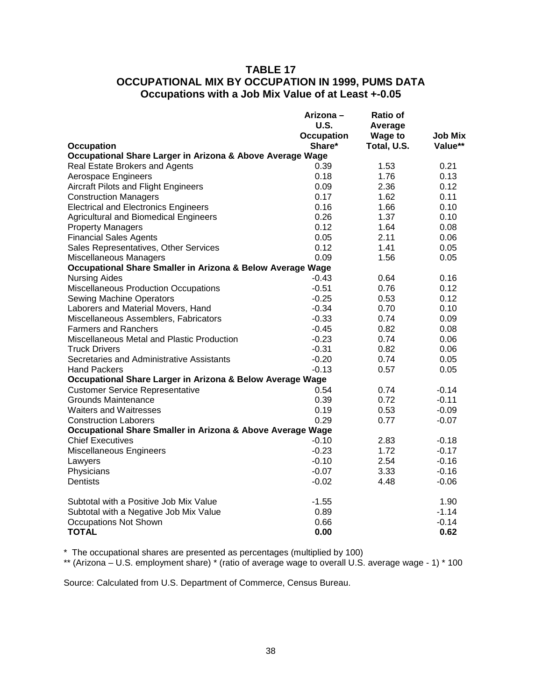### **TABLE 17 OCCUPATIONAL MIX BY OCCUPATION IN 1999, PUMS DATA Occupations with a Job Mix Value of at Least +-0.05**

|                                                            | Arizona –         | Ratio of       |                |
|------------------------------------------------------------|-------------------|----------------|----------------|
|                                                            | U.S.              | Average        |                |
|                                                            | <b>Occupation</b> | <b>Wage to</b> | <b>Job Mix</b> |
| Occupation                                                 | Share*            | Total, U.S.    | Value**        |
| Occupational Share Larger in Arizona & Above Average Wage  |                   |                |                |
| Real Estate Brokers and Agents                             | 0.39              | 1.53           | 0.21           |
| Aerospace Engineers                                        | 0.18              | 1.76           | 0.13           |
| Aircraft Pilots and Flight Engineers                       | 0.09              | 2.36           | 0.12           |
| <b>Construction Managers</b>                               | 0.17              | 1.62           | 0.11           |
| <b>Electrical and Electronics Engineers</b>                | 0.16              | 1.66           | 0.10           |
| <b>Agricultural and Biomedical Engineers</b>               | 0.26              | 1.37           | 0.10           |
| <b>Property Managers</b>                                   | 0.12              | 1.64           | 0.08           |
| <b>Financial Sales Agents</b>                              | 0.05              | 2.11           | 0.06           |
| Sales Representatives, Other Services                      | 0.12              | 1.41           | 0.05           |
| Miscellaneous Managers                                     | 0.09              | 1.56           | 0.05           |
| Occupational Share Smaller in Arizona & Below Average Wage |                   |                |                |
| <b>Nursing Aides</b>                                       | -0.43             | 0.64           | 0.16           |
| <b>Miscellaneous Production Occupations</b>                | $-0.51$           | 0.76           | 0.12           |
| <b>Sewing Machine Operators</b>                            | $-0.25$           | 0.53           | 0.12           |
| Laborers and Material Movers, Hand                         | $-0.34$           | 0.70           | 0.10           |
| Miscellaneous Assemblers, Fabricators                      | $-0.33$           | 0.74           | 0.09           |
| <b>Farmers and Ranchers</b>                                | $-0.45$           | 0.82           | 0.08           |
| Miscellaneous Metal and Plastic Production                 | $-0.23$           | 0.74           | 0.06           |
| <b>Truck Drivers</b>                                       | $-0.31$           | 0.82           | 0.06           |
| Secretaries and Administrative Assistants                  | $-0.20$           | 0.74           | 0.05           |
| <b>Hand Packers</b>                                        | $-0.13$           | 0.57           | 0.05           |
| Occupational Share Larger in Arizona & Below Average Wage  |                   |                |                |
| <b>Customer Service Representative</b>                     | 0.54              | 0.74           | $-0.14$        |
| <b>Grounds Maintenance</b>                                 | 0.39              | 0.72           | $-0.11$        |
| <b>Waiters and Waitresses</b>                              | 0.19              | 0.53           | $-0.09$        |
| <b>Construction Laborers</b>                               | 0.29              | 0.77           | $-0.07$        |
| Occupational Share Smaller in Arizona & Above Average Wage |                   |                |                |
| <b>Chief Executives</b>                                    | $-0.10$           | 2.83           | $-0.18$        |
| Miscellaneous Engineers                                    | $-0.23$           | 1.72           | $-0.17$        |
| Lawyers                                                    | $-0.10$           | 2.54           | $-0.16$        |
| Physicians                                                 | $-0.07$           | 3.33           | $-0.16$        |
| <b>Dentists</b>                                            | $-0.02$           | 4.48           | $-0.06$        |
| Subtotal with a Positive Job Mix Value                     | $-1.55$           |                | 1.90           |
| Subtotal with a Negative Job Mix Value                     | 0.89              |                | $-1.14$        |
| <b>Occupations Not Shown</b>                               | 0.66              |                | $-0.14$        |
| <b>TOTAL</b>                                               | 0.00              |                | 0.62           |

\* The occupational shares are presented as percentages (multiplied by 100)

\*\* (Arizona – U.S. employment share) \* (ratio of average wage to overall U.S. average wage - 1) \* 100

Source: Calculated from U.S. Department of Commerce, Census Bureau.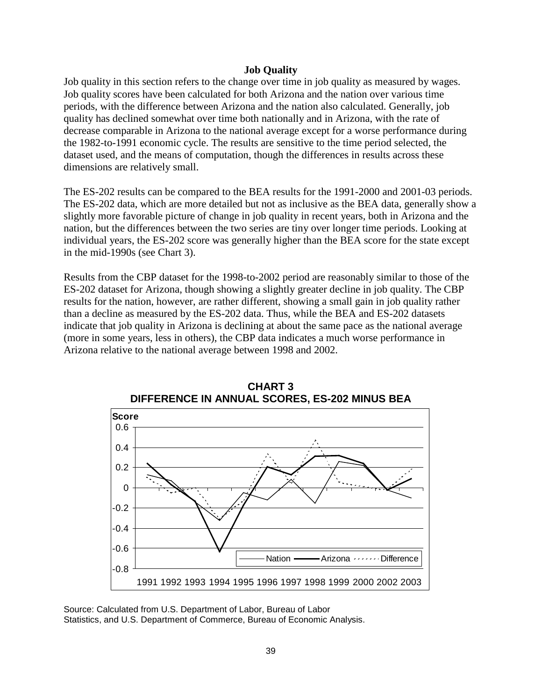#### **Job Quality**

Job quality in this section refers to the change over time in job quality as measured by wages. Job quality scores have been calculated for both Arizona and the nation over various time periods, with the difference between Arizona and the nation also calculated. Generally, job quality has declined somewhat over time both nationally and in Arizona, with the rate of decrease comparable in Arizona to the national average except for a worse performance during the 1982-to-1991 economic cycle. The results are sensitive to the time period selected, the dataset used, and the means of computation, though the differences in results across these dimensions are relatively small.

The ES-202 results can be compared to the BEA results for the 1991-2000 and 2001-03 periods. The ES-202 data, which are more detailed but not as inclusive as the BEA data, generally show a slightly more favorable picture of change in job quality in recent years, both in Arizona and the nation, but the differences between the two series are tiny over longer time periods. Looking at individual years, the ES-202 score was generally higher than the BEA score for the state except in the mid-1990s (see Chart 3).

Results from the CBP dataset for the 1998-to-2002 period are reasonably similar to those of the ES-202 dataset for Arizona, though showing a slightly greater decline in job quality. The CBP results for the nation, however, are rather different, showing a small gain in job quality rather than a decline as measured by the ES-202 data. Thus, while the BEA and ES-202 datasets indicate that job quality in Arizona is declining at about the same pace as the national average (more in some years, less in others), the CBP data indicates a much worse performance in Arizona relative to the national average between 1998 and 2002.





Source: Calculated from U.S. Department of Labor, Bureau of Labor Statistics, and U.S. Department of Commerce, Bureau of Economic Analysis.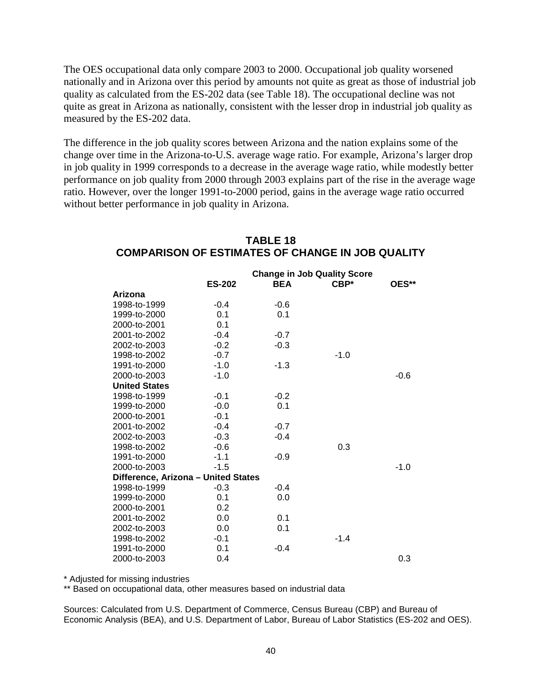The OES occupational data only compare 2003 to 2000. Occupational job quality worsened nationally and in Arizona over this period by amounts not quite as great as those of industrial job quality as calculated from the ES-202 data (see Table 18). The occupational decline was not quite as great in Arizona as nationally, consistent with the lesser drop in industrial job quality as measured by the ES-202 data.

The difference in the job quality scores between Arizona and the nation explains some of the change over time in the Arizona-to-U.S. average wage ratio. For example, Arizona's larger drop in job quality in 1999 corresponds to a decrease in the average wage ratio, while modestly better performance on job quality from 2000 through 2003 explains part of the rise in the average wage ratio. However, over the longer 1991-to-2000 period, gains in the average wage ratio occurred without better performance in job quality in Arizona.

|                                     | <b>Change in Job Quality Score</b> |            |        |        |
|-------------------------------------|------------------------------------|------------|--------|--------|
|                                     | <b>ES-202</b>                      | <b>BEA</b> | $CBP*$ | OES**  |
| Arizona                             |                                    |            |        |        |
| 1998-to-1999                        | $-0.4$                             | $-0.6$     |        |        |
| 1999-to-2000                        | 0.1                                | 0.1        |        |        |
| 2000-to-2001                        | 0.1                                |            |        |        |
| 2001-to-2002                        | $-0.4$                             | $-0.7$     |        |        |
| 2002-to-2003                        | $-0.2$                             | $-0.3$     |        |        |
| 1998-to-2002                        | $-0.7$                             |            | $-1.0$ |        |
| 1991-to-2000                        | $-1.0$                             | $-1.3$     |        |        |
| 2000-to-2003                        | $-1.0$                             |            |        | $-0.6$ |
| <b>United States</b>                |                                    |            |        |        |
| 1998-to-1999                        | $-0.1$                             | $-0.2$     |        |        |
| 1999-to-2000                        | $-0.0$                             | 0.1        |        |        |
| 2000-to-2001                        | $-0.1$                             |            |        |        |
| 2001-to-2002                        | $-0.4$                             | $-0.7$     |        |        |
| 2002-to-2003                        | $-0.3$                             | $-0.4$     |        |        |
| 1998-to-2002                        | $-0.6$                             |            | 0.3    |        |
| 1991-to-2000                        | $-1.1$                             | $-0.9$     |        |        |
| 2000-to-2003                        | $-1.5$                             |            |        | $-1.0$ |
| Difference, Arizona - United States |                                    |            |        |        |
| 1998-to-1999                        | $-0.3$                             | $-0.4$     |        |        |
| 1999-to-2000                        | 0.1                                | 0.0        |        |        |
| 2000-to-2001                        | 0.2                                |            |        |        |
| 2001-to-2002                        | 0.0                                | 0.1        |        |        |
| 2002-to-2003                        | 0.0                                | 0.1        |        |        |
| 1998-to-2002                        | $-0.1$                             |            | $-1.4$ |        |
| 1991-to-2000                        | 0.1                                | $-0.4$     |        |        |
| 2000-to-2003                        | 0.4                                |            |        | 0.3    |

# **TABLE 18 COMPARISON OF ESTIMATES OF CHANGE IN JOB QUALITY**

\* Adjusted for missing industries

\*\* Based on occupational data, other measures based on industrial data

Sources: Calculated from U.S. Department of Commerce, Census Bureau (CBP) and Bureau of Economic Analysis (BEA), and U.S. Department of Labor, Bureau of Labor Statistics (ES-202 and OES).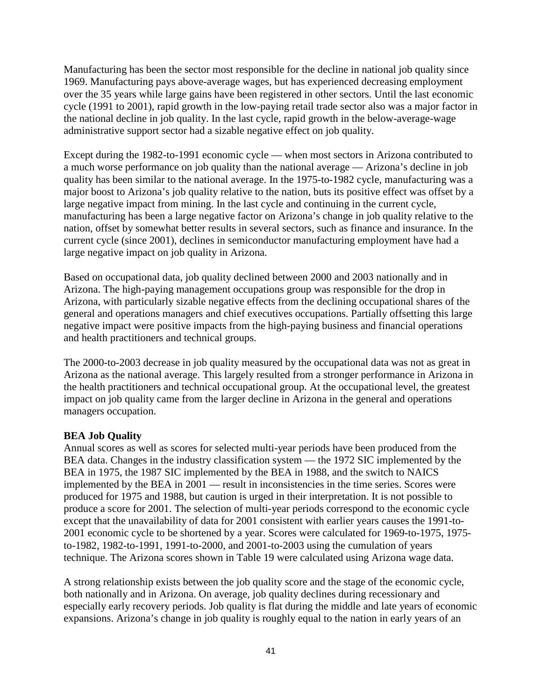Manufacturing has been the sector most responsible for the decline in national job quality since 1969. Manufacturing pays above-average wages, but has experienced decreasing employment over the 35 years while large gains have been registered in other sectors. Until the last economic cycle (1991 to 2001), rapid growth in the low-paying retail trade sector also was a major factor in the national decline in job quality. In the last cycle, rapid growth in the below-average-wage administrative support sector had a sizable negative effect on job quality.

Except during the 1982-to-1991 economic cycle — when most sectors in Arizona contributed to a much worse performance on job quality than the national average — Arizona's decline in job quality has been similar to the national average. In the 1975-to-1982 cycle, manufacturing was a major boost to Arizona's job quality relative to the nation, buts its positive effect was offset by a large negative impact from mining. In the last cycle and continuing in the current cycle, manufacturing has been a large negative factor on Arizona's change in job quality relative to the nation, offset by somewhat better results in several sectors, such as finance and insurance. In the current cycle (since 2001), declines in semiconductor manufacturing employment have had a large negative impact on job quality in Arizona.

Based on occupational data, job quality declined between 2000 and 2003 nationally and in Arizona. The high-paying management occupations group was responsible for the drop in Arizona, with particularly sizable negative effects from the declining occupational shares of the general and operations managers and chief executives occupations. Partially offsetting this large negative impact were positive impacts from the high-paying business and financial operations and health practitioners and technical groups.

The 2000-to-2003 decrease in job quality measured by the occupational data was not as great in Arizona as the national average. This largely resulted from a stronger performance in Arizona in the health practitioners and technical occupational group. At the occupational level, the greatest impact on job quality came from the larger decline in Arizona in the general and operations managers occupation.

### **BEA Job Quality**

Annual scores as well as scores for selected multi-year periods have been produced from the BEA data. Changes in the industry classification system — the 1972 SIC implemented by the BEA in 1975, the 1987 SIC implemented by the BEA in 1988, and the switch to NAICS implemented by the BEA in 2001 — result in inconsistencies in the time series. Scores were produced for 1975 and 1988, but caution is urged in their interpretation. It is not possible to produce a score for 2001. The selection of multi-year periods correspond to the economic cycle except that the unavailability of data for 2001 consistent with earlier years causes the 1991-to-2001 economic cycle to be shortened by a year. Scores were calculated for 1969-to-1975, 1975 to-1982, 1982-to-1991, 1991-to-2000, and 2001-to-2003 using the cumulation of years technique. The Arizona scores shown in Table 19 were calculated using Arizona wage data.

A strong relationship exists between the job quality score and the stage of the economic cycle, both nationally and in Arizona. On average, job quality declines during recessionary and especially early recovery periods. Job quality is flat during the middle and late years of economic expansions. Arizona's change in job quality is roughly equal to the nation in early years of an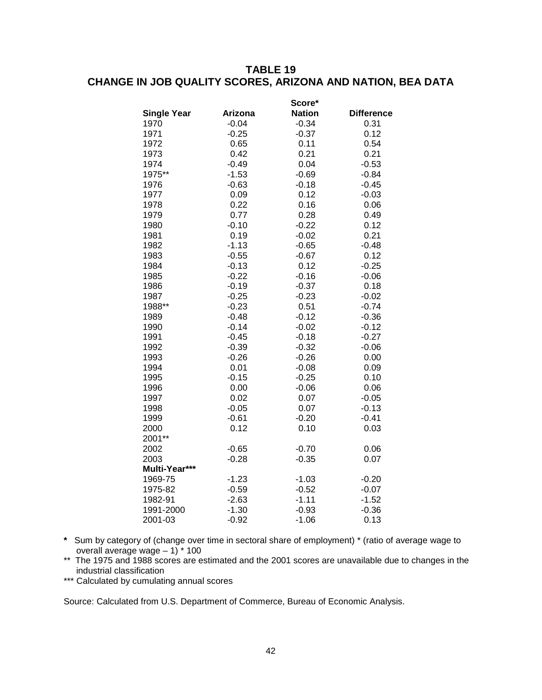### **TABLE 19 CHANGE IN JOB QUALITY SCORES, ARIZONA AND NATION, BEA DATA**

|                    |         | Score*        |                   |
|--------------------|---------|---------------|-------------------|
| <b>Single Year</b> | Arizona | <b>Nation</b> | <b>Difference</b> |
| 1970               | $-0.04$ | $-0.34$       | 0.31              |
| 1971               | $-0.25$ | $-0.37$       | 0.12              |
| 1972               | 0.65    | 0.11          | 0.54              |
| 1973               | 0.42    | 0.21          | 0.21              |
| 1974               | $-0.49$ | 0.04          | $-0.53$           |
| 1975**             | $-1.53$ | $-0.69$       | $-0.84$           |
| 1976               | $-0.63$ | $-0.18$       | $-0.45$           |
| 1977               | 0.09    | 0.12          | $-0.03$           |
| 1978               | 0.22    | 0.16          | 0.06              |
| 1979               | 0.77    | 0.28          | 0.49              |
| 1980               | $-0.10$ | $-0.22$       | 0.12              |
| 1981               | 0.19    | $-0.02$       | 0.21              |
| 1982               | $-1.13$ | $-0.65$       | $-0.48$           |
| 1983               | $-0.55$ | $-0.67$       | 0.12              |
| 1984               | $-0.13$ | 0.12          | $-0.25$           |
| 1985               | $-0.22$ | $-0.16$       | $-0.06$           |
| 1986               | $-0.19$ | $-0.37$       | 0.18              |
| 1987               | $-0.25$ | $-0.23$       | $-0.02$           |
| 1988**             | $-0.23$ | 0.51          | $-0.74$           |
| 1989               | $-0.48$ | $-0.12$       | $-0.36$           |
| 1990               | $-0.14$ | $-0.02$       | $-0.12$           |
| 1991               | $-0.45$ | $-0.18$       | $-0.27$           |
| 1992               | $-0.39$ | $-0.32$       | $-0.06$           |
| 1993               | $-0.26$ | $-0.26$       | 0.00              |
| 1994               | 0.01    | $-0.08$       | 0.09              |
| 1995               | $-0.15$ | $-0.25$       | 0.10              |
| 1996               | 0.00    | $-0.06$       | 0.06              |
| 1997               | 0.02    | 0.07          | $-0.05$           |
| 1998               | $-0.05$ | 0.07          | $-0.13$           |
| 1999               | $-0.61$ | $-0.20$       | $-0.41$           |
| 2000               | 0.12    | 0.10          | 0.03              |
| 2001**             |         |               |                   |
| 2002               | $-0.65$ | $-0.70$       | 0.06              |
| 2003               | $-0.28$ | $-0.35$       | 0.07              |
| Multi-Year***      |         |               |                   |
| 1969-75            | $-1.23$ | $-1.03$       | $-0.20$           |
| 1975-82            | $-0.59$ | $-0.52$       | $-0.07$           |
| 1982-91            | $-2.63$ | $-1.11$       | $-1.52$           |
| 1991-2000          | $-1.30$ | $-0.93$       | $-0.36$           |
| 2001-03            | $-0.92$ | $-1.06$       | 0.13              |

- **\*** Sum by category of (change over time in sectoral share of employment) \* (ratio of average wage to overall average wage – 1) \* 100
- \*\* The 1975 and 1988 scores are estimated and the 2001 scores are unavailable due to changes in the industrial classification
- \*\*\* Calculated by cumulating annual scores

Source: Calculated from U.S. Department of Commerce, Bureau of Economic Analysis.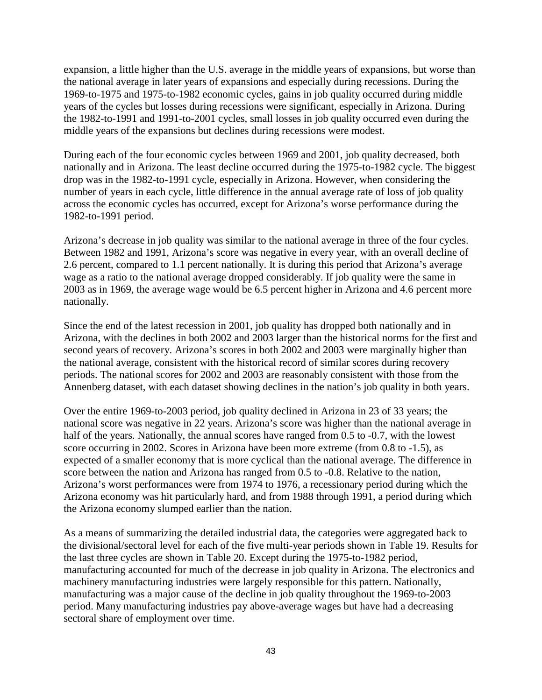expansion, a little higher than the U.S. average in the middle years of expansions, but worse than the national average in later years of expansions and especially during recessions. During the 1969-to-1975 and 1975-to-1982 economic cycles, gains in job quality occurred during middle years of the cycles but losses during recessions were significant, especially in Arizona. During the 1982-to-1991 and 1991-to-2001 cycles, small losses in job quality occurred even during the middle years of the expansions but declines during recessions were modest.

During each of the four economic cycles between 1969 and 2001, job quality decreased, both nationally and in Arizona. The least decline occurred during the 1975-to-1982 cycle. The biggest drop was in the 1982-to-1991 cycle, especially in Arizona. However, when considering the number of years in each cycle, little difference in the annual average rate of loss of job quality across the economic cycles has occurred, except for Arizona's worse performance during the 1982-to-1991 period.

Arizona's decrease in job quality was similar to the national average in three of the four cycles. Between 1982 and 1991, Arizona's score was negative in every year, with an overall decline of 2.6 percent, compared to 1.1 percent nationally. It is during this period that Arizona's average wage as a ratio to the national average dropped considerably. If job quality were the same in 2003 as in 1969, the average wage would be 6.5 percent higher in Arizona and 4.6 percent more nationally.

Since the end of the latest recession in 2001, job quality has dropped both nationally and in Arizona, with the declines in both 2002 and 2003 larger than the historical norms for the first and second years of recovery. Arizona's scores in both 2002 and 2003 were marginally higher than the national average, consistent with the historical record of similar scores during recovery periods. The national scores for 2002 and 2003 are reasonably consistent with those from the Annenberg dataset, with each dataset showing declines in the nation's job quality in both years.

Over the entire 1969-to-2003 period, job quality declined in Arizona in 23 of 33 years; the national score was negative in 22 years. Arizona's score was higher than the national average in half of the years. Nationally, the annual scores have ranged from 0.5 to -0.7, with the lowest score occurring in 2002. Scores in Arizona have been more extreme (from 0.8 to -1.5), as expected of a smaller economy that is more cyclical than the national average. The difference in score between the nation and Arizona has ranged from 0.5 to -0.8. Relative to the nation, Arizona's worst performances were from 1974 to 1976, a recessionary period during which the Arizona economy was hit particularly hard, and from 1988 through 1991, a period during which the Arizona economy slumped earlier than the nation.

As a means of summarizing the detailed industrial data, the categories were aggregated back to the divisional/sectoral level for each of the five multi-year periods shown in Table 19. Results for the last three cycles are shown in Table 20. Except during the 1975-to-1982 period, manufacturing accounted for much of the decrease in job quality in Arizona. The electronics and machinery manufacturing industries were largely responsible for this pattern. Nationally, manufacturing was a major cause of the decline in job quality throughout the 1969-to-2003 period. Many manufacturing industries pay above-average wages but have had a decreasing sectoral share of employment over time.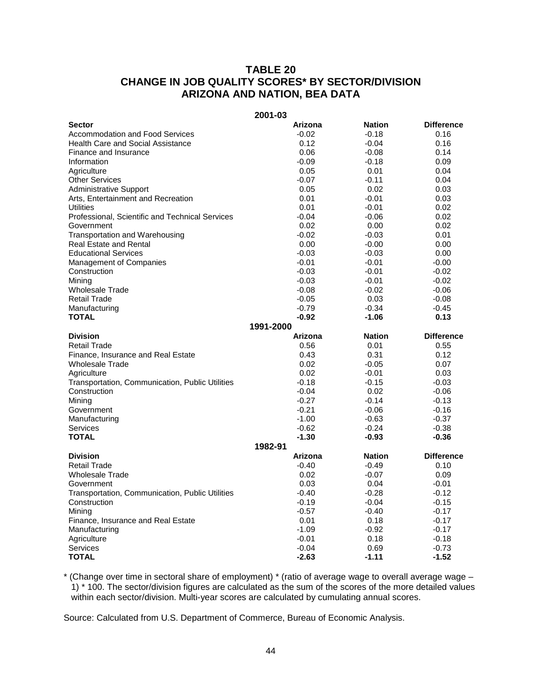## **TABLE 20 CHANGE IN JOB QUALITY SCORES\* BY SECTOR/DIVISION ARIZONA AND NATION, BEA DATA**

#### **2001-03**

| <b>Sector</b>                                   | Arizona   | <b>Nation</b> | <b>Difference</b> |
|-------------------------------------------------|-----------|---------------|-------------------|
| <b>Accommodation and Food Services</b>          | $-0.02$   | $-0.18$       | 0.16              |
| <b>Health Care and Social Assistance</b>        | 0.12      | $-0.04$       | 0.16              |
| Finance and Insurance                           | 0.06      | $-0.08$       | 0.14              |
| Information                                     | $-0.09$   | $-0.18$       | 0.09              |
| Agriculture                                     | 0.05      | 0.01          | 0.04              |
| <b>Other Services</b>                           | $-0.07$   | $-0.11$       | 0.04              |
| <b>Administrative Support</b>                   | 0.05      | 0.02          | 0.03              |
| Arts, Entertainment and Recreation              | 0.01      | $-0.01$       | 0.03              |
| <b>Utilities</b>                                | 0.01      | $-0.01$       | 0.02              |
| Professional, Scientific and Technical Services | $-0.04$   | $-0.06$       | 0.02              |
| Government                                      | 0.02      | 0.00          | 0.02              |
| Transportation and Warehousing                  | $-0.02$   | $-0.03$       | 0.01              |
| <b>Real Estate and Rental</b>                   | 0.00      | $-0.00$       | 0.00              |
| <b>Educational Services</b>                     | $-0.03$   | $-0.03$       | 0.00              |
| Management of Companies                         | $-0.01$   | $-0.01$       | $-0.00$           |
| Construction                                    | $-0.03$   | $-0.01$       | $-0.02$           |
| Mining                                          | $-0.03$   | -0.01         | $-0.02$           |
| <b>Wholesale Trade</b>                          | $-0.08$   | $-0.02$       | $-0.06$           |
| <b>Retail Trade</b>                             | $-0.05$   | 0.03          | $-0.08$           |
| Manufacturing                                   | $-0.79$   | $-0.34$       | $-0.45$           |
| <b>TOTAL</b>                                    | $-0.92$   | $-1.06$       | 0.13              |
|                                                 | 1991-2000 |               |                   |
| <b>Division</b>                                 | Arizona   | <b>Nation</b> | <b>Difference</b> |
| Retail Trade                                    | 0.56      | 0.01          | 0.55              |
| Finance, Insurance and Real Estate              | 0.43      | 0.31          | 0.12              |
| <b>Wholesale Trade</b>                          | 0.02      | $-0.05$       | 0.07              |
| Agriculture                                     | 0.02      | $-0.01$       | 0.03              |
| Transportation, Communication, Public Utilities | $-0.18$   | $-0.15$       | $-0.03$           |
| Construction                                    | $-0.04$   | 0.02          | $-0.06$           |
| Mining                                          | $-0.27$   | $-0.14$       | $-0.13$           |
| Government                                      | $-0.21$   | $-0.06$       | $-0.16$           |
| Manufacturing                                   | $-1.00$   | $-0.63$       | $-0.37$           |
| <b>Services</b>                                 | $-0.62$   | $-0.24$       | $-0.38$           |
| <b>TOTAL</b>                                    | $-1.30$   | -0.93         | $-0.36$           |
|                                                 | 1982-91   |               |                   |
| <b>Division</b>                                 | Arizona   | <b>Nation</b> | <b>Difference</b> |
| Retail Trade                                    | $-0.40$   | $-0.49$       | 0.10              |
| <b>Wholesale Trade</b>                          | 0.02      | $-0.07$       | 0.09              |
| Government                                      | 0.03      | 0.04          | $-0.01$           |
| Transportation, Communication, Public Utilities | -0.40     | $-0.28$       | $-0.12$           |
| Construction                                    | -0.19     | $-0.04$       | $-0.15$           |
| Mining                                          | $-0.57$   | $-0.40$       | $-0.17$           |
| Finance, Insurance and Real Estate              | 0.01      | 0.18          | $-0.17$           |
| Manufacturing                                   | $-1.09$   | -0.92         | $-0.17$           |
| Agriculture                                     | $-0.01$   | 0.18          | $-0.18$           |
| Services                                        | $-0.04$   | 0.69          | $-0.73$           |
| <b>TOTAL</b>                                    | $-2.63$   | $-1.11$       | $-1.52$           |

\* (Change over time in sectoral share of employment) \* (ratio of average wage to overall average wage – 1) \* 100. The sector/division figures are calculated as the sum of the scores of the more detailed values within each sector/division. Multi-year scores are calculated by cumulating annual scores.

Source: Calculated from U.S. Department of Commerce, Bureau of Economic Analysis.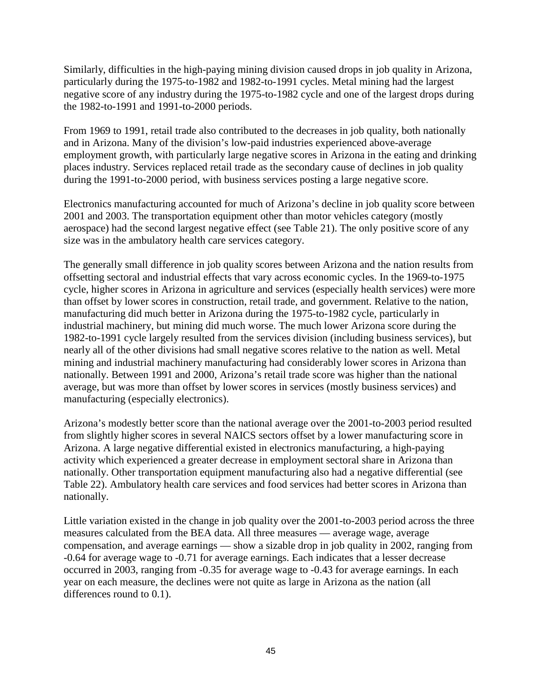Similarly, difficulties in the high-paying mining division caused drops in job quality in Arizona, particularly during the 1975-to-1982 and 1982-to-1991 cycles. Metal mining had the largest negative score of any industry during the 1975-to-1982 cycle and one of the largest drops during the 1982-to-1991 and 1991-to-2000 periods.

From 1969 to 1991, retail trade also contributed to the decreases in job quality, both nationally and in Arizona. Many of the division's low-paid industries experienced above-average employment growth, with particularly large negative scores in Arizona in the eating and drinking places industry. Services replaced retail trade as the secondary cause of declines in job quality during the 1991-to-2000 period, with business services posting a large negative score.

Electronics manufacturing accounted for much of Arizona's decline in job quality score between 2001 and 2003. The transportation equipment other than motor vehicles category (mostly aerospace) had the second largest negative effect (see Table 21). The only positive score of any size was in the ambulatory health care services category.

The generally small difference in job quality scores between Arizona and the nation results from offsetting sectoral and industrial effects that vary across economic cycles. In the 1969-to-1975 cycle, higher scores in Arizona in agriculture and services (especially health services) were more than offset by lower scores in construction, retail trade, and government. Relative to the nation, manufacturing did much better in Arizona during the 1975-to-1982 cycle, particularly in industrial machinery, but mining did much worse. The much lower Arizona score during the 1982-to-1991 cycle largely resulted from the services division (including business services), but nearly all of the other divisions had small negative scores relative to the nation as well. Metal mining and industrial machinery manufacturing had considerably lower scores in Arizona than nationally. Between 1991 and 2000, Arizona's retail trade score was higher than the national average, but was more than offset by lower scores in services (mostly business services) and manufacturing (especially electronics).

Arizona's modestly better score than the national average over the 2001-to-2003 period resulted from slightly higher scores in several NAICS sectors offset by a lower manufacturing score in Arizona. A large negative differential existed in electronics manufacturing, a high-paying activity which experienced a greater decrease in employment sectoral share in Arizona than nationally. Other transportation equipment manufacturing also had a negative differential (see Table 22). Ambulatory health care services and food services had better scores in Arizona than nationally.

Little variation existed in the change in job quality over the 2001-to-2003 period across the three measures calculated from the BEA data. All three measures — average wage, average compensation, and average earnings — show a sizable drop in job quality in 2002, ranging from -0.64 for average wage to -0.71 for average earnings. Each indicates that a lesser decrease occurred in 2003, ranging from -0.35 for average wage to -0.43 for average earnings. In each year on each measure, the declines were not quite as large in Arizona as the nation (all differences round to 0.1).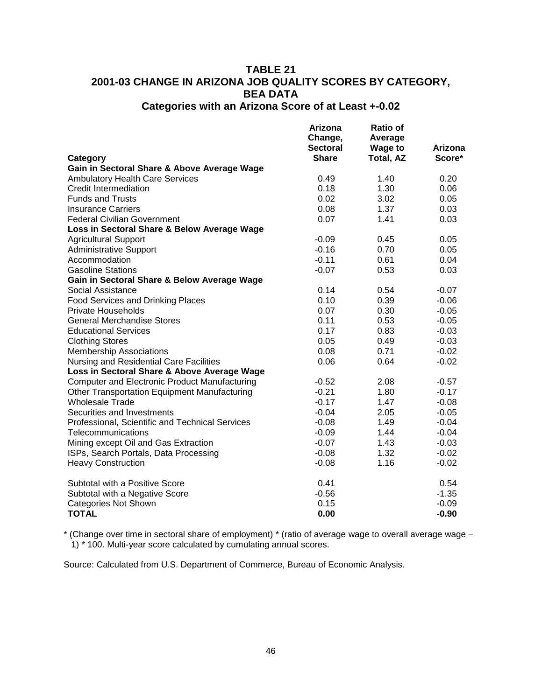#### **TABLE 21 2001-03 CHANGE IN ARIZONA JOB QUALITY SCORES BY CATEGORY, BEA DATA Categories with an Arizona Score of at Least +-0.02**

**Category Arizona Change, Sectoral Share Ratio of Average Wage to Total, AZ Arizona Score\* Gain in Sectoral Share & Above Average Wage** Ambulatory Health Care Services  $0.49$  and  $0.49$  and  $0.20$  0.20 0.20 0.20 0.06 Credit Intermediation 0.18 1.30 0.06<br>
Funds and Trusts 0.02 3.02 0.05 Funds and Trusts **6.02** 3.02 Insurance Carriers **1.37** 0.03 1.37 0.03 Federal Civilian Government **1.41** 0.03 and 0.07 1.41 0.03 **Loss in Sectoral Share & Below Average Wage** Agricultural Support 1990 1005 1006 1006 1007 1008 1009 1008 1009 1008 1009 1008 1009 1008 1009 100 100 100 10 Administrative Support -0.16 0.70 0.05 Accommodation 0.04 **Accommodation** 0.04 **0.04** Gasoline Stations -0.07 0.53 0.03 **Gain in Sectoral Share & Below Average Wage** Social Assistance **0.14** 0.54 -0.07 Food Services and Drinking Places  $0.10$  0.39  $-0.06$ <br>Private Households  $0.07$  0.30  $-0.05$ Private Households<br>
General Merchandise Stores<br>
General Merchandise Stores<br>
20.05 -0.05 General Merchandise Stores Educational Services 0.17 0.83 -0.03 Clothing Stores Membership Associations **0.08** 0.71 -0.02 Nursing and Residential Care Facilities  $0.06$  0.06 0.64 -0.02 **Loss in Sectoral Share & Above Average Wage** Computer and Electronic Product Manufacturing  $-0.52$  2.08  $-0.57$ Other Transportation Equipment Manufacturing  $\begin{array}{ccc}\n\text{Observe} & -0.21 & 1.80 \\
\text{Whole} & -0.17 & 1.47\n\end{array}$ Wholesale Trade  $-0.17$   $-1.47$ Securities and Investments **COLLACTER 10.04** -0.04 2.05 -0.05 Professional, Scientific and Technical Services -0.08 1.49 -0.04<br>Telecommunications -0.09 1.44 -0.04 Telecommunications -0.09 1.44 -0.04<br>Mining except Oil and Gas Extraction -0.07 -0.07 -0.43 -0.03 Mining except Oil and Gas Extraction  $-0.07$ ISPs, Search Portals, Data Processing -0.08 1.32 -0.02 Heavy Construction Subtotal with a Positive Score 0.41 0.54 Subtotal with a Negative Score<br>Categories Not Shown -0.09 -0.15 -0.09 -0.09 Categories Not Shown 0.15 **TOTAL 0.00 -0.90**

\* (Change over time in sectoral share of employment) \* (ratio of average wage to overall average wage – 1) \* 100. Multi-year score calculated by cumulating annual scores.

Source: Calculated from U.S. Department of Commerce, Bureau of Economic Analysis.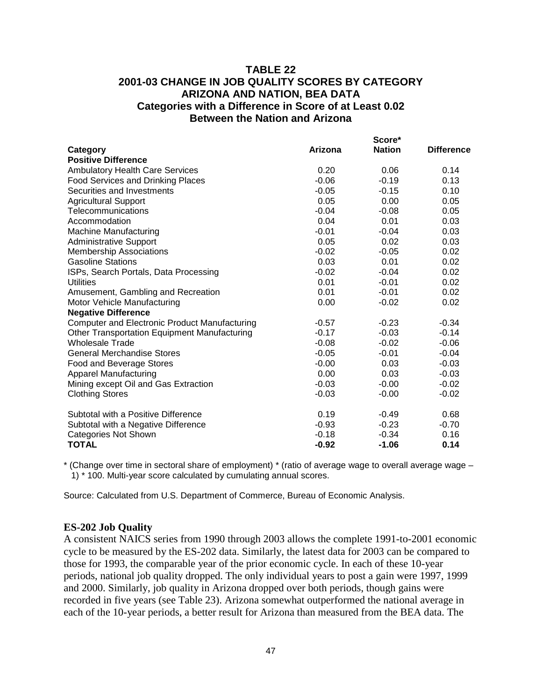### **TABLE 22 2001-03 CHANGE IN JOB QUALITY SCORES BY CATEGORY ARIZONA AND NATION, BEA DATA Categories with a Difference in Score of at Least 0.02 Between the Nation and Arizona**

|                                                     |         | Score*        |                   |
|-----------------------------------------------------|---------|---------------|-------------------|
| Category                                            | Arizona | <b>Nation</b> | <b>Difference</b> |
| <b>Positive Difference</b>                          |         |               |                   |
| <b>Ambulatory Health Care Services</b>              | 0.20    | 0.06          | 0.14              |
| <b>Food Services and Drinking Places</b>            | $-0.06$ | $-0.19$       | 0.13              |
| Securities and Investments                          | $-0.05$ | $-0.15$       | 0.10              |
| <b>Agricultural Support</b>                         | 0.05    | 0.00          | 0.05              |
| Telecommunications                                  | $-0.04$ | $-0.08$       | 0.05              |
| Accommodation                                       | 0.04    | 0.01          | 0.03              |
| <b>Machine Manufacturing</b>                        | $-0.01$ | $-0.04$       | 0.03              |
| <b>Administrative Support</b>                       | 0.05    | 0.02          | 0.03              |
| <b>Membership Associations</b>                      | $-0.02$ | $-0.05$       | 0.02              |
| <b>Gasoline Stations</b>                            | 0.03    | 0.01          | 0.02              |
| ISPs, Search Portals, Data Processing               | $-0.02$ | $-0.04$       | 0.02              |
| Utilities                                           | 0.01    | $-0.01$       | 0.02              |
| Amusement, Gambling and Recreation                  | 0.01    | $-0.01$       | 0.02              |
| Motor Vehicle Manufacturing                         | 0.00    | $-0.02$       | 0.02              |
| <b>Negative Difference</b>                          |         |               |                   |
| Computer and Electronic Product Manufacturing       | $-0.57$ | $-0.23$       | $-0.34$           |
| <b>Other Transportation Equipment Manufacturing</b> | $-0.17$ | $-0.03$       | $-0.14$           |
| <b>Wholesale Trade</b>                              | $-0.08$ | $-0.02$       | $-0.06$           |
| <b>General Merchandise Stores</b>                   | $-0.05$ | $-0.01$       | $-0.04$           |
| Food and Beverage Stores                            | $-0.00$ | 0.03          | $-0.03$           |
| <b>Apparel Manufacturing</b>                        | 0.00    | 0.03          | $-0.03$           |
| Mining except Oil and Gas Extraction                | $-0.03$ | $-0.00$       | $-0.02$           |
| <b>Clothing Stores</b>                              | $-0.03$ | $-0.00$       | $-0.02$           |
| Subtotal with a Positive Difference                 | 0.19    | $-0.49$       | 0.68              |
| Subtotal with a Negative Difference                 | $-0.93$ | $-0.23$       | $-0.70$           |
| <b>Categories Not Shown</b>                         | $-0.18$ | $-0.34$       | 0.16              |
| <b>TOTAL</b>                                        | $-0.92$ | $-1.06$       | 0.14              |

\* (Change over time in sectoral share of employment) \* (ratio of average wage to overall average wage – 1) \* 100. Multi-year score calculated by cumulating annual scores.

Source: Calculated from U.S. Department of Commerce, Bureau of Economic Analysis.

#### **ES-202 Job Quality**

A consistent NAICS series from 1990 through 2003 allows the complete 1991-to-2001 economic cycle to be measured by the ES-202 data. Similarly, the latest data for 2003 can be compared to those for 1993, the comparable year of the prior economic cycle. In each of these 10-year periods, national job quality dropped. The only individual years to post a gain were 1997, 1999 and 2000. Similarly, job quality in Arizona dropped over both periods, though gains were recorded in five years (see Table 23). Arizona somewhat outperformed the national average in each of the 10-year periods, a better result for Arizona than measured from the BEA data. The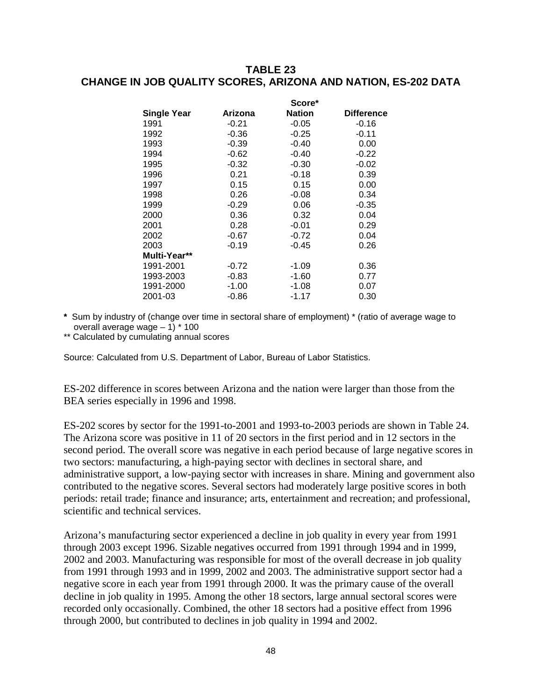### **TABLE 23 CHANGE IN JOB QUALITY SCORES, ARIZONA AND NATION, ES-202 DATA**

|                    |         | Score*        |                   |
|--------------------|---------|---------------|-------------------|
| <b>Single Year</b> | Arizona | <b>Nation</b> | <b>Difference</b> |
| 1991               | $-0.21$ | $-0.05$       | $-0.16$           |
| 1992               | $-0.36$ | $-0.25$       | $-0.11$           |
| 1993               | $-0.39$ | $-0.40$       | 0.00              |
| 1994               | $-0.62$ | $-0.40$       | $-0.22$           |
| 1995               | $-0.32$ | $-0.30$       | $-0.02$           |
| 1996               | 0.21    | $-0.18$       | 0.39              |
| 1997               | 0.15    | 0.15          | 0.00              |
| 1998               | 0.26    | $-0.08$       | 0.34              |
| 1999               | $-0.29$ | 0.06          | $-0.35$           |
| 2000               | 0.36    | 0.32          | 0.04              |
| 2001               | 0.28    | $-0.01$       | 0.29              |
| 2002               | $-0.67$ | $-0.72$       | 0.04              |
| 2003               | $-0.19$ | $-0.45$       | 0.26              |
| Multi-Year**       |         |               |                   |
| 1991-2001          | $-0.72$ | $-1.09$       | 0.36              |
| 1993-2003          | $-0.83$ | $-1.60$       | 0.77              |
| 1991-2000          | $-1.00$ | $-1.08$       | 0.07              |
| 2001-03            | $-0.86$ | -1.17         | 0.30              |

- **\*** Sum by industry of (change over time in sectoral share of employment) \* (ratio of average wage to overall average wage – 1) \* 100
- \*\* Calculated by cumulating annual scores

Source: Calculated from U.S. Department of Labor, Bureau of Labor Statistics.

ES-202 difference in scores between Arizona and the nation were larger than those from the BEA series especially in 1996 and 1998.

ES-202 scores by sector for the 1991-to-2001 and 1993-to-2003 periods are shown in Table 24. The Arizona score was positive in 11 of 20 sectors in the first period and in 12 sectors in the second period. The overall score was negative in each period because of large negative scores in two sectors: manufacturing, a high-paying sector with declines in sectoral share, and administrative support, a low-paying sector with increases in share. Mining and government also contributed to the negative scores. Several sectors had moderately large positive scores in both periods: retail trade; finance and insurance; arts, entertainment and recreation; and professional, scientific and technical services.

Arizona's manufacturing sector experienced a decline in job quality in every year from 1991 through 2003 except 1996. Sizable negatives occurred from 1991 through 1994 and in 1999, 2002 and 2003. Manufacturing was responsible for most of the overall decrease in job quality from 1991 through 1993 and in 1999, 2002 and 2003. The administrative support sector had a negative score in each year from 1991 through 2000. It was the primary cause of the overall decline in job quality in 1995. Among the other 18 sectors, large annual sectoral scores were recorded only occasionally. Combined, the other 18 sectors had a positive effect from 1996 through 2000, but contributed to declines in job quality in 1994 and 2002.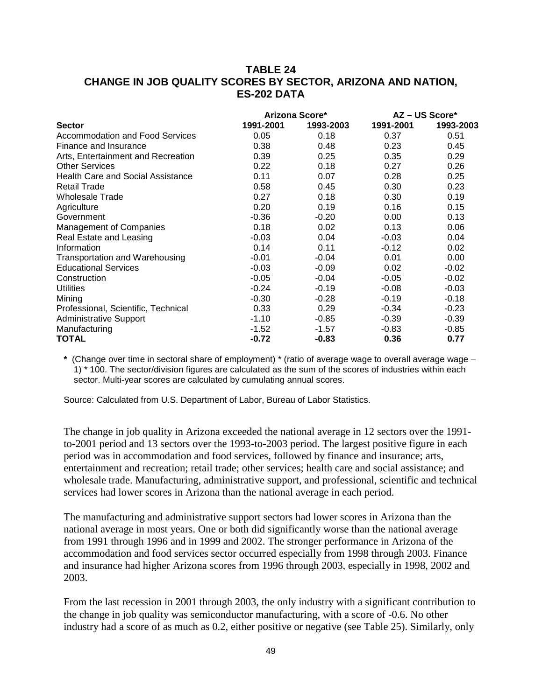## **TABLE 24 CHANGE IN JOB QUALITY SCORES BY SECTOR, ARIZONA AND NATION, ES-202 DATA**

| Arizona Score*                         |           |           |           | $AZ - US Score^*$ |  |
|----------------------------------------|-----------|-----------|-----------|-------------------|--|
| <b>Sector</b>                          | 1991-2001 | 1993-2003 | 1991-2001 | 1993-2003         |  |
| <b>Accommodation and Food Services</b> | 0.05      | 0.18      | 0.37      | 0.51              |  |
| Finance and Insurance                  | 0.38      | 0.48      | 0.23      | 0.45              |  |
| Arts, Entertainment and Recreation     | 0.39      | 0.25      | 0.35      | 0.29              |  |
| <b>Other Services</b>                  | 0.22      | 0.18      | 0.27      | 0.26              |  |
| Health Care and Social Assistance      | 0.11      | 0.07      | 0.28      | 0.25              |  |
| <b>Retail Trade</b>                    | 0.58      | 0.45      | 0.30      | 0.23              |  |
| <b>Wholesale Trade</b>                 | 0.27      | 0.18      | 0.30      | 0.19              |  |
| Agriculture                            | 0.20      | 0.19      | 0.16      | 0.15              |  |
| Government                             | $-0.36$   | $-0.20$   | 0.00      | 0.13              |  |
| <b>Management of Companies</b>         | 0.18      | 0.02      | 0.13      | 0.06              |  |
| Real Estate and Leasing                | $-0.03$   | 0.04      | $-0.03$   | 0.04              |  |
| Information                            | 0.14      | 0.11      | $-0.12$   | 0.02              |  |
| Transportation and Warehousing         | $-0.01$   | $-0.04$   | 0.01      | 0.00              |  |
| <b>Educational Services</b>            | $-0.03$   | $-0.09$   | 0.02      | $-0.02$           |  |
| Construction                           | $-0.05$   | $-0.04$   | $-0.05$   | $-0.02$           |  |
| <b>Utilities</b>                       | $-0.24$   | $-0.19$   | $-0.08$   | $-0.03$           |  |
| Mining                                 | $-0.30$   | $-0.28$   | $-0.19$   | $-0.18$           |  |
| Professional, Scientific, Technical    | 0.33      | 0.29      | $-0.34$   | $-0.23$           |  |
| <b>Administrative Support</b>          | $-1.10$   | $-0.85$   | $-0.39$   | $-0.39$           |  |
| Manufacturing                          | $-1.52$   | $-1.57$   | $-0.83$   | $-0.85$           |  |
| <b>TOTAL</b>                           | $-0.72$   | $-0.83$   | 0.36      | 0.77              |  |

\* (Change over time in sectoral share of employment) \* (ratio of average wage to overall average wage -1) \* 100. The sector/division figures are calculated as the sum of the scores of industries within each sector. Multi-year scores are calculated by cumulating annual scores.

Source: Calculated from U.S. Department of Labor, Bureau of Labor Statistics.

The change in job quality in Arizona exceeded the national average in 12 sectors over the 1991 to-2001 period and 13 sectors over the 1993-to-2003 period. The largest positive figure in each period was in accommodation and food services, followed by finance and insurance; arts, entertainment and recreation; retail trade; other services; health care and social assistance; and wholesale trade. Manufacturing, administrative support, and professional, scientific and technical services had lower scores in Arizona than the national average in each period.

The manufacturing and administrative support sectors had lower scores in Arizona than the national average in most years. One or both did significantly worse than the national average from 1991 through 1996 and in 1999 and 2002. The stronger performance in Arizona of the accommodation and food services sector occurred especially from 1998 through 2003. Finance and insurance had higher Arizona scores from 1996 through 2003, especially in 1998, 2002 and 2003.

From the last recession in 2001 through 2003, the only industry with a significant contribution to the change in job quality was semiconductor manufacturing, with a score of -0.6. No other industry had a score of as much as 0.2, either positive or negative (see Table 25). Similarly, only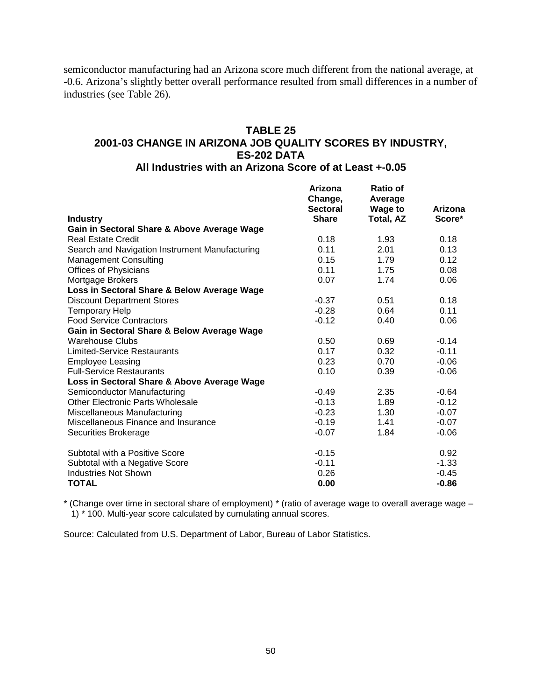semiconductor manufacturing had an Arizona score much different from the national average, at -0.6. Arizona's slightly better overall performance resulted from small differences in a number of industries (see Table 26).

# **TABLE 25 2001-03 CHANGE IN ARIZONA JOB QUALITY SCORES BY INDUSTRY, ES-202 DATA**

### **All Industries with an Arizona Score of at Least +-0.05**

|                                                | Arizona<br>Change, | Ratio of<br>Average |         |
|------------------------------------------------|--------------------|---------------------|---------|
|                                                | <b>Sectoral</b>    | <b>Wage to</b>      | Arizona |
| <b>Industry</b>                                | <b>Share</b>       | Total, AZ           | Score*  |
| Gain in Sectoral Share & Above Average Wage    |                    |                     |         |
| <b>Real Estate Credit</b>                      | 0.18               | 1.93                | 0.18    |
| Search and Navigation Instrument Manufacturing | 0.11               | 2.01                | 0.13    |
| <b>Management Consulting</b>                   | 0.15               | 1.79                | 0.12    |
| <b>Offices of Physicians</b>                   | 0.11               | 1.75                | 0.08    |
| Mortgage Brokers                               | 0.07               | 1.74                | 0.06    |
| Loss in Sectoral Share & Below Average Wage    |                    |                     |         |
| <b>Discount Department Stores</b>              | $-0.37$            | 0.51                | 0.18    |
| <b>Temporary Help</b>                          | $-0.28$            | 0.64                | 0.11    |
| <b>Food Service Contractors</b>                | $-0.12$            | 0.40                | 0.06    |
| Gain in Sectoral Share & Below Average Wage    |                    |                     |         |
| Warehouse Clubs                                | 0.50               | 0.69                | $-0.14$ |
| <b>Limited-Service Restaurants</b>             | 0.17               | 0.32                | $-0.11$ |
| <b>Employee Leasing</b>                        | 0.23               | 0.70                | $-0.06$ |
| <b>Full-Service Restaurants</b>                | 0.10               | 0.39                | $-0.06$ |
| Loss in Sectoral Share & Above Average Wage    |                    |                     |         |
| Semiconductor Manufacturing                    | $-0.49$            | 2.35                | $-0.64$ |
| Other Electronic Parts Wholesale               | $-0.13$            | 1.89                | $-0.12$ |
| Miscellaneous Manufacturing                    | $-0.23$            | 1.30                | $-0.07$ |
| Miscellaneous Finance and Insurance            | $-0.19$            | 1.41                | $-0.07$ |
| Securities Brokerage                           | $-0.07$            | 1.84                | $-0.06$ |
| Subtotal with a Positive Score                 | $-0.15$            |                     | 0.92    |
| Subtotal with a Negative Score                 | $-0.11$            |                     | $-1.33$ |
| <b>Industries Not Shown</b>                    | 0.26               |                     | $-0.45$ |
| <b>TOTAL</b>                                   | 0.00               |                     | $-0.86$ |

\* (Change over time in sectoral share of employment) \* (ratio of average wage to overall average wage – 1) \* 100. Multi-year score calculated by cumulating annual scores.

Source: Calculated from U.S. Department of Labor, Bureau of Labor Statistics.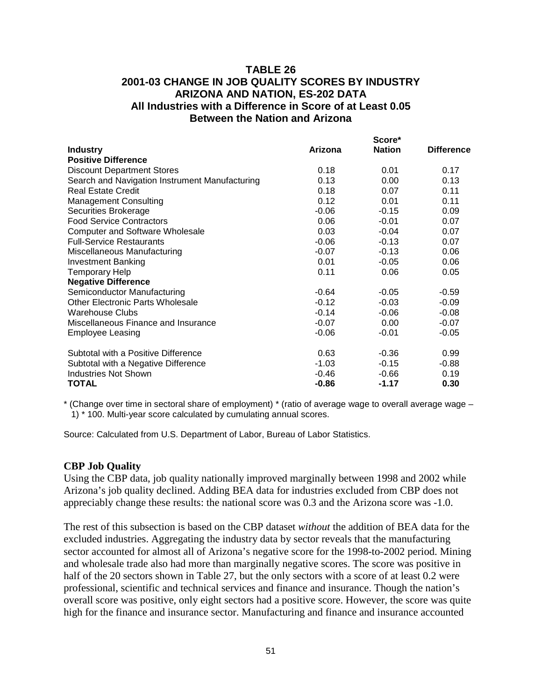### **TABLE 26 2001-03 CHANGE IN JOB QUALITY SCORES BY INDUSTRY ARIZONA AND NATION, ES-202 DATA All Industries with a Difference in Score of at Least 0.05 Between the Nation and Arizona**

|                                                |         | Score*        |                   |
|------------------------------------------------|---------|---------------|-------------------|
| <b>Industry</b>                                | Arizona | <b>Nation</b> | <b>Difference</b> |
| <b>Positive Difference</b>                     |         |               |                   |
| <b>Discount Department Stores</b>              | 0.18    | 0.01          | 0.17              |
| Search and Navigation Instrument Manufacturing | 0.13    | 0.00          | 0.13              |
| <b>Real Estate Credit</b>                      | 0.18    | 0.07          | 0.11              |
| <b>Management Consulting</b>                   | 0.12    | 0.01          | 0.11              |
| Securities Brokerage                           | $-0.06$ | $-0.15$       | 0.09              |
| <b>Food Service Contractors</b>                | 0.06    | $-0.01$       | 0.07              |
| <b>Computer and Software Wholesale</b>         | 0.03    | $-0.04$       | 0.07              |
| <b>Full-Service Restaurants</b>                | $-0.06$ | $-0.13$       | 0.07              |
| Miscellaneous Manufacturing                    | $-0.07$ | $-0.13$       | 0.06              |
| Investment Banking                             | 0.01    | $-0.05$       | 0.06              |
| <b>Temporary Help</b>                          | 0.11    | 0.06          | 0.05              |
| <b>Negative Difference</b>                     |         |               |                   |
| Semiconductor Manufacturing                    | $-0.64$ | $-0.05$       | $-0.59$           |
| <b>Other Electronic Parts Wholesale</b>        | $-0.12$ | $-0.03$       | $-0.09$           |
| Warehouse Clubs                                | $-0.14$ | $-0.06$       | $-0.08$           |
| Miscellaneous Finance and Insurance            | $-0.07$ | 0.00          | $-0.07$           |
| <b>Employee Leasing</b>                        | $-0.06$ | $-0.01$       | $-0.05$           |
| Subtotal with a Positive Difference            | 0.63    | $-0.36$       | 0.99              |
| Subtotal with a Negative Difference            | $-1.03$ | $-0.15$       | $-0.88$           |
| <b>Industries Not Shown</b>                    | $-0.46$ | $-0.66$       | 0.19              |
| <b>TOTAL</b>                                   | $-0.86$ | $-1.17$       | 0.30              |

\* (Change over time in sectoral share of employment) \* (ratio of average wage to overall average wage – 1) \* 100. Multi-year score calculated by cumulating annual scores.

Source: Calculated from U.S. Department of Labor, Bureau of Labor Statistics.

#### **CBP Job Quality**

Using the CBP data, job quality nationally improved marginally between 1998 and 2002 while Arizona's job quality declined. Adding BEA data for industries excluded from CBP does not appreciably change these results: the national score was 0.3 and the Arizona score was -1.0.

The rest of this subsection is based on the CBP dataset *without* the addition of BEA data for the excluded industries. Aggregating the industry data by sector reveals that the manufacturing sector accounted for almost all of Arizona's negative score for the 1998-to-2002 period. Mining and wholesale trade also had more than marginally negative scores. The score was positive in half of the 20 sectors shown in Table 27, but the only sectors with a score of at least 0.2 were professional, scientific and technical services and finance and insurance. Though the nation's overall score was positive, only eight sectors had a positive score. However, the score was quite high for the finance and insurance sector. Manufacturing and finance and insurance accounted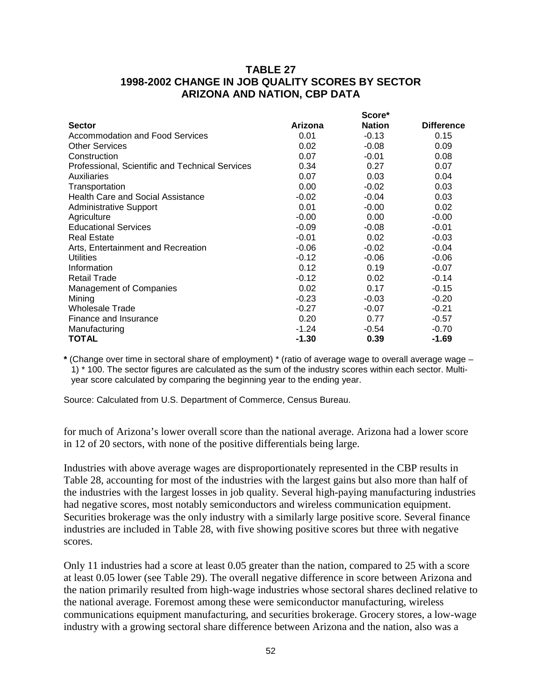### **TABLE 27 1998-2002 CHANGE IN JOB QUALITY SCORES BY SECTOR ARIZONA AND NATION, CBP DATA**

|                                                 |         | Score*        |                   |
|-------------------------------------------------|---------|---------------|-------------------|
| <b>Sector</b>                                   | Arizona | <b>Nation</b> | <b>Difference</b> |
| Accommodation and Food Services                 | 0.01    | $-0.13$       | 0.15              |
| <b>Other Services</b>                           | 0.02    | $-0.08$       | 0.09              |
| Construction                                    | 0.07    | $-0.01$       | 0.08              |
| Professional, Scientific and Technical Services | 0.34    | 0.27          | 0.07              |
| Auxiliaries                                     | 0.07    | 0.03          | 0.04              |
| Transportation                                  | 0.00    | $-0.02$       | 0.03              |
| <b>Health Care and Social Assistance</b>        | $-0.02$ | $-0.04$       | 0.03              |
| <b>Administrative Support</b>                   | 0.01    | $-0.00$       | 0.02              |
| Agriculture                                     | $-0.00$ | 0.00          | $-0.00$           |
| <b>Educational Services</b>                     | $-0.09$ | $-0.08$       | $-0.01$           |
| <b>Real Estate</b>                              | $-0.01$ | 0.02          | $-0.03$           |
| Arts, Entertainment and Recreation              | $-0.06$ | $-0.02$       | $-0.04$           |
| Utilities                                       | $-0.12$ | $-0.06$       | $-0.06$           |
| Information                                     | 0.12    | 0.19          | $-0.07$           |
| <b>Retail Trade</b>                             | $-0.12$ | 0.02          | $-0.14$           |
| <b>Management of Companies</b>                  | 0.02    | 0.17          | $-0.15$           |
| Mining                                          | $-0.23$ | $-0.03$       | $-0.20$           |
| <b>Wholesale Trade</b>                          | $-0.27$ | $-0.07$       | $-0.21$           |
| Finance and Insurance                           | 0.20    | 0.77          | $-0.57$           |
| Manufacturing                                   | $-1.24$ | $-0.54$       | $-0.70$           |
| TOTAL                                           | $-1.30$ | 0.39          | $-1.69$           |

**\*** (Change over time in sectoral share of employment) \* (ratio of average wage to overall average wage – 1) \* 100. The sector figures are calculated as the sum of the industry scores within each sector. Multiyear score calculated by comparing the beginning year to the ending year.

Source: Calculated from U.S. Department of Commerce, Census Bureau.

for much of Arizona's lower overall score than the national average. Arizona had a lower score in 12 of 20 sectors, with none of the positive differentials being large.

Industries with above average wages are disproportionately represented in the CBP results in Table 28, accounting for most of the industries with the largest gains but also more than half of the industries with the largest losses in job quality. Several high-paying manufacturing industries had negative scores, most notably semiconductors and wireless communication equipment. Securities brokerage was the only industry with a similarly large positive score. Several finance industries are included in Table 28, with five showing positive scores but three with negative scores.

Only 11 industries had a score at least 0.05 greater than the nation, compared to 25 with a score at least 0.05 lower (see Table 29). The overall negative difference in score between Arizona and the nation primarily resulted from high-wage industries whose sectoral shares declined relative to the national average. Foremost among these were semiconductor manufacturing, wireless communications equipment manufacturing, and securities brokerage. Grocery stores, a low-wage industry with a growing sectoral share difference between Arizona and the nation, also was a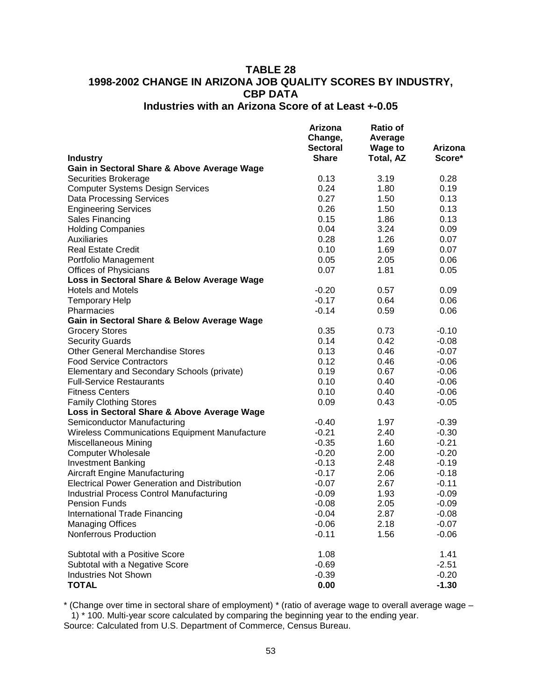### **TABLE 28 1998-2002 CHANGE IN ARIZONA JOB QUALITY SCORES BY INDUSTRY, CBP DATA Industries with an Arizona Score of at Least +-0.05**

|                                                      | Arizona<br>Change,<br><b>Sectoral</b> | <b>Ratio of</b><br>Average<br><b>Wage to</b> | Arizona |
|------------------------------------------------------|---------------------------------------|----------------------------------------------|---------|
| <b>Industry</b>                                      | <b>Share</b>                          | <b>Total, AZ</b>                             | Score*  |
| Gain in Sectoral Share & Above Average Wage          |                                       |                                              |         |
| <b>Securities Brokerage</b>                          | 0.13                                  | 3.19                                         | 0.28    |
| <b>Computer Systems Design Services</b>              | 0.24                                  | 1.80                                         | 0.19    |
| <b>Data Processing Services</b>                      | 0.27                                  | 1.50                                         | 0.13    |
| <b>Engineering Services</b>                          | 0.26                                  | 1.50                                         | 0.13    |
| Sales Financing                                      | 0.15                                  | 1.86                                         | 0.13    |
| <b>Holding Companies</b>                             | 0.04                                  | 3.24                                         | 0.09    |
| <b>Auxiliaries</b>                                   | 0.28                                  | 1.26                                         | 0.07    |
| <b>Real Estate Credit</b>                            | 0.10                                  | 1.69                                         | 0.07    |
| Portfolio Management                                 | 0.05                                  | 2.05                                         | 0.06    |
| <b>Offices of Physicians</b>                         | 0.07                                  | 1.81                                         | 0.05    |
| Loss in Sectoral Share & Below Average Wage          |                                       |                                              |         |
| <b>Hotels and Motels</b>                             | $-0.20$                               | 0.57                                         | 0.09    |
| <b>Temporary Help</b>                                | $-0.17$                               | 0.64                                         | 0.06    |
| Pharmacies                                           | $-0.14$                               | 0.59                                         | 0.06    |
| Gain in Sectoral Share & Below Average Wage          |                                       |                                              |         |
| <b>Grocery Stores</b>                                | 0.35                                  | 0.73                                         | $-0.10$ |
| <b>Security Guards</b>                               | 0.14                                  | 0.42                                         | $-0.08$ |
| <b>Other General Merchandise Stores</b>              | 0.13                                  | 0.46                                         | $-0.07$ |
| <b>Food Service Contractors</b>                      | 0.12                                  | 0.46                                         | $-0.06$ |
| Elementary and Secondary Schools (private)           | 0.19                                  | 0.67                                         | $-0.06$ |
| <b>Full-Service Restaurants</b>                      | 0.10                                  | 0.40                                         | $-0.06$ |
| <b>Fitness Centers</b>                               | 0.10                                  | 0.40                                         | $-0.06$ |
| <b>Family Clothing Stores</b>                        | 0.09                                  | 0.43                                         | $-0.05$ |
| Loss in Sectoral Share & Above Average Wage          |                                       |                                              |         |
| Semiconductor Manufacturing                          | $-0.40$                               | 1.97                                         | $-0.39$ |
| <b>Wireless Communications Equipment Manufacture</b> | $-0.21$                               | 2.40                                         | $-0.30$ |
| Miscellaneous Mining                                 | $-0.35$                               | 1.60                                         | $-0.21$ |
| <b>Computer Wholesale</b>                            | $-0.20$                               | 2.00                                         | $-0.20$ |
| <b>Investment Banking</b>                            | $-0.13$                               | 2.48                                         | $-0.19$ |
| <b>Aircraft Engine Manufacturing</b>                 | $-0.17$                               | 2.06                                         | $-0.18$ |
| <b>Electrical Power Generation and Distribution</b>  | $-0.07$                               | 2.67                                         | $-0.11$ |
| <b>Industrial Process Control Manufacturing</b>      | $-0.09$                               | 1.93                                         | $-0.09$ |
| <b>Pension Funds</b>                                 | $-0.08$                               | 2.05                                         | $-0.09$ |
| <b>International Trade Financing</b>                 | $-0.04$                               | 2.87                                         | $-0.08$ |
| <b>Managing Offices</b>                              | $-0.06$                               | 2.18                                         | $-0.07$ |
| Nonferrous Production                                | $-0.11$                               | 1.56                                         | $-0.06$ |
| Subtotal with a Positive Score                       | 1.08                                  |                                              | 1.41    |
| Subtotal with a Negative Score                       | $-0.69$                               |                                              | $-2.51$ |
| <b>Industries Not Shown</b>                          | $-0.39$                               |                                              | $-0.20$ |
| <b>TOTAL</b>                                         | 0.00                                  |                                              | $-1.30$ |

\* (Change over time in sectoral share of employment) \* (ratio of average wage to overall average wage – 1) \* 100. Multi-year score calculated by comparing the beginning year to the ending year.

Source: Calculated from U.S. Department of Commerce, Census Bureau.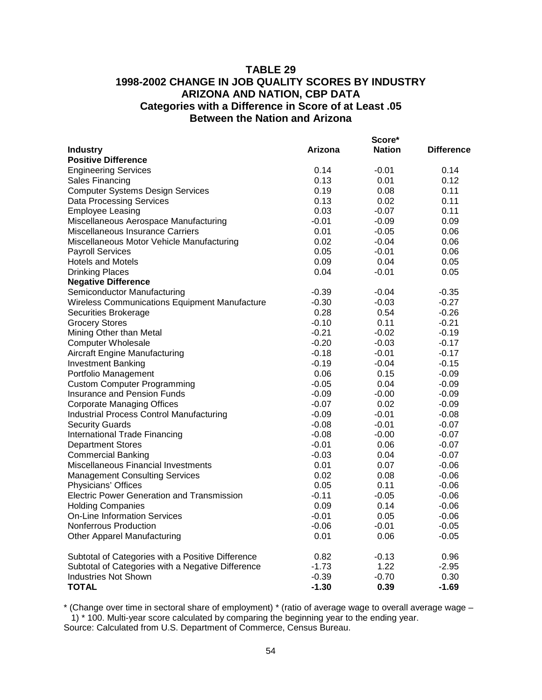### **TABLE 29 1998-2002 CHANGE IN JOB QUALITY SCORES BY INDUSTRY ARIZONA AND NATION, CBP DATA Categories with a Difference in Score of at Least .05 Between the Nation and Arizona**

|                                                   |         | Score*        |                   |
|---------------------------------------------------|---------|---------------|-------------------|
| <b>Industry</b>                                   | Arizona | <b>Nation</b> | <b>Difference</b> |
| <b>Positive Difference</b>                        |         |               |                   |
| <b>Engineering Services</b>                       | 0.14    | $-0.01$       | 0.14              |
| Sales Financing                                   | 0.13    | 0.01          | 0.12              |
| <b>Computer Systems Design Services</b>           | 0.19    | 0.08          | 0.11              |
| <b>Data Processing Services</b>                   | 0.13    | 0.02          | 0.11              |
| <b>Employee Leasing</b>                           | 0.03    | $-0.07$       | 0.11              |
| Miscellaneous Aerospace Manufacturing             | $-0.01$ | $-0.09$       | 0.09              |
| Miscellaneous Insurance Carriers                  | 0.01    | $-0.05$       | 0.06              |
| Miscellaneous Motor Vehicle Manufacturing         | 0.02    | $-0.04$       | 0.06              |
| <b>Payroll Services</b>                           | 0.05    | $-0.01$       | 0.06              |
| <b>Hotels and Motels</b>                          | 0.09    | 0.04          | 0.05              |
| <b>Drinking Places</b>                            | 0.04    | $-0.01$       | 0.05              |
| <b>Negative Difference</b>                        |         |               |                   |
| Semiconductor Manufacturing                       | $-0.39$ | $-0.04$       | $-0.35$           |
| Wireless Communications Equipment Manufacture     | $-0.30$ | $-0.03$       | $-0.27$           |
| Securities Brokerage                              | 0.28    | 0.54          | $-0.26$           |
| <b>Grocery Stores</b>                             | $-0.10$ | 0.11          | $-0.21$           |
| Mining Other than Metal                           | $-0.21$ | $-0.02$       | $-0.19$           |
| <b>Computer Wholesale</b>                         | $-0.20$ | $-0.03$       | $-0.17$           |
| Aircraft Engine Manufacturing                     | $-0.18$ | $-0.01$       | $-0.17$           |
| <b>Investment Banking</b>                         | -0.19   | $-0.04$       | $-0.15$           |
| Portfolio Management                              | 0.06    | 0.15          | $-0.09$           |
| <b>Custom Computer Programming</b>                | $-0.05$ | 0.04          | $-0.09$           |
| Insurance and Pension Funds                       | $-0.09$ | $-0.00$       | $-0.09$           |
| <b>Corporate Managing Offices</b>                 | $-0.07$ | 0.02          | $-0.09$           |
| <b>Industrial Process Control Manufacturing</b>   | $-0.09$ | $-0.01$       | $-0.08$           |
| <b>Security Guards</b>                            | $-0.08$ | $-0.01$       | $-0.07$           |
| International Trade Financing                     | $-0.08$ | $-0.00$       | $-0.07$           |
| <b>Department Stores</b>                          | $-0.01$ | 0.06          | $-0.07$           |
| <b>Commercial Banking</b>                         | $-0.03$ | 0.04          | $-0.07$           |
| Miscellaneous Financial Investments               | 0.01    | 0.07          | $-0.06$           |
| <b>Management Consulting Services</b>             | 0.02    | 0.08          | $-0.06$           |
| Physicians' Offices                               | 0.05    | 0.11          | $-0.06$           |
| <b>Electric Power Generation and Transmission</b> | $-0.11$ | $-0.05$       | $-0.06$           |
| <b>Holding Companies</b>                          | 0.09    | 0.14          | $-0.06$           |
| <b>On-Line Information Services</b>               | $-0.01$ | 0.05          | $-0.06$           |
| Nonferrous Production                             | $-0.06$ | $-0.01$       | $-0.05$           |
| <b>Other Apparel Manufacturing</b>                | 0.01    | 0.06          | $-0.05$           |
| Subtotal of Categories with a Positive Difference | 0.82    | $-0.13$       | 0.96              |
| Subtotal of Categories with a Negative Difference | $-1.73$ | 1.22          | $-2.95$           |
| <b>Industries Not Shown</b>                       | $-0.39$ | $-0.70$       | 0.30              |
| <b>TOTAL</b>                                      | $-1.30$ | 0.39          | $-1.69$           |

\* (Change over time in sectoral share of employment) \* (ratio of average wage to overall average wage – 1) \* 100. Multi-year score calculated by comparing the beginning year to the ending year.

Source: Calculated from U.S. Department of Commerce, Census Bureau.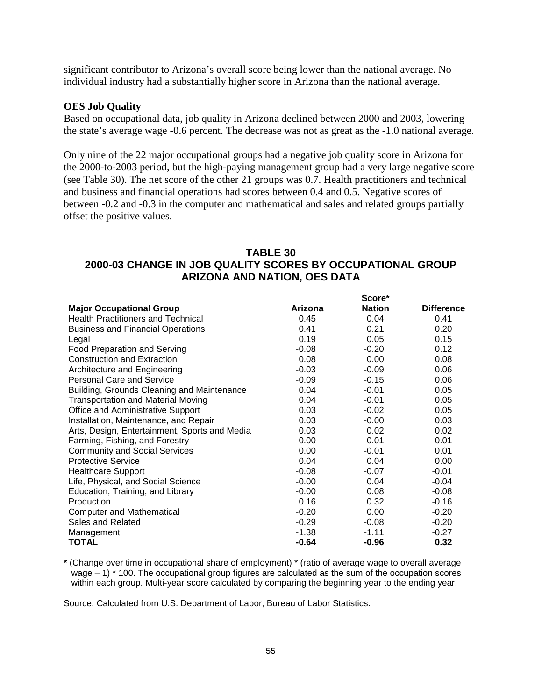significant contributor to Arizona's overall score being lower than the national average. No individual industry had a substantially higher score in Arizona than the national average.

#### **OES Job Quality**

Based on occupational data, job quality in Arizona declined between 2000 and 2003, lowering the state's average wage -0.6 percent. The decrease was not as great as the -1.0 national average.

Only nine of the 22 major occupational groups had a negative job quality score in Arizona for the 2000-to-2003 period, but the high-paying management group had a very large negative score (see Table 30). The net score of the other 21 groups was 0.7. Health practitioners and technical and business and financial operations had scores between 0.4 and 0.5. Negative scores of between -0.2 and -0.3 in the computer and mathematical and sales and related groups partially offset the positive values.

### **TABLE 30 2000-03 CHANGE IN JOB QUALITY SCORES BY OCCUPATIONAL GROUP ARIZONA AND NATION, OES DATA**

|                                               |         | Score*        |                   |
|-----------------------------------------------|---------|---------------|-------------------|
| <b>Major Occupational Group</b>               | Arizona | <b>Nation</b> | <b>Difference</b> |
| <b>Health Practitioners and Technical</b>     | 0.45    | 0.04          | 0.41              |
| <b>Business and Financial Operations</b>      | 0.41    | 0.21          | 0.20              |
| Legal                                         | 0.19    | 0.05          | 0.15              |
| <b>Food Preparation and Serving</b>           | $-0.08$ | $-0.20$       | 0.12              |
| <b>Construction and Extraction</b>            | 0.08    | 0.00          | 0.08              |
| Architecture and Engineering                  | $-0.03$ | $-0.09$       | 0.06              |
| <b>Personal Care and Service</b>              | $-0.09$ | $-0.15$       | 0.06              |
| Building, Grounds Cleaning and Maintenance    | 0.04    | $-0.01$       | 0.05              |
| <b>Transportation and Material Moving</b>     | 0.04    | $-0.01$       | 0.05              |
| Office and Administrative Support             | 0.03    | $-0.02$       | 0.05              |
| Installation, Maintenance, and Repair         | 0.03    | $-0.00$       | 0.03              |
| Arts, Design, Entertainment, Sports and Media | 0.03    | 0.02          | 0.02              |
| Farming, Fishing, and Forestry                | 0.00    | $-0.01$       | 0.01              |
| <b>Community and Social Services</b>          | 0.00    | $-0.01$       | 0.01              |
| <b>Protective Service</b>                     | 0.04    | 0.04          | 0.00              |
| <b>Healthcare Support</b>                     | $-0.08$ | $-0.07$       | $-0.01$           |
| Life, Physical, and Social Science            | $-0.00$ | 0.04          | $-0.04$           |
| Education, Training, and Library              | $-0.00$ | 0.08          | $-0.08$           |
| Production                                    | 0.16    | 0.32          | $-0.16$           |
| Computer and Mathematical                     | $-0.20$ | 0.00          | $-0.20$           |
| Sales and Related                             | $-0.29$ | $-0.08$       | $-0.20$           |
| Management                                    | $-1.38$ | $-1.11$       | $-0.27$           |
| TOTAL                                         | $-0.64$ | $-0.96$       | 0.32              |

**\*** (Change over time in occupational share of employment) \* (ratio of average wage to overall average wage – 1) \* 100. The occupational group figures are calculated as the sum of the occupation scores within each group. Multi-year score calculated by comparing the beginning year to the ending year.

Source: Calculated from U.S. Department of Labor, Bureau of Labor Statistics.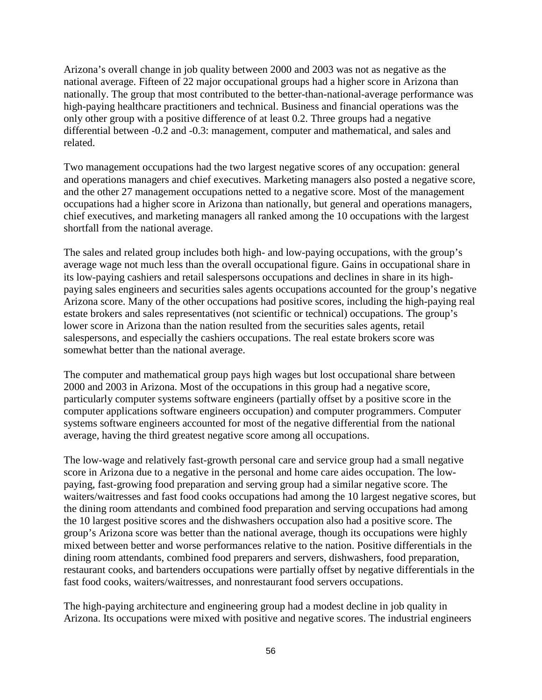Arizona's overall change in job quality between 2000 and 2003 was not as negative as the national average. Fifteen of 22 major occupational groups had a higher score in Arizona than nationally. The group that most contributed to the better-than-national-average performance was high-paying healthcare practitioners and technical. Business and financial operations was the only other group with a positive difference of at least 0.2. Three groups had a negative differential between -0.2 and -0.3: management, computer and mathematical, and sales and related.

Two management occupations had the two largest negative scores of any occupation: general and operations managers and chief executives. Marketing managers also posted a negative score, and the other 27 management occupations netted to a negative score. Most of the management occupations had a higher score in Arizona than nationally, but general and operations managers, chief executives, and marketing managers all ranked among the 10 occupations with the largest shortfall from the national average.

The sales and related group includes both high- and low-paying occupations, with the group's average wage not much less than the overall occupational figure. Gains in occupational share in its low-paying cashiers and retail salespersons occupations and declines in share in its highpaying sales engineers and securities sales agents occupations accounted for the group's negative Arizona score. Many of the other occupations had positive scores, including the high-paying real estate brokers and sales representatives (not scientific or technical) occupations. The group's lower score in Arizona than the nation resulted from the securities sales agents, retail salespersons, and especially the cashiers occupations. The real estate brokers score was somewhat better than the national average.

The computer and mathematical group pays high wages but lost occupational share between 2000 and 2003 in Arizona. Most of the occupations in this group had a negative score, particularly computer systems software engineers (partially offset by a positive score in the computer applications software engineers occupation) and computer programmers. Computer systems software engineers accounted for most of the negative differential from the national average, having the third greatest negative score among all occupations.

The low-wage and relatively fast-growth personal care and service group had a small negative score in Arizona due to a negative in the personal and home care aides occupation. The lowpaying, fast-growing food preparation and serving group had a similar negative score. The waiters/waitresses and fast food cooks occupations had among the 10 largest negative scores, but the dining room attendants and combined food preparation and serving occupations had among the 10 largest positive scores and the dishwashers occupation also had a positive score. The group's Arizona score was better than the national average, though its occupations were highly mixed between better and worse performances relative to the nation. Positive differentials in the dining room attendants, combined food preparers and servers, dishwashers, food preparation, restaurant cooks, and bartenders occupations were partially offset by negative differentials in the fast food cooks, waiters/waitresses, and nonrestaurant food servers occupations.

The high-paying architecture and engineering group had a modest decline in job quality in Arizona. Its occupations were mixed with positive and negative scores. The industrial engineers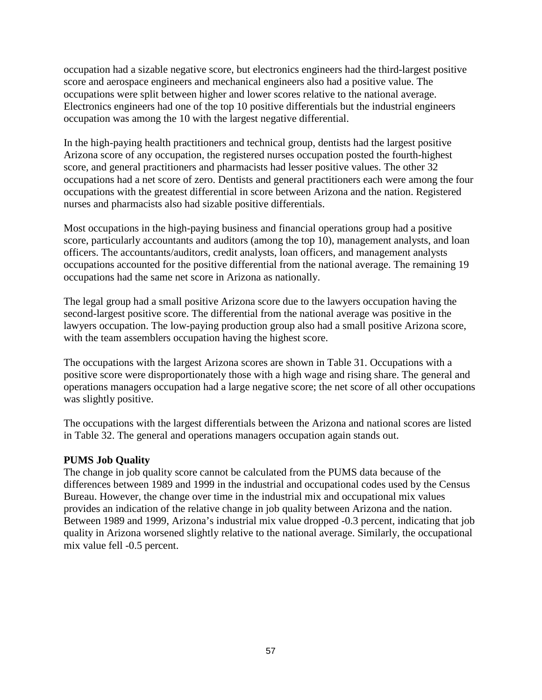occupation had a sizable negative score, but electronics engineers had the third-largest positive score and aerospace engineers and mechanical engineers also had a positive value. The occupations were split between higher and lower scores relative to the national average. Electronics engineers had one of the top 10 positive differentials but the industrial engineers occupation was among the 10 with the largest negative differential.

In the high-paying health practitioners and technical group, dentists had the largest positive Arizona score of any occupation, the registered nurses occupation posted the fourth-highest score, and general practitioners and pharmacists had lesser positive values. The other 32 occupations had a net score of zero. Dentists and general practitioners each were among the four occupations with the greatest differential in score between Arizona and the nation. Registered nurses and pharmacists also had sizable positive differentials.

Most occupations in the high-paying business and financial operations group had a positive score, particularly accountants and auditors (among the top 10), management analysts, and loan officers. The accountants/auditors, credit analysts, loan officers, and management analysts occupations accounted for the positive differential from the national average. The remaining 19 occupations had the same net score in Arizona as nationally.

The legal group had a small positive Arizona score due to the lawyers occupation having the second-largest positive score. The differential from the national average was positive in the lawyers occupation. The low-paying production group also had a small positive Arizona score, with the team assemblers occupation having the highest score.

The occupations with the largest Arizona scores are shown in Table 31. Occupations with a positive score were disproportionately those with a high wage and rising share. The general and operations managers occupation had a large negative score; the net score of all other occupations was slightly positive.

The occupations with the largest differentials between the Arizona and national scores are listed in Table 32. The general and operations managers occupation again stands out.

#### **PUMS Job Quality**

The change in job quality score cannot be calculated from the PUMS data because of the differences between 1989 and 1999 in the industrial and occupational codes used by the Census Bureau. However, the change over time in the industrial mix and occupational mix values provides an indication of the relative change in job quality between Arizona and the nation. Between 1989 and 1999, Arizona's industrial mix value dropped -0.3 percent, indicating that job quality in Arizona worsened slightly relative to the national average. Similarly, the occupational mix value fell -0.5 percent.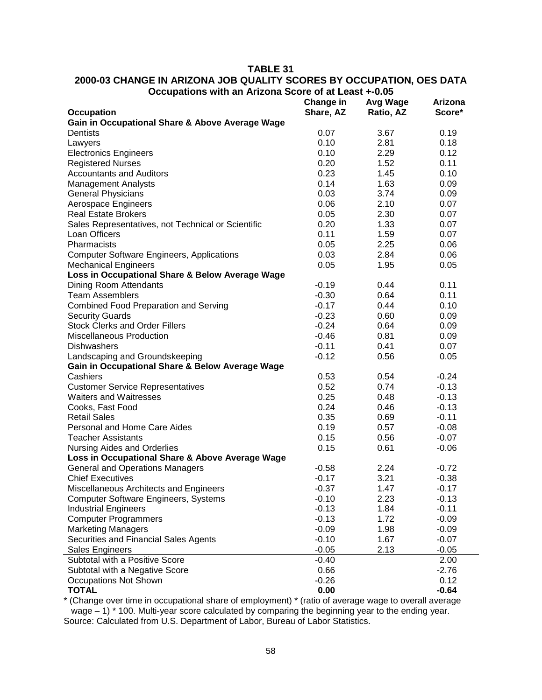#### **TABLE 31**

### **2000-03 CHANGE IN ARIZONA JOB QUALITY SCORES BY OCCUPATION, OES DATA Occupations with an Arizona Score of at Least +-0.05**

|                                                    | Change in | <b>Avg Wage</b> | Arizona |
|----------------------------------------------------|-----------|-----------------|---------|
| <b>Occupation</b>                                  | Share, AZ | Ratio, AZ       | Score*  |
| Gain in Occupational Share & Above Average Wage    |           |                 |         |
| Dentists                                           | 0.07      | 3.67            | 0.19    |
| Lawyers                                            | 0.10      | 2.81            | 0.18    |
| <b>Electronics Engineers</b>                       | 0.10      | 2.29            | 0.12    |
| <b>Registered Nurses</b>                           | 0.20      | 1.52            | 0.11    |
| <b>Accountants and Auditors</b>                    | 0.23      | 1.45            | 0.10    |
| <b>Management Analysts</b>                         | 0.14      | 1.63            | 0.09    |
| <b>General Physicians</b>                          | 0.03      | 3.74            | 0.09    |
| Aerospace Engineers                                | 0.06      | 2.10            | 0.07    |
| <b>Real Estate Brokers</b>                         | 0.05      | 2.30            | 0.07    |
| Sales Representatives, not Technical or Scientific | 0.20      | 1.33            | 0.07    |
| Loan Officers                                      | 0.11      | 1.59            | 0.07    |
| Pharmacists                                        | 0.05      | 2.25            | 0.06    |
| <b>Computer Software Engineers, Applications</b>   | 0.03      | 2.84            | 0.06    |
| <b>Mechanical Engineers</b>                        | 0.05      | 1.95            | 0.05    |
| Loss in Occupational Share & Below Average Wage    |           |                 |         |
| Dining Room Attendants                             | $-0.19$   | 0.44            | 0.11    |
| <b>Team Assemblers</b>                             | $-0.30$   | 0.64            | 0.11    |
| <b>Combined Food Preparation and Serving</b>       | $-0.17$   | 0.44            | 0.10    |
| <b>Security Guards</b>                             | $-0.23$   | 0.60            | 0.09    |
| <b>Stock Clerks and Order Fillers</b>              | $-0.24$   | 0.64            | 0.09    |
| Miscellaneous Production                           | $-0.46$   | 0.81            | 0.09    |
| <b>Dishwashers</b>                                 | $-0.11$   | 0.41            | 0.07    |
| Landscaping and Groundskeeping                     | $-0.12$   | 0.56            | 0.05    |
| Gain in Occupational Share & Below Average Wage    |           |                 |         |
| Cashiers                                           | 0.53      | 0.54            | $-0.24$ |
| <b>Customer Service Representatives</b>            | 0.52      | 0.74            | $-0.13$ |
| <b>Waiters and Waitresses</b>                      | 0.25      | 0.48            | $-0.13$ |
| Cooks, Fast Food                                   | 0.24      | 0.46            | $-0.13$ |
| <b>Retail Sales</b>                                | 0.35      | 0.69            | $-0.11$ |
| Personal and Home Care Aides                       | 0.19      | 0.57            | $-0.08$ |
| <b>Teacher Assistants</b>                          | 0.15      | 0.56            | $-0.07$ |
| <b>Nursing Aides and Orderlies</b>                 | 0.15      | 0.61            | $-0.06$ |
| Loss in Occupational Share & Above Average Wage    |           |                 |         |
| <b>General and Operations Managers</b>             | $-0.58$   | 2.24            | $-0.72$ |
| <b>Chief Executives</b>                            | $-0.17$   | 3.21            | $-0.38$ |
| Miscellaneous Architects and Engineers             | $-0.37$   | 1.47            | $-0.17$ |
| <b>Computer Software Engineers, Systems</b>        | $-0.10$   | 2.23            | $-0.13$ |
| <b>Industrial Engineers</b>                        | $-0.13$   | 1.84            | $-0.11$ |
| <b>Computer Programmers</b>                        | $-0.13$   | 1.72            | $-0.09$ |
| <b>Marketing Managers</b>                          | $-0.09$   | 1.98            | $-0.09$ |
| Securities and Financial Sales Agents              | $-0.10$   | 1.67            | $-0.07$ |
| Sales Engineers                                    | $-0.05$   | 2.13            | $-0.05$ |
| Subtotal with a Positive Score                     | $-0.40$   |                 | 2.00    |
| Subtotal with a Negative Score                     | 0.66      |                 | $-2.76$ |
| <b>Occupations Not Shown</b>                       | $-0.26$   |                 | 0.12    |
| <b>TOTAL</b>                                       | 0.00      |                 | $-0.64$ |
|                                                    |           |                 |         |

\* (Change over time in occupational share of employment) \* (ratio of average wage to overall average wage – 1) \* 100. Multi-year score calculated by comparing the beginning year to the ending year. Source: Calculated from U.S. Department of Labor, Bureau of Labor Statistics.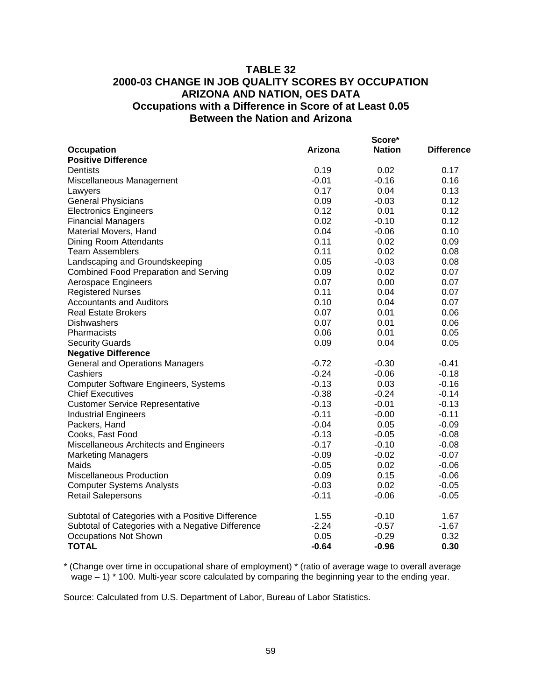### **TABLE 32 2000-03 CHANGE IN JOB QUALITY SCORES BY OCCUPATION ARIZONA AND NATION, OES DATA Occupations with a Difference in Score of at Least 0.05 Between the Nation and Arizona**

|                                                   |         | Score*<br><b>Nation</b> |            |
|---------------------------------------------------|---------|-------------------------|------------|
| <b>Occupation</b><br><b>Positive Difference</b>   | Arizona |                         | Difference |
| Dentists                                          | 0.19    | 0.02                    | 0.17       |
| Miscellaneous Management                          | $-0.01$ | $-0.16$                 | 0.16       |
| Lawyers                                           | 0.17    | 0.04                    | 0.13       |
| <b>General Physicians</b>                         | 0.09    | $-0.03$                 | 0.12       |
| <b>Electronics Engineers</b>                      | 0.12    | 0.01                    | 0.12       |
| <b>Financial Managers</b>                         | 0.02    | $-0.10$                 | 0.12       |
| Material Movers, Hand                             | 0.04    | $-0.06$                 | 0.10       |
| Dining Room Attendants                            | 0.11    | 0.02                    | 0.09       |
| <b>Team Assemblers</b>                            | 0.11    | 0.02                    | 0.08       |
| Landscaping and Groundskeeping                    | 0.05    | $-0.03$                 | 0.08       |
| <b>Combined Food Preparation and Serving</b>      | 0.09    | 0.02                    | 0.07       |
| Aerospace Engineers                               | 0.07    | 0.00                    | 0.07       |
| <b>Registered Nurses</b>                          | 0.11    | 0.04                    | 0.07       |
| <b>Accountants and Auditors</b>                   | 0.10    | 0.04                    | 0.07       |
| <b>Real Estate Brokers</b>                        | 0.07    | 0.01                    | 0.06       |
| Dishwashers                                       | 0.07    | 0.01                    | 0.06       |
| Pharmacists                                       | 0.06    | 0.01                    | 0.05       |
| <b>Security Guards</b>                            | 0.09    | 0.04                    | 0.05       |
| <b>Negative Difference</b>                        |         |                         |            |
| <b>General and Operations Managers</b>            | $-0.72$ | $-0.30$                 | $-0.41$    |
| Cashiers                                          | $-0.24$ | $-0.06$                 | $-0.18$    |
| <b>Computer Software Engineers, Systems</b>       | $-0.13$ | 0.03                    | $-0.16$    |
| <b>Chief Executives</b>                           | $-0.38$ | $-0.24$                 | $-0.14$    |
| <b>Customer Service Representative</b>            | $-0.13$ | $-0.01$                 | $-0.13$    |
| <b>Industrial Engineers</b>                       | $-0.11$ | $-0.00$                 | $-0.11$    |
| Packers, Hand                                     | $-0.04$ | 0.05                    | $-0.09$    |
| Cooks, Fast Food                                  | $-0.13$ | $-0.05$                 | $-0.08$    |
| Miscellaneous Architects and Engineers            | $-0.17$ | $-0.10$                 | $-0.08$    |
| <b>Marketing Managers</b>                         | $-0.09$ | $-0.02$                 | $-0.07$    |
| Maids                                             | $-0.05$ | 0.02                    | $-0.06$    |
| Miscellaneous Production                          | 0.09    | 0.15                    | $-0.06$    |
| <b>Computer Systems Analysts</b>                  | $-0.03$ | 0.02                    | $-0.05$    |
| <b>Retail Salepersons</b>                         | $-0.11$ | $-0.06$                 | $-0.05$    |
| Subtotal of Categories with a Positive Difference | 1.55    | $-0.10$                 | 1.67       |
| Subtotal of Categories with a Negative Difference | $-2.24$ | $-0.57$                 | $-1.67$    |
| <b>Occupations Not Shown</b>                      | 0.05    | $-0.29$                 | 0.32       |
| <b>TOTAL</b>                                      | $-0.64$ | $-0.96$                 | 0.30       |

\* (Change over time in occupational share of employment) \* (ratio of average wage to overall average wage – 1) \* 100. Multi-year score calculated by comparing the beginning year to the ending year.

Source: Calculated from U.S. Department of Labor, Bureau of Labor Statistics.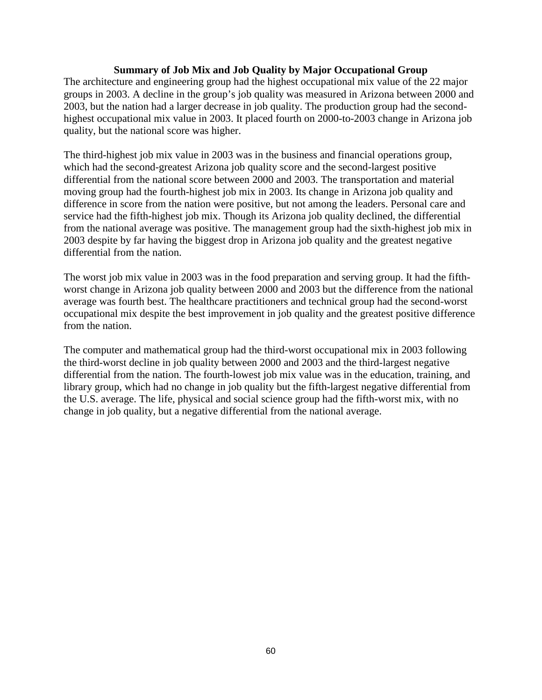#### **Summary of Job Mix and Job Quality by Major Occupational Group**

The architecture and engineering group had the highest occupational mix value of the 22 major groups in 2003. A decline in the group's job quality was measured in Arizona between 2000 and 2003, but the nation had a larger decrease in job quality. The production group had the secondhighest occupational mix value in 2003. It placed fourth on 2000-to-2003 change in Arizona job quality, but the national score was higher.

The third-highest job mix value in 2003 was in the business and financial operations group, which had the second-greatest Arizona job quality score and the second-largest positive differential from the national score between 2000 and 2003. The transportation and material moving group had the fourth-highest job mix in 2003. Its change in Arizona job quality and difference in score from the nation were positive, but not among the leaders. Personal care and service had the fifth-highest job mix. Though its Arizona job quality declined, the differential from the national average was positive. The management group had the sixth-highest job mix in 2003 despite by far having the biggest drop in Arizona job quality and the greatest negative differential from the nation.

The worst job mix value in 2003 was in the food preparation and serving group. It had the fifthworst change in Arizona job quality between 2000 and 2003 but the difference from the national average was fourth best. The healthcare practitioners and technical group had the second-worst occupational mix despite the best improvement in job quality and the greatest positive difference from the nation.

The computer and mathematical group had the third-worst occupational mix in 2003 following the third-worst decline in job quality between 2000 and 2003 and the third-largest negative differential from the nation. The fourth-lowest job mix value was in the education, training, and library group, which had no change in job quality but the fifth-largest negative differential from the U.S. average. The life, physical and social science group had the fifth-worst mix, with no change in job quality, but a negative differential from the national average.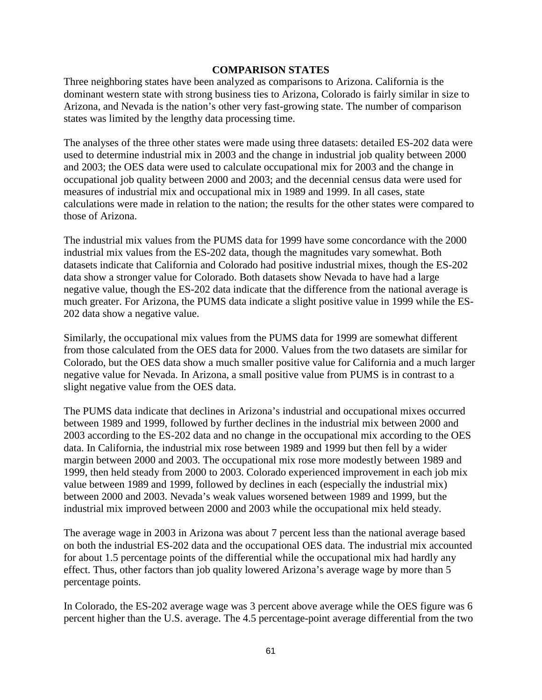#### **COMPARISON STATES**

Three neighboring states have been analyzed as comparisons to Arizona. California is the dominant western state with strong business ties to Arizona, Colorado is fairly similar in size to Arizona, and Nevada is the nation's other very fast-growing state. The number of comparison states was limited by the lengthy data processing time.

The analyses of the three other states were made using three datasets: detailed ES-202 data were used to determine industrial mix in 2003 and the change in industrial job quality between 2000 and 2003; the OES data were used to calculate occupational mix for 2003 and the change in occupational job quality between 2000 and 2003; and the decennial census data were used for measures of industrial mix and occupational mix in 1989 and 1999. In all cases, state calculations were made in relation to the nation; the results for the other states were compared to those of Arizona.

The industrial mix values from the PUMS data for 1999 have some concordance with the 2000 industrial mix values from the ES-202 data, though the magnitudes vary somewhat. Both datasets indicate that California and Colorado had positive industrial mixes, though the ES-202 data show a stronger value for Colorado. Both datasets show Nevada to have had a large negative value, though the ES-202 data indicate that the difference from the national average is much greater. For Arizona, the PUMS data indicate a slight positive value in 1999 while the ES-202 data show a negative value.

Similarly, the occupational mix values from the PUMS data for 1999 are somewhat different from those calculated from the OES data for 2000. Values from the two datasets are similar for Colorado, but the OES data show a much smaller positive value for California and a much larger negative value for Nevada. In Arizona, a small positive value from PUMS is in contrast to a slight negative value from the OES data.

The PUMS data indicate that declines in Arizona's industrial and occupational mixes occurred between 1989 and 1999, followed by further declines in the industrial mix between 2000 and 2003 according to the ES-202 data and no change in the occupational mix according to the OES data. In California, the industrial mix rose between 1989 and 1999 but then fell by a wider margin between 2000 and 2003. The occupational mix rose more modestly between 1989 and 1999, then held steady from 2000 to 2003. Colorado experienced improvement in each job mix value between 1989 and 1999, followed by declines in each (especially the industrial mix) between 2000 and 2003. Nevada's weak values worsened between 1989 and 1999, but the industrial mix improved between 2000 and 2003 while the occupational mix held steady.

The average wage in 2003 in Arizona was about 7 percent less than the national average based on both the industrial ES-202 data and the occupational OES data. The industrial mix accounted for about 1.5 percentage points of the differential while the occupational mix had hardly any effect. Thus, other factors than job quality lowered Arizona's average wage by more than 5 percentage points.

In Colorado, the ES-202 average wage was 3 percent above average while the OES figure was 6 percent higher than the U.S. average. The 4.5 percentage-point average differential from the two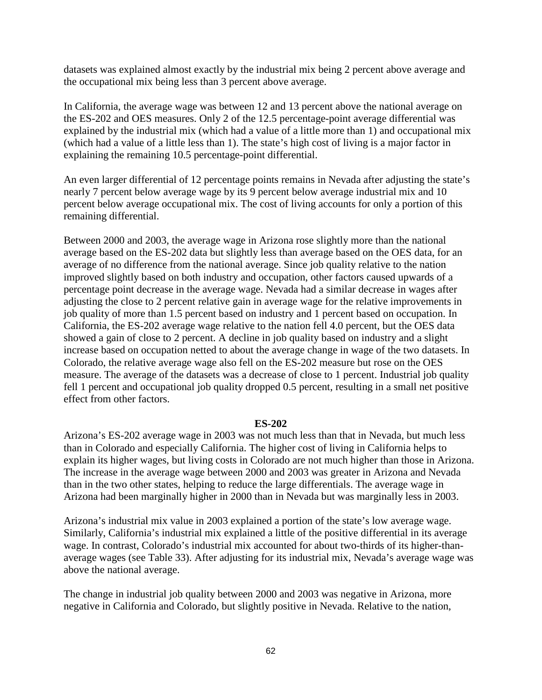datasets was explained almost exactly by the industrial mix being 2 percent above average and the occupational mix being less than 3 percent above average.

In California, the average wage was between 12 and 13 percent above the national average on the ES-202 and OES measures. Only 2 of the 12.5 percentage-point average differential was explained by the industrial mix (which had a value of a little more than 1) and occupational mix (which had a value of a little less than 1). The state's high cost of living is a major factor in explaining the remaining 10.5 percentage-point differential.

An even larger differential of 12 percentage points remains in Nevada after adjusting the state's nearly 7 percent below average wage by its 9 percent below average industrial mix and 10 percent below average occupational mix. The cost of living accounts for only a portion of this remaining differential.

Between 2000 and 2003, the average wage in Arizona rose slightly more than the national average based on the ES-202 data but slightly less than average based on the OES data, for an average of no difference from the national average. Since job quality relative to the nation improved slightly based on both industry and occupation, other factors caused upwards of a percentage point decrease in the average wage. Nevada had a similar decrease in wages after adjusting the close to 2 percent relative gain in average wage for the relative improvements in job quality of more than 1.5 percent based on industry and 1 percent based on occupation. In California, the ES-202 average wage relative to the nation fell 4.0 percent, but the OES data showed a gain of close to 2 percent. A decline in job quality based on industry and a slight increase based on occupation netted to about the average change in wage of the two datasets. In Colorado, the relative average wage also fell on the ES-202 measure but rose on the OES measure. The average of the datasets was a decrease of close to 1 percent. Industrial job quality fell 1 percent and occupational job quality dropped 0.5 percent, resulting in a small net positive effect from other factors.

#### **ES-202**

Arizona's ES-202 average wage in 2003 was not much less than that in Nevada, but much less than in Colorado and especially California. The higher cost of living in California helps to explain its higher wages, but living costs in Colorado are not much higher than those in Arizona. The increase in the average wage between 2000 and 2003 was greater in Arizona and Nevada than in the two other states, helping to reduce the large differentials. The average wage in Arizona had been marginally higher in 2000 than in Nevada but was marginally less in 2003.

Arizona's industrial mix value in 2003 explained a portion of the state's low average wage. Similarly, California's industrial mix explained a little of the positive differential in its average wage. In contrast, Colorado's industrial mix accounted for about two-thirds of its higher-thanaverage wages (see Table 33). After adjusting for its industrial mix, Nevada's average wage was above the national average.

The change in industrial job quality between 2000 and 2003 was negative in Arizona, more negative in California and Colorado, but slightly positive in Nevada. Relative to the nation,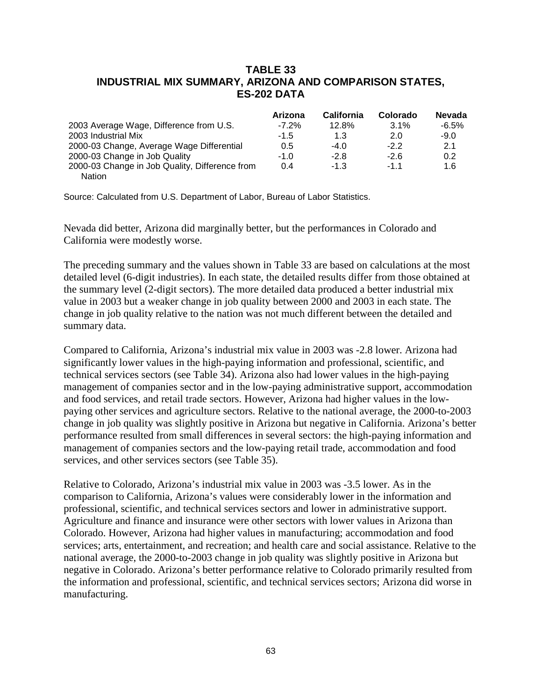### **TABLE 33 INDUSTRIAL MIX SUMMARY, ARIZONA AND COMPARISON STATES, ES-202 DATA**

|                                                | Arizona  | <b>California</b> | Colorado | <b>Nevada</b> |
|------------------------------------------------|----------|-------------------|----------|---------------|
| 2003 Average Wage, Difference from U.S.        | $-7.2\%$ | 12.8%             | 3.1%     | $-6.5%$       |
| 2003 Industrial Mix                            | $-1.5$   | 1.3               | 2.0      | $-9.0$        |
| 2000-03 Change, Average Wage Differential      | 0.5      | $-4.0$            | $-22$    | 2.1           |
| 2000-03 Change in Job Quality                  | $-1.0$   | $-2.8$            | $-2.6$   | 0.2           |
| 2000-03 Change in Job Quality, Difference from | 0.4      | $-1.3$            | $-1$ 1   | 1.6           |
| Nation                                         |          |                   |          |               |

Source: Calculated from U.S. Department of Labor, Bureau of Labor Statistics.

Nevada did better, Arizona did marginally better, but the performances in Colorado and California were modestly worse.

The preceding summary and the values shown in Table 33 are based on calculations at the most detailed level (6-digit industries). In each state, the detailed results differ from those obtained at the summary level (2-digit sectors). The more detailed data produced a better industrial mix value in 2003 but a weaker change in job quality between 2000 and 2003 in each state. The change in job quality relative to the nation was not much different between the detailed and summary data.

Compared to California, Arizona's industrial mix value in 2003 was -2.8 lower. Arizona had significantly lower values in the high-paying information and professional, scientific, and technical services sectors (see Table 34). Arizona also had lower values in the high-paying management of companies sector and in the low-paying administrative support, accommodation and food services, and retail trade sectors. However, Arizona had higher values in the lowpaying other services and agriculture sectors. Relative to the national average, the 2000-to-2003 change in job quality was slightly positive in Arizona but negative in California. Arizona's better performance resulted from small differences in several sectors: the high-paying information and management of companies sectors and the low-paying retail trade, accommodation and food services, and other services sectors (see Table 35).

Relative to Colorado, Arizona's industrial mix value in 2003 was -3.5 lower. As in the comparison to California, Arizona's values were considerably lower in the information and professional, scientific, and technical services sectors and lower in administrative support. Agriculture and finance and insurance were other sectors with lower values in Arizona than Colorado. However, Arizona had higher values in manufacturing; accommodation and food services; arts, entertainment, and recreation; and health care and social assistance. Relative to the national average, the 2000-to-2003 change in job quality was slightly positive in Arizona but negative in Colorado. Arizona's better performance relative to Colorado primarily resulted from the information and professional, scientific, and technical services sectors; Arizona did worse in manufacturing.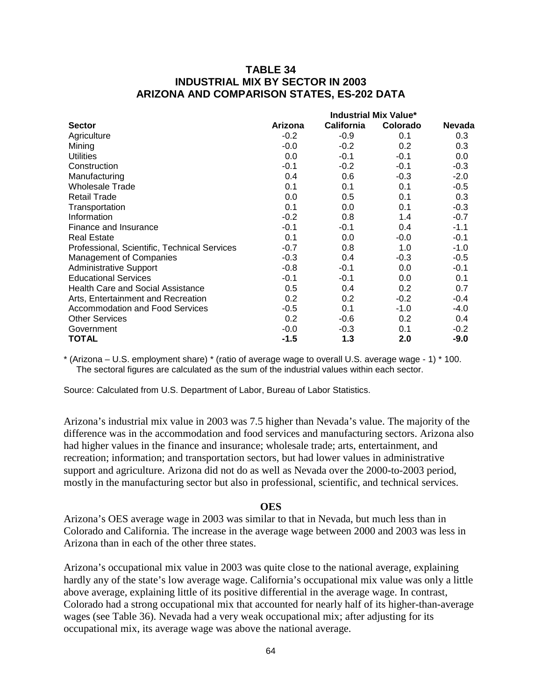### **TABLE 34 INDUSTRIAL MIX BY SECTOR IN 2003 ARIZONA AND COMPARISON STATES, ES-202 DATA**

|                                              | <b>Industrial Mix Value*</b> |                   |          |               |
|----------------------------------------------|------------------------------|-------------------|----------|---------------|
| <b>Sector</b>                                | Arizona                      | <b>California</b> | Colorado | <b>Nevada</b> |
| Agriculture                                  | $-0.2$                       | $-0.9$            | 0.1      | 0.3           |
| Mining                                       | $-0.0$                       | $-0.2$            | 0.2      | 0.3           |
| <b>Utilities</b>                             | 0.0                          | $-0.1$            | $-0.1$   | 0.0           |
| Construction                                 | $-0.1$                       | $-0.2$            | $-0.1$   | $-0.3$        |
| Manufacturing                                | 0.4                          | 0.6               | $-0.3$   | $-2.0$        |
| <b>Wholesale Trade</b>                       | 0.1                          | 0.1               | 0.1      | $-0.5$        |
| <b>Retail Trade</b>                          | 0.0                          | 0.5               | 0.1      | 0.3           |
| Transportation                               | 0.1                          | 0.0               | 0.1      | $-0.3$        |
| Information                                  | $-0.2$                       | 0.8               | 1.4      | $-0.7$        |
| Finance and Insurance                        | $-0.1$                       | $-0.1$            | 0.4      | $-1.1$        |
| <b>Real Estate</b>                           | 0.1                          | 0.0               | $-0.0$   | $-0.1$        |
| Professional, Scientific, Technical Services | $-0.7$                       | 0.8               | 1.0      | $-1.0$        |
| <b>Management of Companies</b>               | $-0.3$                       | 0.4               | $-0.3$   | $-0.5$        |
| <b>Administrative Support</b>                | $-0.8$                       | $-0.1$            | 0.0      | $-0.1$        |
| <b>Educational Services</b>                  | $-0.1$                       | $-0.1$            | 0.0      | 0.1           |
| <b>Health Care and Social Assistance</b>     | 0.5                          | 0.4               | 0.2      | 0.7           |
| Arts, Entertainment and Recreation           | 0.2                          | 0.2               | $-0.2$   | $-0.4$        |
| <b>Accommodation and Food Services</b>       | $-0.5$                       | 0.1               | $-1.0$   | $-4.0$        |
| <b>Other Services</b>                        | 0.2                          | $-0.6$            | 0.2      | 0.4           |
| Government                                   | $-0.0$                       | $-0.3$            | 0.1      | $-0.2$        |
| TOTAL                                        | $-1.5$                       | 1.3               | 2.0      | $-9.0$        |

\* (Arizona – U.S. employment share) \* (ratio of average wage to overall U.S. average wage - 1) \* 100. The sectoral figures are calculated as the sum of the industrial values within each sector.

Source: Calculated from U.S. Department of Labor, Bureau of Labor Statistics.

Arizona's industrial mix value in 2003 was 7.5 higher than Nevada's value. The majority of the difference was in the accommodation and food services and manufacturing sectors. Arizona also had higher values in the finance and insurance; wholesale trade; arts, entertainment, and recreation; information; and transportation sectors, but had lower values in administrative support and agriculture. Arizona did not do as well as Nevada over the 2000-to-2003 period, mostly in the manufacturing sector but also in professional, scientific, and technical services.

#### **OES**

Arizona's OES average wage in 2003 was similar to that in Nevada, but much less than in Colorado and California. The increase in the average wage between 2000 and 2003 was less in Arizona than in each of the other three states.

Arizona's occupational mix value in 2003 was quite close to the national average, explaining hardly any of the state's low average wage. California's occupational mix value was only a little above average, explaining little of its positive differential in the average wage. In contrast, Colorado had a strong occupational mix that accounted for nearly half of its higher-than-average wages (see Table 36). Nevada had a very weak occupational mix; after adjusting for its occupational mix, its average wage was above the national average.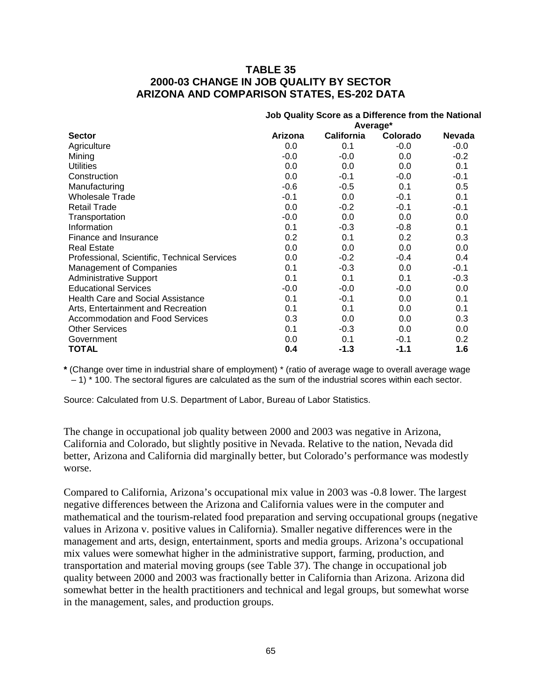### **TABLE 35 2000-03 CHANGE IN JOB QUALITY BY SECTOR ARIZONA AND COMPARISON STATES, ES-202 DATA**

|                                              | Job Quality Score as a Difference from the National |                   |          |               |
|----------------------------------------------|-----------------------------------------------------|-------------------|----------|---------------|
|                                              | Average*                                            |                   |          |               |
| <b>Sector</b>                                | Arizona                                             | <b>California</b> | Colorado | <b>Nevada</b> |
| Agriculture                                  | 0.0                                                 | 0.1               | $-0.0$   | $-0.0$        |
| Mining                                       | $-0.0$                                              | $-0.0$            | 0.0      | $-0.2$        |
| <b>Utilities</b>                             | 0.0                                                 | 0.0               | 0.0      | 0.1           |
| Construction                                 | 0.0                                                 | $-0.1$            | $-0.0$   | $-0.1$        |
| Manufacturing                                | $-0.6$                                              | $-0.5$            | 0.1      | 0.5           |
| <b>Wholesale Trade</b>                       | $-0.1$                                              | 0.0               | $-0.1$   | 0.1           |
| <b>Retail Trade</b>                          | 0.0                                                 | $-0.2$            | $-0.1$   | $-0.1$        |
| Transportation                               | $-0.0$                                              | 0.0               | 0.0      | 0.0           |
| Information                                  | 0.1                                                 | $-0.3$            | $-0.8$   | 0.1           |
| Finance and Insurance                        | 0.2                                                 | 0.1               | 0.2      | 0.3           |
| <b>Real Estate</b>                           | 0.0                                                 | 0.0               | 0.0      | 0.0           |
| Professional, Scientific, Technical Services | 0.0                                                 | $-0.2$            | $-0.4$   | 0.4           |
| <b>Management of Companies</b>               | 0.1                                                 | $-0.3$            | 0.0      | $-0.1$        |
| Administrative Support                       | 0.1                                                 | 0.1               | 0.1      | $-0.3$        |
| <b>Educational Services</b>                  | $-0.0$                                              | $-0.0$            | $-0.0$   | 0.0           |
| <b>Health Care and Social Assistance</b>     | 0.1                                                 | $-0.1$            | 0.0      | 0.1           |
| Arts, Entertainment and Recreation           | 0.1                                                 | 0.1               | 0.0      | 0.1           |
| <b>Accommodation and Food Services</b>       | 0.3                                                 | 0.0               | 0.0      | 0.3           |
| <b>Other Services</b>                        | 0.1                                                 | $-0.3$            | 0.0      | $0.0\,$       |
| Government                                   | 0.0                                                 | 0.1               | $-0.1$   | $0.2\,$       |
| <b>TOTAL</b>                                 | 0.4                                                 | $-1.3$            | $-1.1$   | 1.6           |

**\*** (Change over time in industrial share of employment) \* (ratio of average wage to overall average wage – 1) \* 100. The sectoral figures are calculated as the sum of the industrial scores within each sector.

Source: Calculated from U.S. Department of Labor, Bureau of Labor Statistics.

The change in occupational job quality between 2000 and 2003 was negative in Arizona, California and Colorado, but slightly positive in Nevada. Relative to the nation, Nevada did better, Arizona and California did marginally better, but Colorado's performance was modestly worse.

Compared to California, Arizona's occupational mix value in 2003 was -0.8 lower. The largest negative differences between the Arizona and California values were in the computer and mathematical and the tourism-related food preparation and serving occupational groups (negative values in Arizona v. positive values in California). Smaller negative differences were in the management and arts, design, entertainment, sports and media groups. Arizona's occupational mix values were somewhat higher in the administrative support, farming, production, and transportation and material moving groups (see Table 37). The change in occupational job quality between 2000 and 2003 was fractionally better in California than Arizona. Arizona did somewhat better in the health practitioners and technical and legal groups, but somewhat worse in the management, sales, and production groups.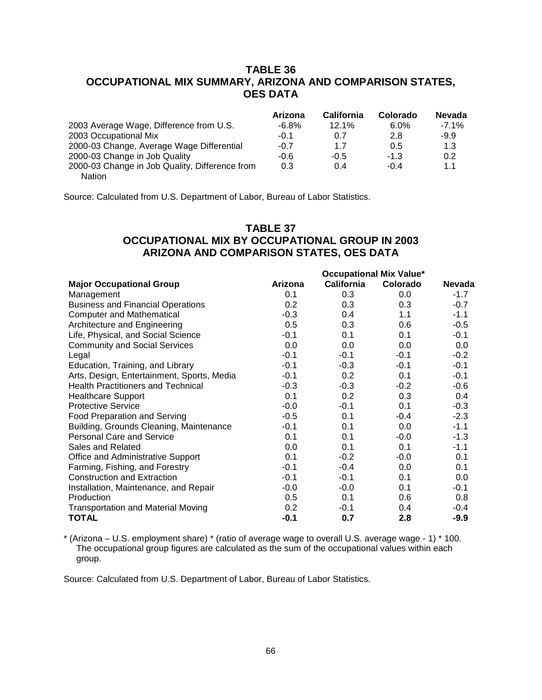## **TABLE 36 OCCUPATIONAL MIX SUMMARY, ARIZONA AND COMPARISON STATES, OES DATA**

|                                                | Arizona  | <b>California</b> | Colorado | <b>Nevada</b> |
|------------------------------------------------|----------|-------------------|----------|---------------|
| 2003 Average Wage, Difference from U.S.        | $-6.8\%$ | 12.1%             | $6.0\%$  | $-7.1%$       |
| 2003 Occupational Mix                          | $-0.1$   | 0.7               | 2.8      | $-9.9$        |
| 2000-03 Change, Average Wage Differential      | $-0.7$   | 1.7               | 0.5      | 1.3           |
| 2000-03 Change in Job Quality                  | $-0.6$   | $-0.5$            | $-1.3$   | 0.2           |
| 2000-03 Change in Job Quality, Difference from | 0.3      | 0.4               | -04      | 1.1           |
| Nation                                         |          |                   |          |               |

Source: Calculated from U.S. Department of Labor, Bureau of Labor Statistics.

### **TABLE 37 OCCUPATIONAL MIX BY OCCUPATIONAL GROUP IN 2003 ARIZONA AND COMPARISON STATES, OES DATA**

|                                            | <b>Occupational Mix Value*</b> |                   |          |               |
|--------------------------------------------|--------------------------------|-------------------|----------|---------------|
| <b>Major Occupational Group</b>            | Arizona                        | <b>California</b> | Colorado | <b>Nevada</b> |
| Management                                 | 0.1                            | 0.3               | 0.0      | $-1.7$        |
| <b>Business and Financial Operations</b>   | 0.2                            | 0.3 <sub>2</sub>  | 0.3      | $-0.7$        |
| <b>Computer and Mathematical</b>           | $-0.3$                         | 0.4               | 1.1      | $-1.1$        |
| Architecture and Engineering               | 0.5                            | 0.3               | 0.6      | $-0.5$        |
| Life, Physical, and Social Science         | $-0.1$                         | 0.1               | 0.1      | $-0.1$        |
| <b>Community and Social Services</b>       | 0.0                            | 0.0               | 0.0      | 0.0           |
| Legal                                      | $-0.1$                         | $-0.1$            | $-0.1$   | $-0.2$        |
| Education, Training, and Library           | $-0.1$                         | $-0.3$            | $-0.1$   | $-0.1$        |
| Arts, Design, Entertainment, Sports, Media | $-0.1$                         | 0.2               | 0.1      | $-0.1$        |
| <b>Health Practitioners and Technical</b>  | $-0.3$                         | $-0.3$            | $-0.2$   | $-0.6$        |
| <b>Healthcare Support</b>                  | 0.1                            | 0.2               | 0.3      | 0.4           |
| <b>Protective Service</b>                  | $-0.0$                         | $-0.1$            | 0.1      | $-0.3$        |
| <b>Food Preparation and Serving</b>        | $-0.5$                         | 0.1               | $-0.4$   | $-2.3$        |
| Building, Grounds Cleaning, Maintenance    | $-0.1$                         | 0.1               | 0.0      | $-1.1$        |
| <b>Personal Care and Service</b>           | 0.1                            | 0.1               | $-0.0$   | $-1.3$        |
| Sales and Related                          | 0.0                            | 0.1               | 0.1      | $-1.1$        |
| Office and Administrative Support          | 0.1                            | $-0.2$            | $-0.0$   | 0.1           |
| Farming, Fishing, and Forestry             | $-0.1$                         | $-0.4$            | 0.0      | 0.1           |
| <b>Construction and Extraction</b>         | $-0.1$                         | $-0.1$            | 0.1      | 0.0           |
| Installation, Maintenance, and Repair      | $-0.0$                         | $-0.0$            | 0.1      | $-0.1$        |
| Production                                 | 0.5                            | 0.1               | 0.6      | 0.8           |
| <b>Transportation and Material Moving</b>  | 0.2                            | $-0.1$            | 0.4      | $-0.4$        |
| <b>TOTAL</b>                               | $-0.1$                         | 0.7               | 2.8      | $-9.9$        |

\* (Arizona – U.S. employment share) \* (ratio of average wage to overall U.S. average wage - 1) \* 100. The occupational group figures are calculated as the sum of the occupational values within each group.

Source: Calculated from U.S. Department of Labor, Bureau of Labor Statistics.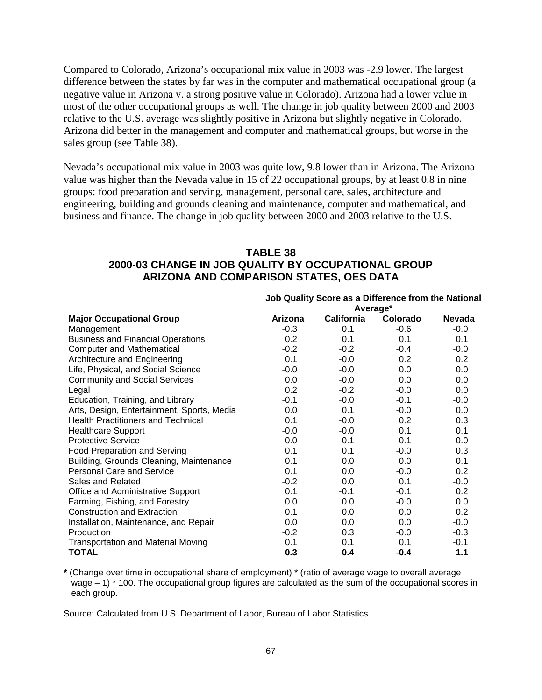Compared to Colorado, Arizona's occupational mix value in 2003 was -2.9 lower. The largest difference between the states by far was in the computer and mathematical occupational group (a negative value in Arizona v. a strong positive value in Colorado). Arizona had a lower value in most of the other occupational groups as well. The change in job quality between 2000 and 2003 relative to the U.S. average was slightly positive in Arizona but slightly negative in Colorado. Arizona did better in the management and computer and mathematical groups, but worse in the sales group (see Table 38).

Nevada's occupational mix value in 2003 was quite low, 9.8 lower than in Arizona. The Arizona value was higher than the Nevada value in 15 of 22 occupational groups, by at least 0.8 in nine groups: food preparation and serving, management, personal care, sales, architecture and engineering, building and grounds cleaning and maintenance, computer and mathematical, and business and finance. The change in job quality between 2000 and 2003 relative to the U.S.

#### **TABLE 38**

## **2000-03 CHANGE IN JOB QUALITY BY OCCUPATIONAL GROUP ARIZONA AND COMPARISON STATES, OES DATA**

|                                            | Job Quality Score as a Difference from the National |                   |                 |               |  |
|--------------------------------------------|-----------------------------------------------------|-------------------|-----------------|---------------|--|
|                                            | Average*                                            |                   |                 |               |  |
| <b>Major Occupational Group</b>            | Arizona                                             | <b>California</b> | <b>Colorado</b> | <b>Nevada</b> |  |
| Management                                 | $-0.3$                                              | 0.1               | $-0.6$          | $-0.0$        |  |
| <b>Business and Financial Operations</b>   | 0.2                                                 | 0.1               | 0.1             | 0.1           |  |
| <b>Computer and Mathematical</b>           | $-0.2$                                              | $-0.2$            | $-0.4$          | $-0.0$        |  |
| Architecture and Engineering               | 0.1                                                 | $-0.0$            | 0.2             | 0.2           |  |
| Life, Physical, and Social Science         | $-0.0$                                              | $-0.0$            | 0.0             | 0.0           |  |
| <b>Community and Social Services</b>       | 0.0                                                 | $-0.0$            | 0.0             | 0.0           |  |
| Legal                                      | 0.2                                                 | $-0.2$            | $-0.0$          | 0.0           |  |
| Education, Training, and Library           | $-0.1$                                              | $-0.0$            | $-0.1$          | $-0.0$        |  |
| Arts, Design, Entertainment, Sports, Media | 0.0                                                 | 0.1               | $-0.0$          | 0.0           |  |
| <b>Health Practitioners and Technical</b>  | 0.1                                                 | $-0.0$            | 0.2             | 0.3           |  |
| <b>Healthcare Support</b>                  | $-0.0$                                              | $-0.0$            | 0.1             | 0.1           |  |
| <b>Protective Service</b>                  | 0.0                                                 | 0.1               | 0.1             | $0.0\,$       |  |
| Food Preparation and Serving               | 0.1                                                 | 0.1               | $-0.0$          | 0.3           |  |
| Building, Grounds Cleaning, Maintenance    | 0.1                                                 | 0.0               | 0.0             | 0.1           |  |
| <b>Personal Care and Service</b>           | 0.1                                                 | 0.0               | $-0.0$          | 0.2           |  |
| Sales and Related                          | $-0.2$                                              | 0.0               | 0.1             | $-0.0$        |  |
| Office and Administrative Support          | 0.1                                                 | $-0.1$            | $-0.1$          | 0.2           |  |
| Farming, Fishing, and Forestry             | 0.0                                                 | 0.0               | $-0.0$          | 0.0           |  |
| <b>Construction and Extraction</b>         | 0.1                                                 | 0.0               | 0.0             | 0.2           |  |
| Installation, Maintenance, and Repair      | 0.0                                                 | 0.0               | 0.0             | $-0.0$        |  |
| Production                                 | $-0.2$                                              | 0.3               | $-0.0$          | $-0.3$        |  |
| <b>Transportation and Material Moving</b>  | 0.1                                                 | 0.1               | 0.1             | $-0.1$        |  |
| <b>TOTAL</b>                               | 0.3                                                 | 0.4               | $-0.4$          | 1.1           |  |

**\*** (Change over time in occupational share of employment) \* (ratio of average wage to overall average wage – 1) \* 100. The occupational group figures are calculated as the sum of the occupational scores in each group.

Source: Calculated from U.S. Department of Labor, Bureau of Labor Statistics.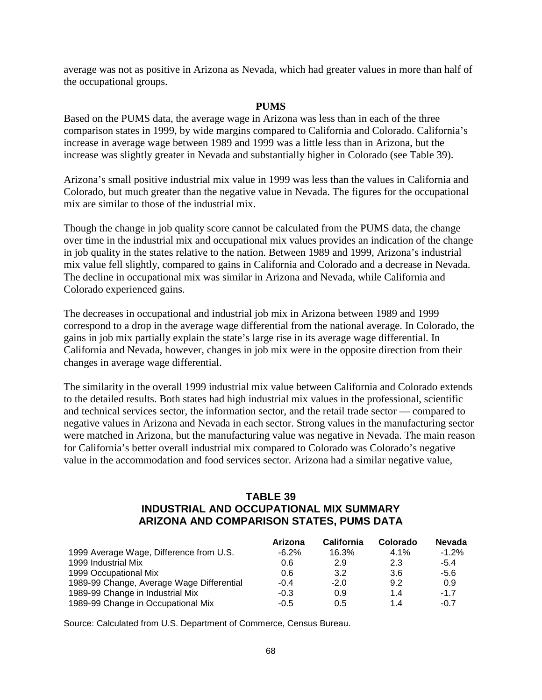average was not as positive in Arizona as Nevada, which had greater values in more than half of the occupational groups.

#### **PUMS**

Based on the PUMS data, the average wage in Arizona was less than in each of the three comparison states in 1999, by wide margins compared to California and Colorado. California's increase in average wage between 1989 and 1999 was a little less than in Arizona, but the increase was slightly greater in Nevada and substantially higher in Colorado (see Table 39).

Arizona's small positive industrial mix value in 1999 was less than the values in California and Colorado, but much greater than the negative value in Nevada. The figures for the occupational mix are similar to those of the industrial mix.

Though the change in job quality score cannot be calculated from the PUMS data, the change over time in the industrial mix and occupational mix values provides an indication of the change in job quality in the states relative to the nation. Between 1989 and 1999, Arizona's industrial mix value fell slightly, compared to gains in California and Colorado and a decrease in Nevada. The decline in occupational mix was similar in Arizona and Nevada, while California and Colorado experienced gains.

The decreases in occupational and industrial job mix in Arizona between 1989 and 1999 correspond to a drop in the average wage differential from the national average. In Colorado, the gains in job mix partially explain the state's large rise in its average wage differential. In California and Nevada, however, changes in job mix were in the opposite direction from their changes in average wage differential.

The similarity in the overall 1999 industrial mix value between California and Colorado extends to the detailed results. Both states had high industrial mix values in the professional, scientific and technical services sector, the information sector, and the retail trade sector — compared to negative values in Arizona and Nevada in each sector. Strong values in the manufacturing sector were matched in Arizona, but the manufacturing value was negative in Nevada. The main reason for California's better overall industrial mix compared to Colorado was Colorado's negative value in the accommodation and food services sector. Arizona had a similar negative value,

### **TABLE 39 INDUSTRIAL AND OCCUPATIONAL MIX SUMMARY ARIZONA AND COMPARISON STATES, PUMS DATA**

|                                           | Arizona  | <b>California</b> | Colorado | <b>Nevada</b> |
|-------------------------------------------|----------|-------------------|----------|---------------|
| 1999 Average Wage, Difference from U.S.   | $-6.2\%$ | 16.3%             | $4.1\%$  | $-1.2%$       |
| 1999 Industrial Mix                       | 0.6      | 2.9               | 2.3      | $-5.4$        |
| 1999 Occupational Mix                     | 0.6      | 3.2               | 3.6      | $-5.6$        |
| 1989-99 Change, Average Wage Differential | $-0.4$   | $-2.0$            | 9.2      | 0.9           |
| 1989-99 Change in Industrial Mix          | $-0.3$   | 0.9               | 1.4      | $-1.7$        |
| 1989-99 Change in Occupational Mix        | $-0.5$   | 0.5               | 14       | $-0.7$        |

Source: Calculated from U.S. Department of Commerce, Census Bureau.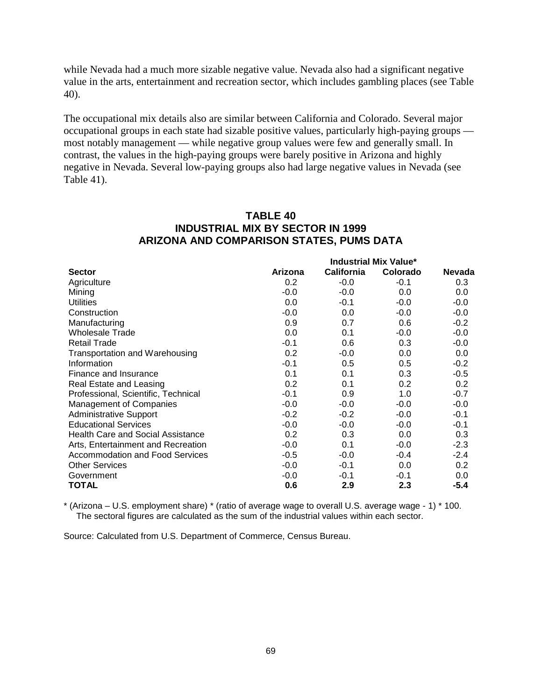while Nevada had a much more sizable negative value. Nevada also had a significant negative value in the arts, entertainment and recreation sector, which includes gambling places (see Table 40).

The occupational mix details also are similar between California and Colorado. Several major occupational groups in each state had sizable positive values, particularly high-paying groups most notably management — while negative group values were few and generally small. In contrast, the values in the high-paying groups were barely positive in Arizona and highly negative in Nevada. Several low-paying groups also had large negative values in Nevada (see Table 41).

### **TABLE 40 INDUSTRIAL MIX BY SECTOR IN 1999 ARIZONA AND COMPARISON STATES, PUMS DATA**

|                                          |         | <b>Industrial Mix Value*</b> |          |               |  |
|------------------------------------------|---------|------------------------------|----------|---------------|--|
| <b>Sector</b>                            | Arizona | <b>California</b>            | Colorado | <b>Nevada</b> |  |
| Agriculture                              | 0.2     | $-0.0$                       | $-0.1$   | 0.3           |  |
| Mining                                   | $-0.0$  | $-0.0$                       | 0.0      | 0.0           |  |
| <b>Utilities</b>                         | 0.0     | $-0.1$                       | $-0.0$   | $-0.0$        |  |
| Construction                             | $-0.0$  | 0.0                          | $-0.0$   | $-0.0$        |  |
| Manufacturing                            | 0.9     | 0.7                          | 0.6      | $-0.2$        |  |
| <b>Wholesale Trade</b>                   | 0.0     | 0.1                          | $-0.0$   | $-0.0$        |  |
| <b>Retail Trade</b>                      | $-0.1$  | 0.6                          | 0.3      | $-0.0$        |  |
| Transportation and Warehousing           | 0.2     | $-0.0$                       | 0.0      | 0.0           |  |
| Information                              | $-0.1$  | 0.5                          | 0.5      | $-0.2$        |  |
| Finance and Insurance                    | 0.1     | 0.1                          | 0.3      | $-0.5$        |  |
| Real Estate and Leasing                  | 0.2     | 0.1                          | 0.2      | 0.2           |  |
| Professional, Scientific, Technical      | $-0.1$  | 0.9                          | 1.0      | $-0.7$        |  |
| <b>Management of Companies</b>           | $-0.0$  | $-0.0$                       | $-0.0$   | $-0.0$        |  |
| <b>Administrative Support</b>            | $-0.2$  | $-0.2$                       | $-0.0$   | $-0.1$        |  |
| <b>Educational Services</b>              | $-0.0$  | $-0.0$                       | $-0.0$   | $-0.1$        |  |
| <b>Health Care and Social Assistance</b> | 0.2     | 0.3                          | 0.0      | 0.3           |  |
| Arts, Entertainment and Recreation       | $-0.0$  | 0.1                          | $-0.0$   | $-2.3$        |  |
| Accommodation and Food Services          | $-0.5$  | $-0.0$                       | $-0.4$   | $-2.4$        |  |
| <b>Other Services</b>                    | $-0.0$  | $-0.1$                       | 0.0      | 0.2           |  |
| Government                               | $-0.0$  | $-0.1$                       | $-0.1$   | 0.0           |  |
| TOTAL                                    | 0.6     | 2.9                          | 2.3      | $-5.4$        |  |

\* (Arizona – U.S. employment share) \* (ratio of average wage to overall U.S. average wage - 1) \* 100. The sectoral figures are calculated as the sum of the industrial values within each sector.

Source: Calculated from U.S. Department of Commerce, Census Bureau.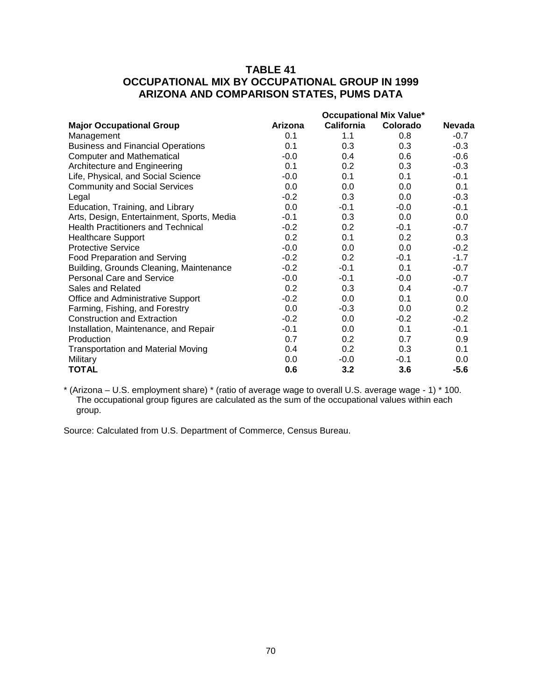# **TABLE 41 OCCUPATIONAL MIX BY OCCUPATIONAL GROUP IN 1999 ARIZONA AND COMPARISON STATES, PUMS DATA**

|                                            | <b>Occupational Mix Value*</b> |                   |          |        |
|--------------------------------------------|--------------------------------|-------------------|----------|--------|
| <b>Major Occupational Group</b>            | Arizona                        | <b>California</b> | Colorado | Nevada |
| Management                                 | 0.1                            | 1.1               | 0.8      | $-0.7$ |
| <b>Business and Financial Operations</b>   | 0.1                            | 0.3               | 0.3      | $-0.3$ |
| <b>Computer and Mathematical</b>           | $-0.0$                         | 0.4               | 0.6      | $-0.6$ |
| Architecture and Engineering               | 0.1                            | 0.2               | 0.3      | $-0.3$ |
| Life, Physical, and Social Science         | $-0.0$                         | 0.1               | 0.1      | $-0.1$ |
| <b>Community and Social Services</b>       | 0.0                            | 0.0               | 0.0      | 0.1    |
| Legal                                      | $-0.2$                         | 0.3               | 0.0      | $-0.3$ |
| Education, Training, and Library           | 0.0                            | $-0.1$            | $-0.0$   | $-0.1$ |
| Arts, Design, Entertainment, Sports, Media | $-0.1$                         | 0.3               | 0.0      | 0.0    |
| <b>Health Practitioners and Technical</b>  | $-0.2$                         | 0.2               | $-0.1$   | $-0.7$ |
| <b>Healthcare Support</b>                  | 0.2                            | 0.1               | 0.2      | 0.3    |
| <b>Protective Service</b>                  | $-0.0$                         | 0.0               | 0.0      | $-0.2$ |
| <b>Food Preparation and Serving</b>        | $-0.2$                         | 0.2               | $-0.1$   | $-1.7$ |
| Building, Grounds Cleaning, Maintenance    | $-0.2$                         | $-0.1$            | 0.1      | $-0.7$ |
| <b>Personal Care and Service</b>           | $-0.0$                         | $-0.1$            | $-0.0$   | $-0.7$ |
| Sales and Related                          | 0.2                            | 0.3               | 0.4      | $-0.7$ |
| Office and Administrative Support          | $-0.2$                         | 0.0               | 0.1      | 0.0    |
| Farming, Fishing, and Forestry             | 0.0                            | $-0.3$            | 0.0      | 0.2    |
| <b>Construction and Extraction</b>         | $-0.2$                         | 0.0               | $-0.2$   | $-0.2$ |
| Installation, Maintenance, and Repair      | $-0.1$                         | 0.0               | 0.1      | $-0.1$ |
| Production                                 | 0.7                            | 0.2               | 0.7      | 0.9    |
| <b>Transportation and Material Moving</b>  | 0.4                            | 0.2               | 0.3      | 0.1    |
| Military                                   | 0.0                            | $-0.0$            | $-0.1$   | 0.0    |
| <b>TOTAL</b>                               | 0.6                            | 3.2               | 3.6      | $-5.6$ |

\* (Arizona – U.S. employment share) \* (ratio of average wage to overall U.S. average wage - 1) \* 100. The occupational group figures are calculated as the sum of the occupational values within each group.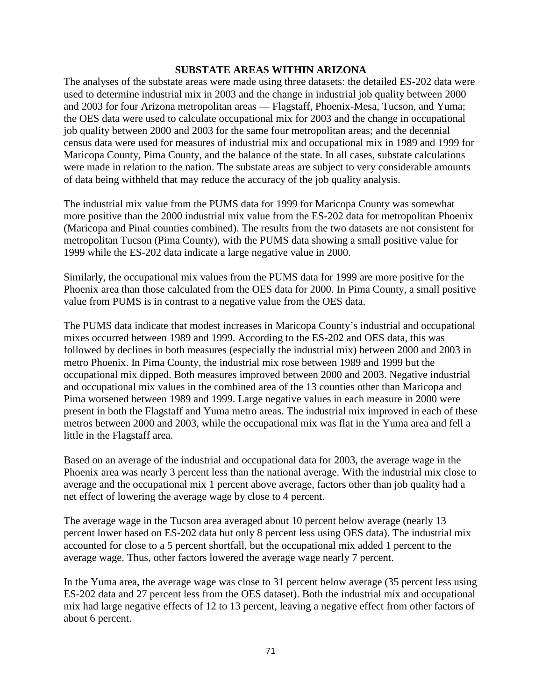#### **SUBSTATE AREAS WITHIN ARIZONA**

The analyses of the substate areas were made using three datasets: the detailed ES-202 data were used to determine industrial mix in 2003 and the change in industrial job quality between 2000 and 2003 for four Arizona metropolitan areas — Flagstaff, Phoenix-Mesa, Tucson, and Yuma; the OES data were used to calculate occupational mix for 2003 and the change in occupational job quality between 2000 and 2003 for the same four metropolitan areas; and the decennial census data were used for measures of industrial mix and occupational mix in 1989 and 1999 for Maricopa County, Pima County, and the balance of the state. In all cases, substate calculations were made in relation to the nation. The substate areas are subject to very considerable amounts of data being withheld that may reduce the accuracy of the job quality analysis.

The industrial mix value from the PUMS data for 1999 for Maricopa County was somewhat more positive than the 2000 industrial mix value from the ES-202 data for metropolitan Phoenix (Maricopa and Pinal counties combined). The results from the two datasets are not consistent for metropolitan Tucson (Pima County), with the PUMS data showing a small positive value for 1999 while the ES-202 data indicate a large negative value in 2000.

Similarly, the occupational mix values from the PUMS data for 1999 are more positive for the Phoenix area than those calculated from the OES data for 2000. In Pima County, a small positive value from PUMS is in contrast to a negative value from the OES data.

The PUMS data indicate that modest increases in Maricopa County's industrial and occupational mixes occurred between 1989 and 1999. According to the ES-202 and OES data, this was followed by declines in both measures (especially the industrial mix) between 2000 and 2003 in metro Phoenix. In Pima County, the industrial mix rose between 1989 and 1999 but the occupational mix dipped. Both measures improved between 2000 and 2003. Negative industrial and occupational mix values in the combined area of the 13 counties other than Maricopa and Pima worsened between 1989 and 1999. Large negative values in each measure in 2000 were present in both the Flagstaff and Yuma metro areas. The industrial mix improved in each of these metros between 2000 and 2003, while the occupational mix was flat in the Yuma area and fell a little in the Flagstaff area.

Based on an average of the industrial and occupational data for 2003, the average wage in the Phoenix area was nearly 3 percent less than the national average. With the industrial mix close to average and the occupational mix 1 percent above average, factors other than job quality had a net effect of lowering the average wage by close to 4 percent.

The average wage in the Tucson area averaged about 10 percent below average (nearly 13 percent lower based on ES-202 data but only 8 percent less using OES data). The industrial mix accounted for close to a 5 percent shortfall, but the occupational mix added 1 percent to the average wage. Thus, other factors lowered the average wage nearly 7 percent.

In the Yuma area, the average wage was close to 31 percent below average (35 percent less using ES-202 data and 27 percent less from the OES dataset). Both the industrial mix and occupational mix had large negative effects of 12 to 13 percent, leaving a negative effect from other factors of about 6 percent.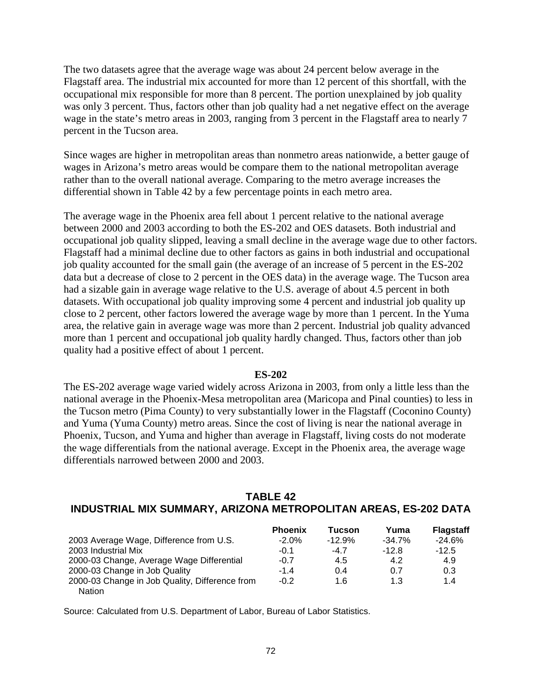The two datasets agree that the average wage was about 24 percent below average in the Flagstaff area. The industrial mix accounted for more than 12 percent of this shortfall, with the occupational mix responsible for more than 8 percent. The portion unexplained by job quality was only 3 percent. Thus, factors other than job quality had a net negative effect on the average wage in the state's metro areas in 2003, ranging from 3 percent in the Flagstaff area to nearly 7 percent in the Tucson area.

Since wages are higher in metropolitan areas than nonmetro areas nationwide, a better gauge of wages in Arizona's metro areas would be compare them to the national metropolitan average rather than to the overall national average. Comparing to the metro average increases the differential shown in Table 42 by a few percentage points in each metro area.

The average wage in the Phoenix area fell about 1 percent relative to the national average between 2000 and 2003 according to both the ES-202 and OES datasets. Both industrial and occupational job quality slipped, leaving a small decline in the average wage due to other factors. Flagstaff had a minimal decline due to other factors as gains in both industrial and occupational job quality accounted for the small gain (the average of an increase of 5 percent in the ES-202 data but a decrease of close to 2 percent in the OES data) in the average wage. The Tucson area had a sizable gain in average wage relative to the U.S. average of about 4.5 percent in both datasets. With occupational job quality improving some 4 percent and industrial job quality up close to 2 percent, other factors lowered the average wage by more than 1 percent. In the Yuma area, the relative gain in average wage was more than 2 percent. Industrial job quality advanced more than 1 percent and occupational job quality hardly changed. Thus, factors other than job quality had a positive effect of about 1 percent.

#### **ES-202**

The ES-202 average wage varied widely across Arizona in 2003, from only a little less than the national average in the Phoenix-Mesa metropolitan area (Maricopa and Pinal counties) to less in the Tucson metro (Pima County) to very substantially lower in the Flagstaff (Coconino County) and Yuma (Yuma County) metro areas. Since the cost of living is near the national average in Phoenix, Tucson, and Yuma and higher than average in Flagstaff, living costs do not moderate the wage differentials from the national average. Except in the Phoenix area, the average wage differentials narrowed between 2000 and 2003.

### **TABLE 42 INDUSTRIAL MIX SUMMARY, ARIZONA METROPOLITAN AREAS, ES-202 DATA**

|                                                | <b>Phoenix</b> | Tucson   | Yuma      | <b>Flagstaff</b> |
|------------------------------------------------|----------------|----------|-----------|------------------|
| 2003 Average Wage, Difference from U.S.        | $-2.0\%$       | $-12.9%$ | $-34.7\%$ | $-24.6%$         |
| 2003 Industrial Mix                            | $-0.1$         | $-4.7$   | $-12.8$   | $-12.5$          |
| 2000-03 Change, Average Wage Differential      | $-0.7$         | 4.5      | 4.2       | 4.9              |
| 2000-03 Change in Job Quality                  | $-1.4$         | 0.4      | 0.7       | 0.3              |
| 2000-03 Change in Job Quality, Difference from | $-0.2$         | 1.6      | 1.3       | 1.4              |
| <b>Nation</b>                                  |                |          |           |                  |

Source: Calculated from U.S. Department of Labor, Bureau of Labor Statistics.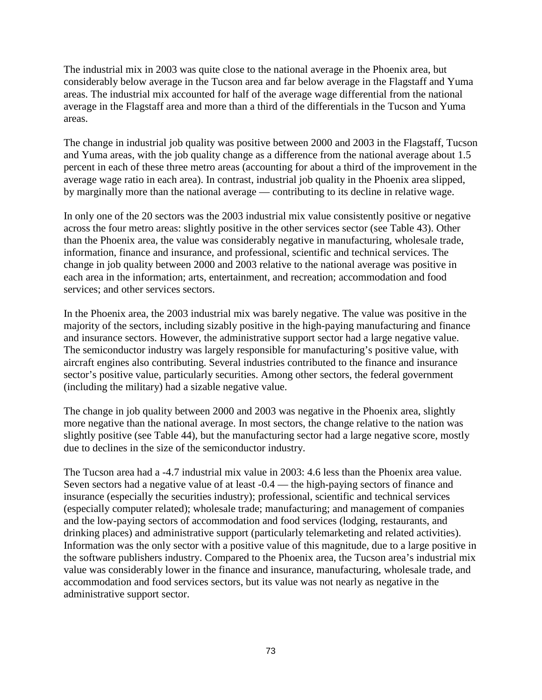The industrial mix in 2003 was quite close to the national average in the Phoenix area, but considerably below average in the Tucson area and far below average in the Flagstaff and Yuma areas. The industrial mix accounted for half of the average wage differential from the national average in the Flagstaff area and more than a third of the differentials in the Tucson and Yuma areas.

The change in industrial job quality was positive between 2000 and 2003 in the Flagstaff, Tucson and Yuma areas, with the job quality change as a difference from the national average about 1.5 percent in each of these three metro areas (accounting for about a third of the improvement in the average wage ratio in each area). In contrast, industrial job quality in the Phoenix area slipped, by marginally more than the national average — contributing to its decline in relative wage.

In only one of the 20 sectors was the 2003 industrial mix value consistently positive or negative across the four metro areas: slightly positive in the other services sector (see Table 43). Other than the Phoenix area, the value was considerably negative in manufacturing, wholesale trade, information, finance and insurance, and professional, scientific and technical services. The change in job quality between 2000 and 2003 relative to the national average was positive in each area in the information; arts, entertainment, and recreation; accommodation and food services; and other services sectors.

In the Phoenix area, the 2003 industrial mix was barely negative. The value was positive in the majority of the sectors, including sizably positive in the high-paying manufacturing and finance and insurance sectors. However, the administrative support sector had a large negative value. The semiconductor industry was largely responsible for manufacturing's positive value, with aircraft engines also contributing. Several industries contributed to the finance and insurance sector's positive value, particularly securities. Among other sectors, the federal government (including the military) had a sizable negative value.

The change in job quality between 2000 and 2003 was negative in the Phoenix area, slightly more negative than the national average. In most sectors, the change relative to the nation was slightly positive (see Table 44), but the manufacturing sector had a large negative score, mostly due to declines in the size of the semiconductor industry.

The Tucson area had a -4.7 industrial mix value in 2003: 4.6 less than the Phoenix area value. Seven sectors had a negative value of at least -0.4 — the high-paying sectors of finance and insurance (especially the securities industry); professional, scientific and technical services (especially computer related); wholesale trade; manufacturing; and management of companies and the low-paying sectors of accommodation and food services (lodging, restaurants, and drinking places) and administrative support (particularly telemarketing and related activities). Information was the only sector with a positive value of this magnitude, due to a large positive in the software publishers industry. Compared to the Phoenix area, the Tucson area's industrial mix value was considerably lower in the finance and insurance, manufacturing, wholesale trade, and accommodation and food services sectors, but its value was not nearly as negative in the administrative support sector.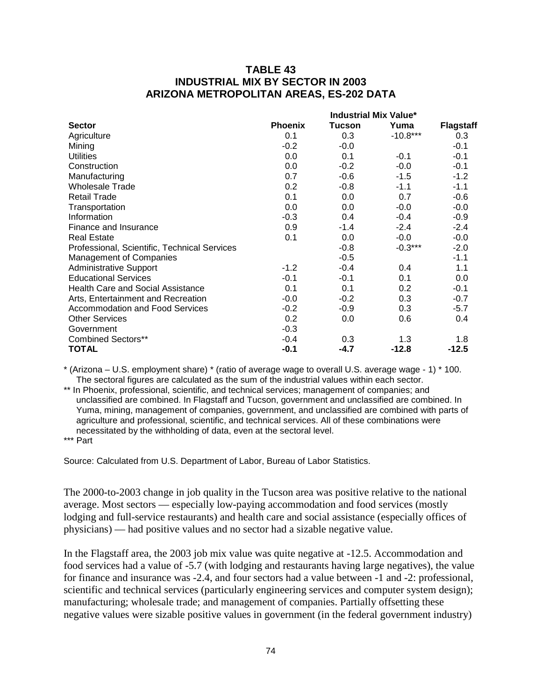### **TABLE 43 INDUSTRIAL MIX BY SECTOR IN 2003 ARIZONA METROPOLITAN AREAS, ES-202 DATA**

|                                              | <b>Industrial Mix Value*</b> |               |            |                  |  |
|----------------------------------------------|------------------------------|---------------|------------|------------------|--|
| <b>Sector</b>                                | <b>Phoenix</b>               | <b>Tucson</b> | Yuma       | <b>Flagstaff</b> |  |
| Agriculture                                  | 0.1                          | 0.3           | $-10.8***$ | 0.3              |  |
| Mining                                       | $-0.2$                       | $-0.0$        |            | $-0.1$           |  |
| <b>Utilities</b>                             | 0.0                          | 0.1           | $-0.1$     | $-0.1$           |  |
| Construction                                 | 0.0                          | $-0.2$        | $-0.0$     | $-0.1$           |  |
| Manufacturing                                | 0.7                          | $-0.6$        | $-1.5$     | $-1.2$           |  |
| <b>Wholesale Trade</b>                       | 0.2                          | $-0.8$        | $-1.1$     | $-1.1$           |  |
| <b>Retail Trade</b>                          | 0.1                          | 0.0           | 0.7        | $-0.6$           |  |
| Transportation                               | 0.0                          | 0.0           | $-0.0$     | $-0.0$           |  |
| Information                                  | $-0.3$                       | 0.4           | $-0.4$     | $-0.9$           |  |
| Finance and Insurance                        | 0.9                          | $-1.4$        | $-2.4$     | $-2.4$           |  |
| <b>Real Estate</b>                           | 0.1                          | 0.0           | $-0.0$     | $-0.0$           |  |
| Professional, Scientific, Technical Services |                              | $-0.8$        | $-0.3***$  | $-2.0$           |  |
| <b>Management of Companies</b>               |                              | $-0.5$        |            | $-1.1$           |  |
| <b>Administrative Support</b>                | $-1.2$                       | $-0.4$        | 0.4        | 1.1              |  |
| <b>Educational Services</b>                  | $-0.1$                       | $-0.1$        | 0.1        | 0.0              |  |
| <b>Health Care and Social Assistance</b>     | 0.1                          | 0.1           | 0.2        | $-0.1$           |  |
| Arts, Entertainment and Recreation           | $-0.0$                       | $-0.2$        | 0.3        | $-0.7$           |  |
| Accommodation and Food Services              | $-0.2$                       | $-0.9$        | 0.3        | $-5.7$           |  |
| <b>Other Services</b>                        | 0.2                          | 0.0           | 0.6        | 0.4              |  |
| Government                                   | $-0.3$                       |               |            |                  |  |
| <b>Combined Sectors**</b>                    | $-0.4$                       | 0.3           | 1.3        | 1.8              |  |
| <b>TOTAL</b>                                 | $-0.1$                       | $-4.7$        | $-12.8$    | $-12.5$          |  |

\* (Arizona – U.S. employment share) \* (ratio of average wage to overall U.S. average wage - 1) \* 100. The sectoral figures are calculated as the sum of the industrial values within each sector.

\*\* In Phoenix, professional, scientific, and technical services; management of companies; and unclassified are combined. In Flagstaff and Tucson, government and unclassified are combined. In Yuma, mining, management of companies, government, and unclassified are combined with parts of agriculture and professional, scientific, and technical services. All of these combinations were necessitated by the withholding of data, even at the sectoral level.

\*\*\* Part

Source: Calculated from U.S. Department of Labor, Bureau of Labor Statistics.

The 2000-to-2003 change in job quality in the Tucson area was positive relative to the national average. Most sectors — especially low-paying accommodation and food services (mostly lodging and full-service restaurants) and health care and social assistance (especially offices of physicians) — had positive values and no sector had a sizable negative value.

In the Flagstaff area, the 2003 job mix value was quite negative at -12.5. Accommodation and food services had a value of -5.7 (with lodging and restaurants having large negatives), the value for finance and insurance was -2.4, and four sectors had a value between -1 and -2: professional, scientific and technical services (particularly engineering services and computer system design); manufacturing; wholesale trade; and management of companies. Partially offsetting these negative values were sizable positive values in government (in the federal government industry)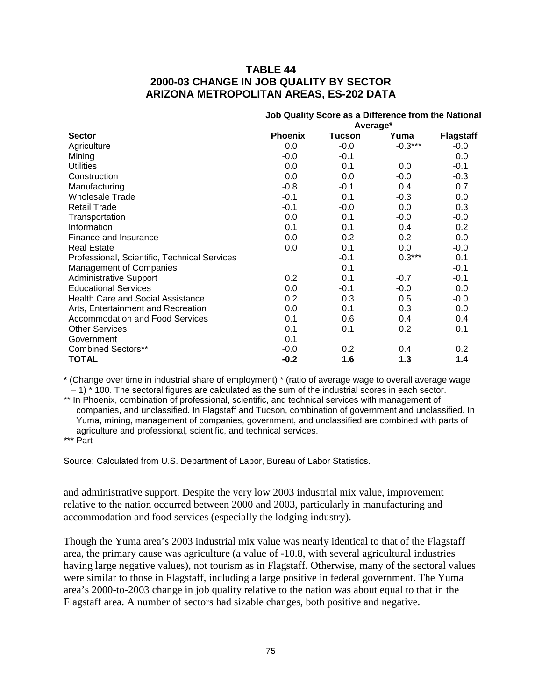### **TABLE 44 2000-03 CHANGE IN JOB QUALITY BY SECTOR ARIZONA METROPOLITAN AREAS, ES-202 DATA**

|                                              | Job Quality Score as a Difference from the National |               |           |                  |  |
|----------------------------------------------|-----------------------------------------------------|---------------|-----------|------------------|--|
|                                              | Average*                                            |               |           |                  |  |
| <b>Sector</b>                                | <b>Phoenix</b>                                      | <b>Tucson</b> | Yuma      | <b>Flagstaff</b> |  |
| Agriculture                                  | 0.0                                                 | $-0.0$        | $-0.3***$ | $-0.0$           |  |
| Mining                                       | $-0.0$                                              | $-0.1$        |           | 0.0              |  |
| <b>Utilities</b>                             | 0.0                                                 | 0.1           | 0.0       | $-0.1$           |  |
| Construction                                 | 0.0                                                 | 0.0           | $-0.0$    | $-0.3$           |  |
| Manufacturing                                | $-0.8$                                              | $-0.1$        | 0.4       | 0.7              |  |
| <b>Wholesale Trade</b>                       | $-0.1$                                              | 0.1           | $-0.3$    | $0.0\,$          |  |
| <b>Retail Trade</b>                          | $-0.1$                                              | $-0.0$        | 0.0       | 0.3              |  |
| Transportation                               | 0.0                                                 | 0.1           | $-0.0$    | $-0.0$           |  |
| Information                                  | 0.1                                                 | 0.1           | 0.4       | 0.2              |  |
| Finance and Insurance                        | 0.0                                                 | 0.2           | $-0.2$    | $-0.0$           |  |
| <b>Real Estate</b>                           | 0.0                                                 | 0.1           | 0.0       | $-0.0$           |  |
| Professional, Scientific, Technical Services |                                                     | $-0.1$        | $0.3***$  | 0.1              |  |
| <b>Management of Companies</b>               |                                                     | 0.1           |           | $-0.1$           |  |
| <b>Administrative Support</b>                | 0.2                                                 | 0.1           | $-0.7$    | $-0.1$           |  |
| <b>Educational Services</b>                  | 0.0                                                 | $-0.1$        | $-0.0$    | 0.0              |  |
| <b>Health Care and Social Assistance</b>     | 0.2                                                 | 0.3           | 0.5       | $-0.0$           |  |
| Arts, Entertainment and Recreation           | 0.0                                                 | 0.1           | 0.3       | $0.0\,$          |  |
| <b>Accommodation and Food Services</b>       | 0.1                                                 | 0.6           | 0.4       | 0.4              |  |
| <b>Other Services</b>                        | 0.1                                                 | 0.1           | 0.2       | 0.1              |  |
| Government                                   | 0.1                                                 |               |           |                  |  |
| <b>Combined Sectors**</b>                    | $-0.0$                                              | 0.2           | 0.4       | $0.2\,$          |  |
| TOTAL                                        | $-0.2$                                              | 1.6           | 1.3       | 1.4              |  |

**\*** (Change over time in industrial share of employment) \* (ratio of average wage to overall average wage  $-1$ )  $*$  100. The sectoral figures are calculated as the sum of the industrial scores in each sector.

\*\* In Phoenix, combination of professional, scientific, and technical services with management of companies, and unclassified. In Flagstaff and Tucson, combination of government and unclassified. In Yuma, mining, management of companies, government, and unclassified are combined with parts of agriculture and professional, scientific, and technical services.

\*\*\* Part

Source: Calculated from U.S. Department of Labor, Bureau of Labor Statistics.

and administrative support. Despite the very low 2003 industrial mix value, improvement relative to the nation occurred between 2000 and 2003, particularly in manufacturing and accommodation and food services (especially the lodging industry).

Though the Yuma area's 2003 industrial mix value was nearly identical to that of the Flagstaff area, the primary cause was agriculture (a value of -10.8, with several agricultural industries having large negative values), not tourism as in Flagstaff. Otherwise, many of the sectoral values were similar to those in Flagstaff, including a large positive in federal government. The Yuma area's 2000-to-2003 change in job quality relative to the nation was about equal to that in the Flagstaff area. A number of sectors had sizable changes, both positive and negative.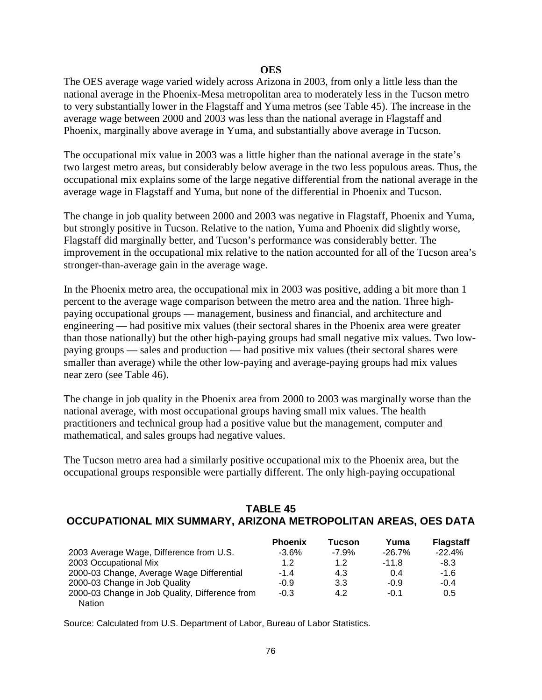#### **OES**

The OES average wage varied widely across Arizona in 2003, from only a little less than the national average in the Phoenix-Mesa metropolitan area to moderately less in the Tucson metro to very substantially lower in the Flagstaff and Yuma metros (see Table 45). The increase in the average wage between 2000 and 2003 was less than the national average in Flagstaff and Phoenix, marginally above average in Yuma, and substantially above average in Tucson.

The occupational mix value in 2003 was a little higher than the national average in the state's two largest metro areas, but considerably below average in the two less populous areas. Thus, the occupational mix explains some of the large negative differential from the national average in the average wage in Flagstaff and Yuma, but none of the differential in Phoenix and Tucson.

The change in job quality between 2000 and 2003 was negative in Flagstaff, Phoenix and Yuma, but strongly positive in Tucson. Relative to the nation, Yuma and Phoenix did slightly worse, Flagstaff did marginally better, and Tucson's performance was considerably better. The improvement in the occupational mix relative to the nation accounted for all of the Tucson area's stronger-than-average gain in the average wage.

In the Phoenix metro area, the occupational mix in 2003 was positive, adding a bit more than 1 percent to the average wage comparison between the metro area and the nation. Three highpaying occupational groups — management, business and financial, and architecture and engineering — had positive mix values (their sectoral shares in the Phoenix area were greater than those nationally) but the other high-paying groups had small negative mix values. Two lowpaying groups — sales and production — had positive mix values (their sectoral shares were smaller than average) while the other low-paying and average-paying groups had mix values near zero (see Table 46).

The change in job quality in the Phoenix area from 2000 to 2003 was marginally worse than the national average, with most occupational groups having small mix values. The health practitioners and technical group had a positive value but the management, computer and mathematical, and sales groups had negative values.

The Tucson metro area had a similarly positive occupational mix to the Phoenix area, but the occupational groups responsible were partially different. The only high-paying occupational

# **TABLE 45 OCCUPATIONAL MIX SUMMARY, ARIZONA METROPOLITAN AREAS, OES DATA**

|                                                | <b>Phoenix</b> | Tucson  | Yuma      | <b>Flagstaff</b> |
|------------------------------------------------|----------------|---------|-----------|------------------|
| 2003 Average Wage, Difference from U.S.        | $-3.6%$        | $-7.9%$ | $-26.7\%$ | $-22.4%$         |
| 2003 Occupational Mix                          | 1.2            | 1.2     | $-11.8$   | -8.3             |
| 2000-03 Change, Average Wage Differential      | $-1.4$         | 4.3     | 0.4       | $-1.6$           |
| 2000-03 Change in Job Quality                  | $-0.9$         | 3.3     | $-0.9$    | $-0.4$           |
| 2000-03 Change in Job Quality, Difference from | $-0.3$         | 4.2     | -0.1      | 0.5              |
| <b>Nation</b>                                  |                |         |           |                  |

Source: Calculated from U.S. Department of Labor, Bureau of Labor Statistics.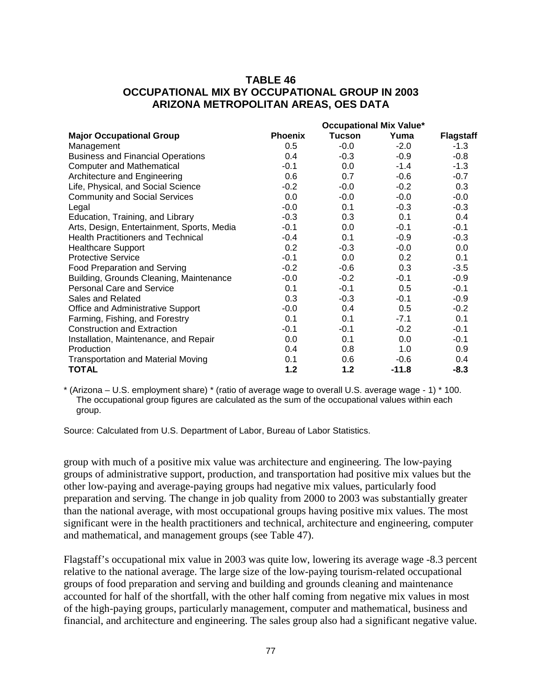# **TABLE 46 OCCUPATIONAL MIX BY OCCUPATIONAL GROUP IN 2003 ARIZONA METROPOLITAN AREAS, OES DATA**

|                                            | <b>Occupational Mix Value*</b> |        |         |                  |
|--------------------------------------------|--------------------------------|--------|---------|------------------|
| <b>Major Occupational Group</b>            | <b>Phoenix</b>                 | Tucson | Yuma    | <b>Flagstaff</b> |
| Management                                 | 0.5                            | $-0.0$ | $-2.0$  | -1.3             |
| <b>Business and Financial Operations</b>   | 0.4                            | $-0.3$ | $-0.9$  | $-0.8$           |
| <b>Computer and Mathematical</b>           | $-0.1$                         | 0.0    | $-1.4$  | $-1.3$           |
| Architecture and Engineering               | 0.6                            | 0.7    | $-0.6$  | $-0.7$           |
| Life, Physical, and Social Science         | $-0.2$                         | $-0.0$ | $-0.2$  | 0.3              |
| <b>Community and Social Services</b>       | 0.0                            | $-0.0$ | $-0.0$  | $-0.0$           |
| Legal                                      | $-0.0$                         | 0.1    | $-0.3$  | $-0.3$           |
| Education, Training, and Library           | $-0.3$                         | 0.3    | 0.1     | 0.4              |
| Arts, Design, Entertainment, Sports, Media | $-0.1$                         | 0.0    | $-0.1$  | $-0.1$           |
| <b>Health Practitioners and Technical</b>  | $-0.4$                         | 0.1    | $-0.9$  | $-0.3$           |
| <b>Healthcare Support</b>                  | 0.2                            | $-0.3$ | $-0.0$  | 0.0              |
| <b>Protective Service</b>                  | $-0.1$                         | 0.0    | 0.2     | 0.1              |
| Food Preparation and Serving               | $-0.2$                         | $-0.6$ | 0.3     | $-3.5$           |
| Building, Grounds Cleaning, Maintenance    | $-0.0$                         | $-0.2$ | $-0.1$  | $-0.9$           |
| Personal Care and Service                  | 0.1                            | $-0.1$ | 0.5     | $-0.1$           |
| Sales and Related                          | 0.3                            | $-0.3$ | $-0.1$  | $-0.9$           |
| Office and Administrative Support          | $-0.0$                         | 0.4    | 0.5     | $-0.2$           |
| Farming, Fishing, and Forestry             | 0.1                            | 0.1    | $-7.1$  | 0.1              |
| <b>Construction and Extraction</b>         | $-0.1$                         | $-0.1$ | $-0.2$  | $-0.1$           |
| Installation, Maintenance, and Repair      | 0.0                            | 0.1    | 0.0     | $-0.1$           |
| Production                                 | 0.4                            | 0.8    | 1.0     | 0.9              |
| <b>Transportation and Material Moving</b>  | 0.1                            | 0.6    | $-0.6$  | 0.4              |
| <b>TOTAL</b>                               | 1.2                            | 1.2    | $-11.8$ | $-8.3$           |

\* (Arizona – U.S. employment share) \* (ratio of average wage to overall U.S. average wage - 1) \* 100. The occupational group figures are calculated as the sum of the occupational values within each group.

Source: Calculated from U.S. Department of Labor, Bureau of Labor Statistics.

group with much of a positive mix value was architecture and engineering. The low-paying groups of administrative support, production, and transportation had positive mix values but the other low-paying and average-paying groups had negative mix values, particularly food preparation and serving. The change in job quality from 2000 to 2003 was substantially greater than the national average, with most occupational groups having positive mix values. The most significant were in the health practitioners and technical, architecture and engineering, computer and mathematical, and management groups (see Table 47).

Flagstaff's occupational mix value in 2003 was quite low, lowering its average wage -8.3 percent relative to the national average. The large size of the low-paying tourism-related occupational groups of food preparation and serving and building and grounds cleaning and maintenance accounted for half of the shortfall, with the other half coming from negative mix values in most of the high-paying groups, particularly management, computer and mathematical, business and financial, and architecture and engineering. The sales group also had a significant negative value.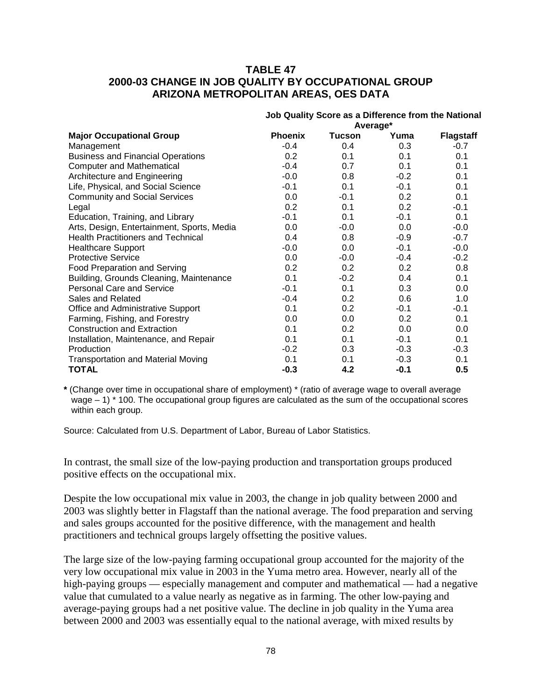# **TABLE 47 2000-03 CHANGE IN JOB QUALITY BY OCCUPATIONAL GROUP ARIZONA METROPOLITAN AREAS, OES DATA**

|                                            | Job Quality Score as a Difference from the National |               |        |                  |  |
|--------------------------------------------|-----------------------------------------------------|---------------|--------|------------------|--|
|                                            |                                                     | Average*      |        |                  |  |
| <b>Major Occupational Group</b>            | <b>Phoenix</b>                                      | <b>Tucson</b> | Yuma   | <b>Flagstaff</b> |  |
| Management                                 | $-0.4$                                              | 0.4           | 0.3    | $-0.7$           |  |
| <b>Business and Financial Operations</b>   | 0.2                                                 | 0.1           | 0.1    | 0.1              |  |
| <b>Computer and Mathematical</b>           | $-0.4$                                              | 0.7           | 0.1    | 0.1              |  |
| Architecture and Engineering               | $-0.0$                                              | 0.8           | $-0.2$ | 0.1              |  |
| Life, Physical, and Social Science         | $-0.1$                                              | 0.1           | -0.1   | 0.1              |  |
| <b>Community and Social Services</b>       | 0.0                                                 | $-0.1$        | 0.2    | 0.1              |  |
| Legal                                      | 0.2                                                 | 0.1           | 0.2    | $-0.1$           |  |
| Education, Training, and Library           | $-0.1$                                              | 0.1           | $-0.1$ | 0.1              |  |
| Arts, Design, Entertainment, Sports, Media | 0.0                                                 | $-0.0$        | 0.0    | $-0.0$           |  |
| <b>Health Practitioners and Technical</b>  | 0.4                                                 | 0.8           | $-0.9$ | $-0.7$           |  |
| <b>Healthcare Support</b>                  | $-0.0$                                              | 0.0           | $-0.1$ | $-0.0$           |  |
| <b>Protective Service</b>                  | 0.0                                                 | -0.0          | -0.4   | $-0.2$           |  |
| Food Preparation and Serving               | 0.2                                                 | 0.2           | 0.2    | 0.8              |  |
| Building, Grounds Cleaning, Maintenance    | 0.1                                                 | $-0.2$        | 0.4    | 0.1              |  |
| <b>Personal Care and Service</b>           | $-0.1$                                              | 0.1           | 0.3    | 0.0              |  |
| Sales and Related                          | $-0.4$                                              | 0.2           | 0.6    | 1.0              |  |
| Office and Administrative Support          | 0.1                                                 | 0.2           | $-0.1$ | $-0.1$           |  |
| Farming, Fishing, and Forestry             | 0.0                                                 | $0.0\,$       | 0.2    | 0.1              |  |
| <b>Construction and Extraction</b>         | 0.1                                                 | 0.2           | 0.0    | 0.0              |  |
| Installation, Maintenance, and Repair      | 0.1                                                 | 0.1           | $-0.1$ | 0.1              |  |
| Production                                 | $-0.2$                                              | 0.3           | $-0.3$ | $-0.3$           |  |
| <b>Transportation and Material Moving</b>  | 0.1                                                 | 0.1           | $-0.3$ | 0.1              |  |
| <b>TOTAL</b>                               | $-0.3$                                              | 4.2           | $-0.1$ | 0.5              |  |

**\*** (Change over time in occupational share of employment) \* (ratio of average wage to overall average wage – 1) \* 100. The occupational group figures are calculated as the sum of the occupational scores within each group.

Source: Calculated from U.S. Department of Labor, Bureau of Labor Statistics.

In contrast, the small size of the low-paying production and transportation groups produced positive effects on the occupational mix.

Despite the low occupational mix value in 2003, the change in job quality between 2000 and 2003 was slightly better in Flagstaff than the national average. The food preparation and serving and sales groups accounted for the positive difference, with the management and health practitioners and technical groups largely offsetting the positive values.

The large size of the low-paying farming occupational group accounted for the majority of the very low occupational mix value in 2003 in the Yuma metro area. However, nearly all of the high-paying groups — especially management and computer and mathematical — had a negative value that cumulated to a value nearly as negative as in farming. The other low-paying and average-paying groups had a net positive value. The decline in job quality in the Yuma area between 2000 and 2003 was essentially equal to the national average, with mixed results by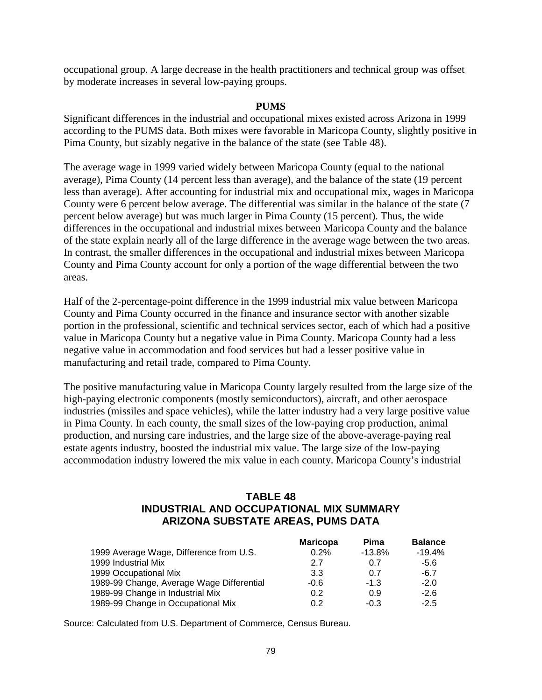occupational group. A large decrease in the health practitioners and technical group was offset by moderate increases in several low-paying groups.

#### **PUMS**

Significant differences in the industrial and occupational mixes existed across Arizona in 1999 according to the PUMS data. Both mixes were favorable in Maricopa County, slightly positive in Pima County, but sizably negative in the balance of the state (see Table 48).

The average wage in 1999 varied widely between Maricopa County (equal to the national average), Pima County (14 percent less than average), and the balance of the state (19 percent less than average). After accounting for industrial mix and occupational mix, wages in Maricopa County were 6 percent below average. The differential was similar in the balance of the state (7 percent below average) but was much larger in Pima County (15 percent). Thus, the wide differences in the occupational and industrial mixes between Maricopa County and the balance of the state explain nearly all of the large difference in the average wage between the two areas. In contrast, the smaller differences in the occupational and industrial mixes between Maricopa County and Pima County account for only a portion of the wage differential between the two areas.

Half of the 2-percentage-point difference in the 1999 industrial mix value between Maricopa County and Pima County occurred in the finance and insurance sector with another sizable portion in the professional, scientific and technical services sector, each of which had a positive value in Maricopa County but a negative value in Pima County. Maricopa County had a less negative value in accommodation and food services but had a lesser positive value in manufacturing and retail trade, compared to Pima County.

The positive manufacturing value in Maricopa County largely resulted from the large size of the high-paying electronic components (mostly semiconductors), aircraft, and other aerospace industries (missiles and space vehicles), while the latter industry had a very large positive value in Pima County. In each county, the small sizes of the low-paying crop production, animal production, and nursing care industries, and the large size of the above-average-paying real estate agents industry, boosted the industrial mix value. The large size of the low-paying accommodation industry lowered the mix value in each county. Maricopa County's industrial

# **TABLE 48 INDUSTRIAL AND OCCUPATIONAL MIX SUMMARY ARIZONA SUBSTATE AREAS, PUMS DATA**

|        |                 | <b>Balance</b> |
|--------|-----------------|----------------|
| 0.2%   | $-13.8%$        | $-19.4%$       |
| 2.7    | 0.7             | -5.6           |
| 3.3    | 0.7             | $-6.7$         |
| $-0.6$ | $-1.3$          | $-2.0$         |
| 0.2    | 0.9             | $-2.6$         |
| 0.2    | $-0.3$          | $-2.5$         |
|        | <b>Maricopa</b> | Pima           |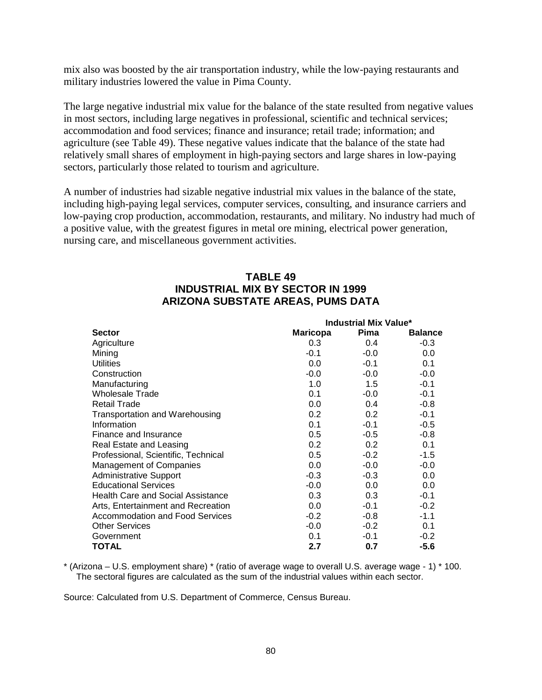mix also was boosted by the air transportation industry, while the low-paying restaurants and military industries lowered the value in Pima County.

The large negative industrial mix value for the balance of the state resulted from negative values in most sectors, including large negatives in professional, scientific and technical services; accommodation and food services; finance and insurance; retail trade; information; and agriculture (see Table 49). These negative values indicate that the balance of the state had relatively small shares of employment in high-paying sectors and large shares in low-paying sectors, particularly those related to tourism and agriculture.

A number of industries had sizable negative industrial mix values in the balance of the state, including high-paying legal services, computer services, consulting, and insurance carriers and low-paying crop production, accommodation, restaurants, and military. No industry had much of a positive value, with the greatest figures in metal ore mining, electrical power generation, nursing care, and miscellaneous government activities.

# **TABLE 49 INDUSTRIAL MIX BY SECTOR IN 1999 ARIZONA SUBSTATE AREAS, PUMS DATA**

|                                          | Industrial Mix Value* |        |                |
|------------------------------------------|-----------------------|--------|----------------|
| <b>Sector</b>                            | <b>Maricopa</b>       | Pima   | <b>Balance</b> |
| Agriculture                              | 0.3                   | 0.4    | $-0.3$         |
| Mining                                   | $-0.1$                | $-0.0$ | 0.0            |
| <b>Utilities</b>                         | 0.0                   | $-0.1$ | 0.1            |
| Construction                             | $-0.0$                | $-0.0$ | $-0.0$         |
| Manufacturing                            | 1.0                   | 1.5    | $-0.1$         |
| <b>Wholesale Trade</b>                   | 0.1                   | $-0.0$ | $-0.1$         |
| <b>Retail Trade</b>                      | 0.0                   | 0.4    | $-0.8$         |
| Transportation and Warehousing           | 0.2                   | 0.2    | $-0.1$         |
| Information                              | 0.1                   | $-0.1$ | $-0.5$         |
| Finance and Insurance                    | 0.5                   | $-0.5$ | $-0.8$         |
| Real Estate and Leasing                  | 0.2                   | 0.2    | 0.1            |
| Professional, Scientific, Technical      | 0.5                   | $-0.2$ | $-1.5$         |
| Management of Companies                  | 0.0                   | $-0.0$ | $-0.0$         |
| <b>Administrative Support</b>            | $-0.3$                | $-0.3$ | 0.0            |
| <b>Educational Services</b>              | $-0.0$                | 0.0    | 0.0            |
| <b>Health Care and Social Assistance</b> | 0.3                   | 0.3    | $-0.1$         |
| Arts, Entertainment and Recreation       | 0.0                   | $-0.1$ | $-0.2$         |
| <b>Accommodation and Food Services</b>   | $-0.2$                | $-0.8$ | $-1.1$         |
| <b>Other Services</b>                    | $-0.0$                | $-0.2$ | 0.1            |
| Government                               | 0.1                   | $-0.1$ | $-0.2$         |
| TOTAL                                    | 2.7                   | 0.7    | $-5.6$         |

\* (Arizona – U.S. employment share) \* (ratio of average wage to overall U.S. average wage - 1) \* 100. The sectoral figures are calculated as the sum of the industrial values within each sector.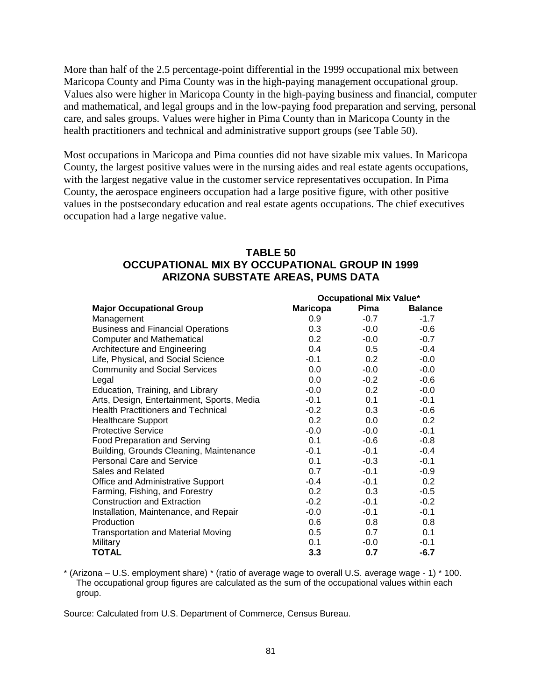More than half of the 2.5 percentage-point differential in the 1999 occupational mix between Maricopa County and Pima County was in the high-paying management occupational group. Values also were higher in Maricopa County in the high-paying business and financial, computer and mathematical, and legal groups and in the low-paying food preparation and serving, personal care, and sales groups. Values were higher in Pima County than in Maricopa County in the health practitioners and technical and administrative support groups (see Table 50).

Most occupations in Maricopa and Pima counties did not have sizable mix values. In Maricopa County, the largest positive values were in the nursing aides and real estate agents occupations, with the largest negative value in the customer service representatives occupation. In Pima County, the aerospace engineers occupation had a large positive figure, with other positive values in the postsecondary education and real estate agents occupations. The chief executives occupation had a large negative value.

# **TABLE 50 OCCUPATIONAL MIX BY OCCUPATIONAL GROUP IN 1999 ARIZONA SUBSTATE AREAS, PUMS DATA**

|                                            | <b>Occupational Mix Value*</b> |                  |                |  |
|--------------------------------------------|--------------------------------|------------------|----------------|--|
| <b>Major Occupational Group</b>            | <b>Maricopa</b>                | Pima             | <b>Balance</b> |  |
| Management                                 | 0.9                            | $-0.7$           | $-1.7$         |  |
| <b>Business and Financial Operations</b>   | 0.3                            | $-0.0$           | $-0.6$         |  |
| <b>Computer and Mathematical</b>           | 0.2                            | $-0.0$           | $-0.7$         |  |
| Architecture and Engineering               | $0.4\,$                        | 0.5              | $-0.4$         |  |
| Life, Physical, and Social Science         | -0.1                           | 0.2 <sub>0</sub> | $-0.0$         |  |
| <b>Community and Social Services</b>       | $0.0\,$                        | $-0.0$           | $-0.0$         |  |
| Legal                                      | 0.0                            | $-0.2$           | $-0.6$         |  |
| Education, Training, and Library           | $-0.0$                         | 0.2 <sub>0</sub> | $-0.0$         |  |
| Arts, Design, Entertainment, Sports, Media | -0.1                           | 0.1              | $-0.1$         |  |
| <b>Health Practitioners and Technical</b>  | $-0.2$                         | 0.3              | $-0.6$         |  |
| <b>Healthcare Support</b>                  | 0.2                            | 0.0              | 0.2            |  |
| <b>Protective Service</b>                  | $-0.0$                         | $-0.0$           | $-0.1$         |  |
| <b>Food Preparation and Serving</b>        | 0.1                            | $-0.6$           | $-0.8$         |  |
| Building, Grounds Cleaning, Maintenance    | $-0.1$                         | $-0.1$           | $-0.4$         |  |
| <b>Personal Care and Service</b>           | 0.1                            | $-0.3$           | $-0.1$         |  |
| Sales and Related                          | 0.7                            | $-0.1$           | $-0.9$         |  |
| Office and Administrative Support          | $-0.4$                         | $-0.1$           | 0.2            |  |
| Farming, Fishing, and Forestry             | 0.2                            | 0.3              | $-0.5$         |  |
| <b>Construction and Extraction</b>         | $-0.2$                         | $-0.1$           | $-0.2$         |  |
| Installation, Maintenance, and Repair      | $-0.0$                         | $-0.1$           | $-0.1$         |  |
| Production                                 | 0.6                            | 0.8              | 0.8            |  |
| <b>Transportation and Material Moving</b>  | 0.5                            | 0.7              | 0.1            |  |
| Military                                   | 0.1                            | $-0.0$           | $-0.1$         |  |
| TOTAL                                      | 3.3                            | 0.7              | $-6.7$         |  |

\* (Arizona – U.S. employment share) \* (ratio of average wage to overall U.S. average wage - 1) \* 100. The occupational group figures are calculated as the sum of the occupational values within each group.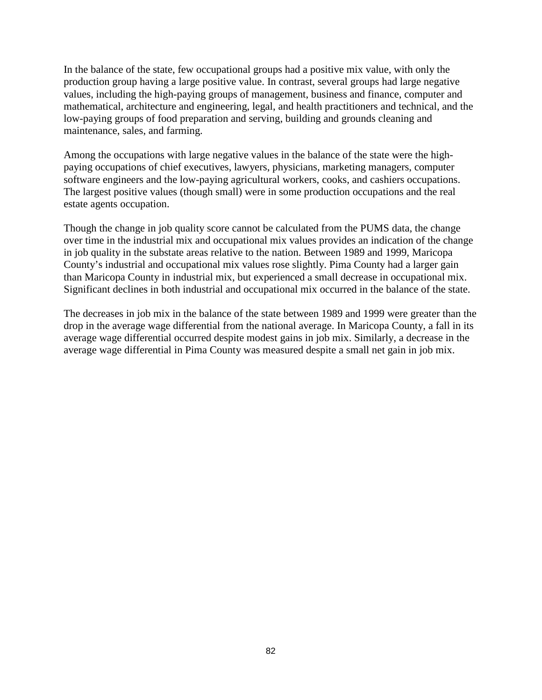In the balance of the state, few occupational groups had a positive mix value, with only the production group having a large positive value. In contrast, several groups had large negative values, including the high-paying groups of management, business and finance, computer and mathematical, architecture and engineering, legal, and health practitioners and technical, and the low-paying groups of food preparation and serving, building and grounds cleaning and maintenance, sales, and farming.

Among the occupations with large negative values in the balance of the state were the highpaying occupations of chief executives, lawyers, physicians, marketing managers, computer software engineers and the low-paying agricultural workers, cooks, and cashiers occupations. The largest positive values (though small) were in some production occupations and the real estate agents occupation.

Though the change in job quality score cannot be calculated from the PUMS data, the change over time in the industrial mix and occupational mix values provides an indication of the change in job quality in the substate areas relative to the nation. Between 1989 and 1999, Maricopa County's industrial and occupational mix values rose slightly. Pima County had a larger gain than Maricopa County in industrial mix, but experienced a small decrease in occupational mix. Significant declines in both industrial and occupational mix occurred in the balance of the state.

The decreases in job mix in the balance of the state between 1989 and 1999 were greater than the drop in the average wage differential from the national average. In Maricopa County, a fall in its average wage differential occurred despite modest gains in job mix. Similarly, a decrease in the average wage differential in Pima County was measured despite a small net gain in job mix.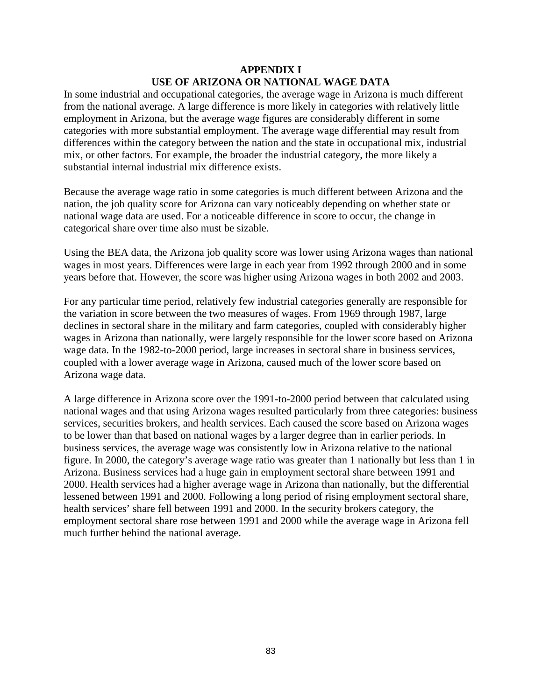### **APPENDIX I USE OF ARIZONA OR NATIONAL WAGE DATA**

In some industrial and occupational categories, the average wage in Arizona is much different from the national average. A large difference is more likely in categories with relatively little employment in Arizona, but the average wage figures are considerably different in some categories with more substantial employment. The average wage differential may result from differences within the category between the nation and the state in occupational mix, industrial mix, or other factors. For example, the broader the industrial category, the more likely a substantial internal industrial mix difference exists.

Because the average wage ratio in some categories is much different between Arizona and the nation, the job quality score for Arizona can vary noticeably depending on whether state or national wage data are used. For a noticeable difference in score to occur, the change in categorical share over time also must be sizable.

Using the BEA data, the Arizona job quality score was lower using Arizona wages than national wages in most years. Differences were large in each year from 1992 through 2000 and in some years before that. However, the score was higher using Arizona wages in both 2002 and 2003.

For any particular time period, relatively few industrial categories generally are responsible for the variation in score between the two measures of wages. From 1969 through 1987, large declines in sectoral share in the military and farm categories, coupled with considerably higher wages in Arizona than nationally, were largely responsible for the lower score based on Arizona wage data. In the 1982-to-2000 period, large increases in sectoral share in business services, coupled with a lower average wage in Arizona, caused much of the lower score based on Arizona wage data.

A large difference in Arizona score over the 1991-to-2000 period between that calculated using national wages and that using Arizona wages resulted particularly from three categories: business services, securities brokers, and health services. Each caused the score based on Arizona wages to be lower than that based on national wages by a larger degree than in earlier periods. In business services, the average wage was consistently low in Arizona relative to the national figure. In 2000, the category's average wage ratio was greater than 1 nationally but less than 1 in Arizona. Business services had a huge gain in employment sectoral share between 1991 and 2000. Health services had a higher average wage in Arizona than nationally, but the differential lessened between 1991 and 2000. Following a long period of rising employment sectoral share, health services' share fell between 1991 and 2000. In the security brokers category, the employment sectoral share rose between 1991 and 2000 while the average wage in Arizona fell much further behind the national average.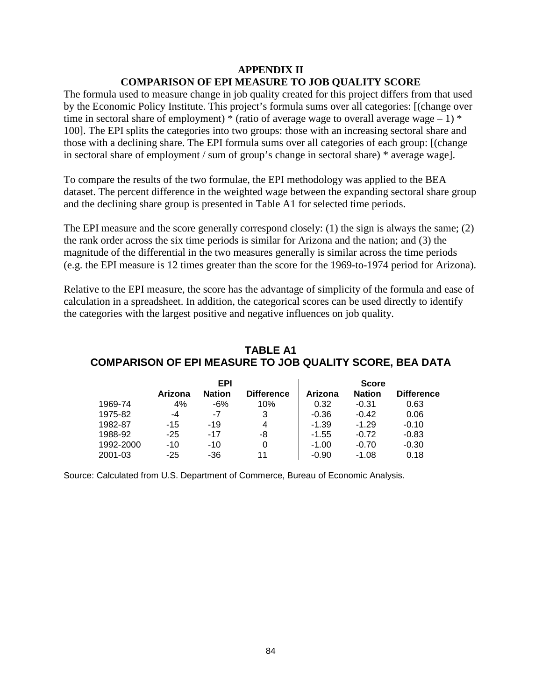#### **APPENDIX II COMPARISON OF EPI MEASURE TO JOB QUALITY SCORE**

The formula used to measure change in job quality created for this project differs from that used by the Economic Policy Institute. This project's formula sums over all categories: [(change over time in sectoral share of employment) \* (ratio of average wage to overall average wage  $-1$ ) \* 100]. The EPI splits the categories into two groups: those with an increasing sectoral share and those with a declining share. The EPI formula sums over all categories of each group: [(change in sectoral share of employment / sum of group's change in sectoral share) \* average wage].

To compare the results of the two formulae, the EPI methodology was applied to the BEA dataset. The percent difference in the weighted wage between the expanding sectoral share group and the declining share group is presented in Table A1 for selected time periods.

The EPI measure and the score generally correspond closely: (1) the sign is always the same; (2) the rank order across the six time periods is similar for Arizona and the nation; and (3) the magnitude of the differential in the two measures generally is similar across the time periods (e.g. the EPI measure is 12 times greater than the score for the 1969-to-1974 period for Arizona).

Relative to the EPI measure, the score has the advantage of simplicity of the formula and ease of calculation in a spreadsheet. In addition, the categorical scores can be used directly to identify the categories with the largest positive and negative influences on job quality.

|           |         | EPI           |                   |         | <b>Score</b>  |                   |
|-----------|---------|---------------|-------------------|---------|---------------|-------------------|
|           | Arizona | <b>Nation</b> | <b>Difference</b> | Arizona | <b>Nation</b> | <b>Difference</b> |
| 1969-74   | 4%      | $-6%$         | 10%               | 0.32    | $-0.31$       | 0.63              |
| 1975-82   | -4      | -7            |                   | $-0.36$ | $-0.42$       | 0.06              |
| 1982-87   | $-15$   | $-19$         | 4                 | $-1.39$ | $-1.29$       | $-0.10$           |
| 1988-92   | $-25$   | $-17$         | -8                | $-1.55$ | $-0.72$       | $-0.83$           |
| 1992-2000 | $-10$   | $-10$         |                   | $-1.00$ | $-0.70$       | $-0.30$           |
| 2001-03   | $-25$   | -36           | 11                | $-0.90$ | $-1.08$       | 0.18              |

# **TABLE A1 COMPARISON OF EPI MEASURE TO JOB QUALITY SCORE, BEA DATA**

Source: Calculated from U.S. Department of Commerce, Bureau of Economic Analysis.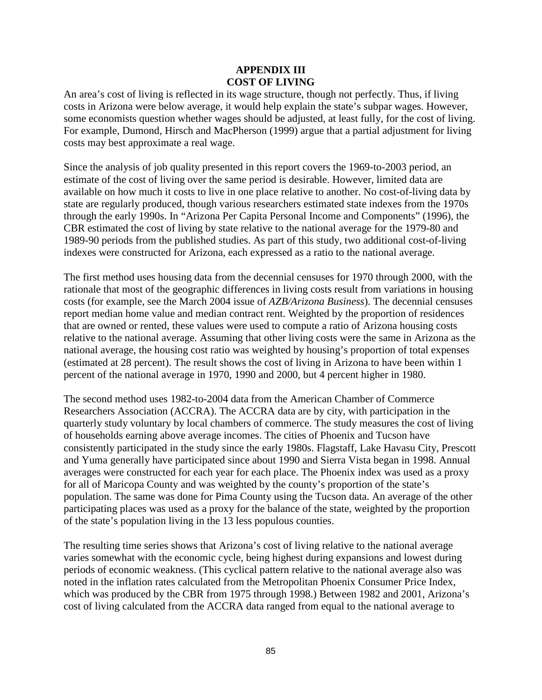### **APPENDIX III COST OF LIVING**

An area's cost of living is reflected in its wage structure, though not perfectly. Thus, if living costs in Arizona were below average, it would help explain the state's subpar wages. However, some economists question whether wages should be adjusted, at least fully, for the cost of living. For example, Dumond, Hirsch and MacPherson (1999) argue that a partial adjustment for living costs may best approximate a real wage.

Since the analysis of job quality presented in this report covers the 1969-to-2003 period, an estimate of the cost of living over the same period is desirable. However, limited data are available on how much it costs to live in one place relative to another. No cost-of-living data by state are regularly produced, though various researchers estimated state indexes from the 1970s through the early 1990s. In "Arizona Per Capita Personal Income and Components" (1996), the CBR estimated the cost of living by state relative to the national average for the 1979-80 and 1989-90 periods from the published studies. As part of this study, two additional cost-of-living indexes were constructed for Arizona, each expressed as a ratio to the national average.

The first method uses housing data from the decennial censuses for 1970 through 2000, with the rationale that most of the geographic differences in living costs result from variations in housing costs (for example, see the March 2004 issue of *AZB/Arizona Business*). The decennial censuses report median home value and median contract rent. Weighted by the proportion of residences that are owned or rented, these values were used to compute a ratio of Arizona housing costs relative to the national average. Assuming that other living costs were the same in Arizona as the national average, the housing cost ratio was weighted by housing's proportion of total expenses (estimated at 28 percent). The result shows the cost of living in Arizona to have been within 1 percent of the national average in 1970, 1990 and 2000, but 4 percent higher in 1980.

The second method uses 1982-to-2004 data from the American Chamber of Commerce Researchers Association (ACCRA). The ACCRA data are by city, with participation in the quarterly study voluntary by local chambers of commerce. The study measures the cost of living of households earning above average incomes. The cities of Phoenix and Tucson have consistently participated in the study since the early 1980s. Flagstaff, Lake Havasu City, Prescott and Yuma generally have participated since about 1990 and Sierra Vista began in 1998. Annual averages were constructed for each year for each place. The Phoenix index was used as a proxy for all of Maricopa County and was weighted by the county's proportion of the state's population. The same was done for Pima County using the Tucson data. An average of the other participating places was used as a proxy for the balance of the state, weighted by the proportion of the state's population living in the 13 less populous counties.

The resulting time series shows that Arizona's cost of living relative to the national average varies somewhat with the economic cycle, being highest during expansions and lowest during periods of economic weakness. (This cyclical pattern relative to the national average also was noted in the inflation rates calculated from the Metropolitan Phoenix Consumer Price Index, which was produced by the CBR from 1975 through 1998.) Between 1982 and 2001, Arizona's cost of living calculated from the ACCRA data ranged from equal to the national average to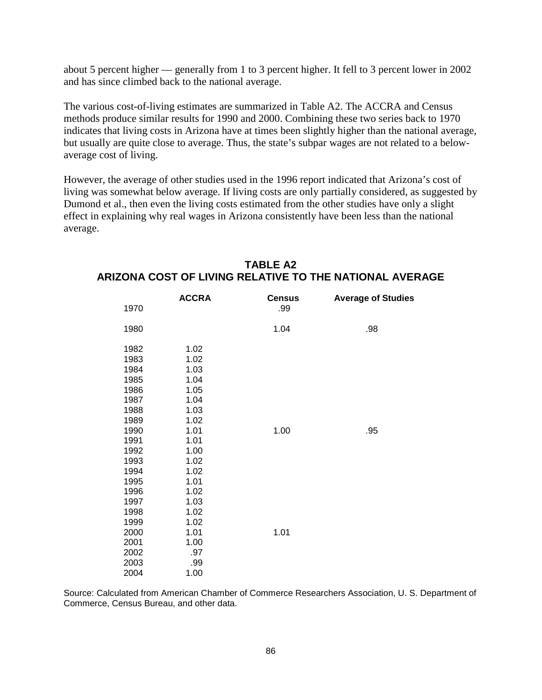about 5 percent higher — generally from 1 to 3 percent higher. It fell to 3 percent lower in 2002 and has since climbed back to the national average.

The various cost-of-living estimates are summarized in Table A2. The ACCRA and Census methods produce similar results for 1990 and 2000. Combining these two series back to 1970 indicates that living costs in Arizona have at times been slightly higher than the national average, but usually are quite close to average. Thus, the state's subpar wages are not related to a belowaverage cost of living.

However, the average of other studies used in the 1996 report indicated that Arizona's cost of living was somewhat below average. If living costs are only partially considered, as suggested by Dumond et al., then even the living costs estimated from the other studies have only a slight effect in explaining why real wages in Arizona consistently have been less than the national average.

| 1970 | <b>ACCRA</b> | <b>Census</b><br>.99 | <b>Average of Studies</b> |
|------|--------------|----------------------|---------------------------|
| 1980 |              | 1.04                 | .98                       |
| 1982 | 1.02         |                      |                           |
| 1983 | 1.02         |                      |                           |
| 1984 | 1.03         |                      |                           |
| 1985 | 1.04         |                      |                           |
| 1986 | 1.05         |                      |                           |
| 1987 | 1.04         |                      |                           |
| 1988 | 1.03         |                      |                           |
| 1989 | 1.02         |                      |                           |
| 1990 | 1.01         | 1.00                 | .95                       |
| 1991 | 1.01         |                      |                           |
| 1992 | 1.00         |                      |                           |
| 1993 | 1.02         |                      |                           |
| 1994 | 1.02         |                      |                           |
| 1995 | 1.01         |                      |                           |
| 1996 | 1.02         |                      |                           |
| 1997 | 1.03         |                      |                           |
| 1998 | 1.02         |                      |                           |
| 1999 | 1.02         |                      |                           |
| 2000 | 1.01         | 1.01                 |                           |
| 2001 | 1.00         |                      |                           |
| 2002 | .97          |                      |                           |
| 2003 | .99          |                      |                           |
| 2004 | 1.00         |                      |                           |
|      |              |                      |                           |

# **TABLE A2 ARIZONA COST OF LIVING RELATIVE TO THE NATIONAL AVERAGE**

Source: Calculated from American Chamber of Commerce Researchers Association, U. S. Department of Commerce, Census Bureau, and other data.